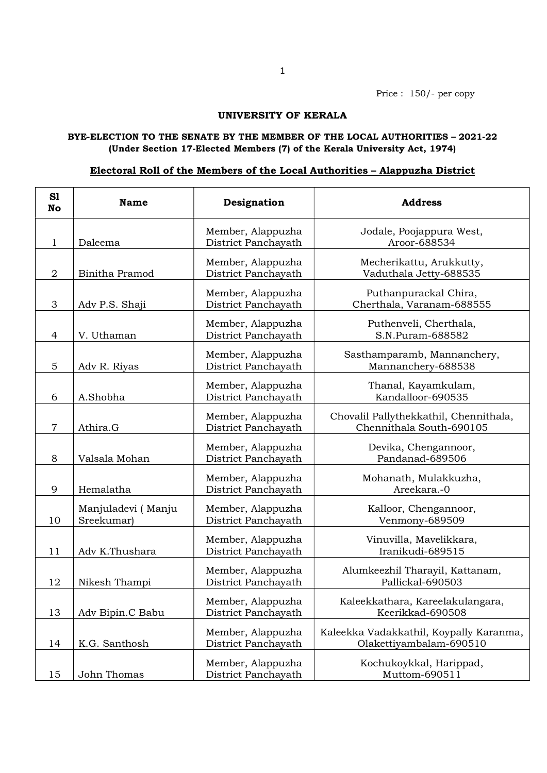## UNIVERSITY OF KERALA

## BYE-ELECTION TO THE SENATE BY THE MEMBER OF THE LOCAL AUTHORITIES – 2021-22 (Under Section 17-Elected Members (7) of the Kerala University Act, 1974)

## Electoral Roll of the Members of the Local Authorities – Alappuzha District

| S1<br>No       | <b>Name</b>                      | Designation                              | <b>Address</b>                                                     |
|----------------|----------------------------------|------------------------------------------|--------------------------------------------------------------------|
| 1              | Daleema                          | Member, Alappuzha<br>District Panchayath | Jodale, Poojappura West,<br>Aroor-688534                           |
| $\overline{2}$ | Binitha Pramod                   | Member, Alappuzha<br>District Panchayath | Mecherikattu, Arukkutty,<br>Vaduthala Jetty-688535                 |
| 3              | Adv P.S. Shaji                   | Member, Alappuzha<br>District Panchayath | Puthanpurackal Chira,<br>Cherthala, Varanam-688555                 |
| $\overline{4}$ | V. Uthaman                       | Member, Alappuzha<br>District Panchayath | Puthenveli, Cherthala,<br>S.N.Puram-688582                         |
| 5              | Adv R. Riyas                     | Member, Alappuzha<br>District Panchayath | Sasthamparamb, Mannanchery,<br>Mannanchery-688538                  |
| 6              | A.Shobha                         | Member, Alappuzha<br>District Panchayath | Thanal, Kayamkulam,<br>Kandalloor-690535                           |
| $\overline{7}$ | Athira.G                         | Member, Alappuzha<br>District Panchayath | Chovalil Pallythekkathil, Chennithala,<br>Chennithala South-690105 |
| 8              | Valsala Mohan                    | Member, Alappuzha<br>District Panchayath | Devika, Chengannoor,<br>Pandanad-689506                            |
| 9              | Hemalatha                        | Member, Alappuzha<br>District Panchayath | Mohanath, Mulakkuzha,<br>Areekara.-0                               |
| 10             | Manjuladevi (Manju<br>Sreekumar) | Member, Alappuzha<br>District Panchayath | Kalloor, Chengannoor,<br>Venmony-689509                            |
| 11             | Adv K.Thushara                   | Member, Alappuzha<br>District Panchayath | Vinuvilla, Mavelikkara,<br>Iranikudi-689515                        |
| 12             | Nikesh Thampi                    | Member, Alappuzha<br>District Panchayath | Alumkeezhil Tharayil, Kattanam,<br>Pallickal-690503                |
| 13             | Adv Bipin.C Babu                 | Member, Alappuzha<br>District Panchayath | Kaleekkathara, Kareelakulangara,<br>Keerikkad-690508               |
| 14             | K.G. Santhosh                    | Member, Alappuzha<br>District Panchayath | Kaleekka Vadakkathil, Koypally Karanma,<br>Olakettiyambalam-690510 |
| 15             | John Thomas                      | Member, Alappuzha<br>District Panchayath | Kochukoykkal, Harippad,<br>Muttom-690511                           |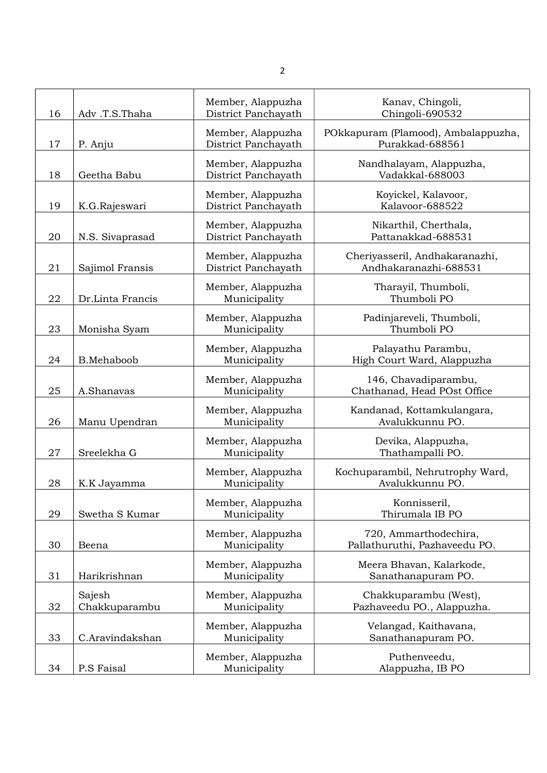| 16 | Adv.T.S.Thaha           | Member, Alappuzha<br>District Panchayath | Kanav, Chingoli,<br>Chingoli-690532                     |
|----|-------------------------|------------------------------------------|---------------------------------------------------------|
| 17 | P. Anju                 | Member, Alappuzha<br>District Panchayath | POkkapuram (Plamood), Ambalappuzha,<br>Purakkad-688561  |
| 18 | Geetha Babu             | Member, Alappuzha<br>District Panchayath | Nandhalayam, Alappuzha,<br>Vadakkal-688003              |
| 19 | K.G.Rajeswari           | Member, Alappuzha<br>District Panchayath | Koyickel, Kalavoor,<br>Kalavoor-688522                  |
| 20 | N.S. Sivaprasad         | Member, Alappuzha<br>District Panchayath | Nikarthil, Cherthala,<br>Pattanakkad-688531             |
| 21 | Sajimol Fransis         | Member, Alappuzha<br>District Panchayath | Cheriyasseril, Andhakaranazhi,<br>Andhakaranazhi-688531 |
| 22 | Dr.Linta Francis        | Member, Alappuzha<br>Municipality        | Tharayil, Thumboli,<br>Thumboli PO                      |
| 23 | Monisha Syam            | Member, Alappuzha<br>Municipality        | Padinjareveli, Thumboli,<br>Thumboli PO                 |
| 24 | B.Mehaboob              | Member, Alappuzha<br>Municipality        | Palayathu Parambu,<br>High Court Ward, Alappuzha        |
| 25 | A.Shanavas              | Member, Alappuzha<br>Municipality        | 146, Chavadiparambu,<br>Chathanad, Head POst Office     |
| 26 | Manu Upendran           | Member, Alappuzha<br>Municipality        | Kandanad, Kottamkulangara,<br>Avalukkunnu PO.           |
| 27 | Sreelekha G             | Member, Alappuzha<br>Municipality        | Devika, Alappuzha,<br>Thathampalli PO.                  |
| 28 | K.K Jayamma             | Member, Alappuzha<br>Municipality        | Kochuparambil, Nehrutrophy Ward,<br>Avalukkunnu PO.     |
| 29 | Swetha S Kumar          | Member, Alappuzha<br>Municipality        | Konnisseril,<br>Thirumala IB PO                         |
| 30 | Beena                   | Member, Alappuzha<br>Municipality        | 720, Ammarthodechira,<br>Pallathuruthi, Pazhaveedu PO.  |
| 31 | Harikrishnan            | Member, Alappuzha<br>Municipality        | Meera Bhavan, Kalarkode,<br>Sanathanapuram PO.          |
| 32 | Sajesh<br>Chakkuparambu | Member, Alappuzha<br>Municipality        | Chakkuparambu (West),<br>Pazhaveedu PO., Alappuzha.     |
| 33 | C.Aravindakshan         | Member, Alappuzha<br>Municipality        | Velangad, Kaithavana,<br>Sanathanapuram PO.             |
| 34 | P.S Faisal              | Member, Alappuzha<br>Municipality        | Puthenveedu,<br>Alappuzha, IB PO                        |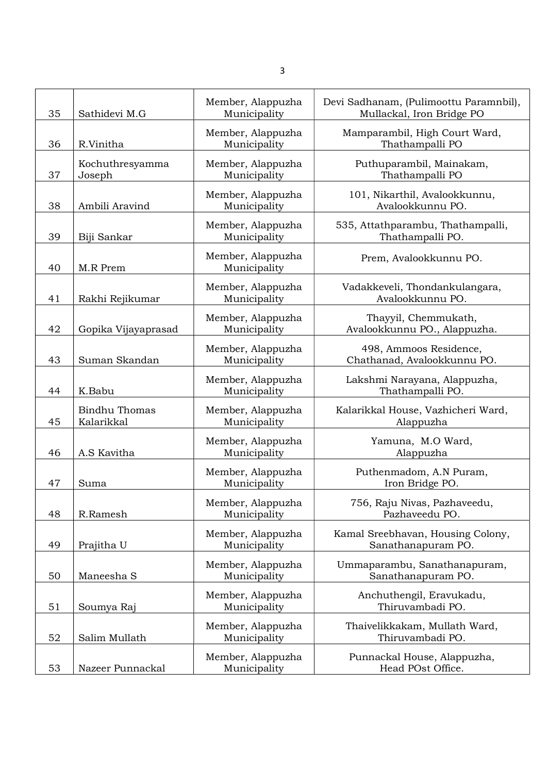| 35 | Sathidevi M.G                      | Member, Alappuzha<br>Municipality | Devi Sadhanam, (Pulimoottu Paramnbil),<br>Mullackal, Iron Bridge PO |
|----|------------------------------------|-----------------------------------|---------------------------------------------------------------------|
| 36 | R.Vinitha                          | Member, Alappuzha<br>Municipality | Mamparambil, High Court Ward,<br>Thathampalli PO                    |
| 37 | Kochuthresyamma<br>Joseph          | Member, Alappuzha<br>Municipality | Puthuparambil, Mainakam,<br>Thathampalli PO                         |
| 38 | Ambili Aravind                     | Member, Alappuzha<br>Municipality | 101, Nikarthil, Avalookkunnu,<br>Avalookkunnu PO.                   |
| 39 | Biji Sankar                        | Member, Alappuzha<br>Municipality | 535, Attathparambu, Thathampalli,<br>Thathampalli PO.               |
| 40 | M.R Prem                           | Member, Alappuzha<br>Municipality | Prem, Avalookkunnu PO.                                              |
| 41 | Rakhi Rejikumar                    | Member, Alappuzha<br>Municipality | Vadakkeveli, Thondankulangara,<br>Avalookkunnu PO.                  |
| 42 | Gopika Vijayaprasad                | Member, Alappuzha<br>Municipality | Thayyil, Chemmukath,<br>Avalookkunnu PO., Alappuzha.                |
| 43 | Suman Skandan                      | Member, Alappuzha<br>Municipality | 498, Ammoos Residence,<br>Chathanad, Avalookkunnu PO.               |
| 44 | K.Babu                             | Member, Alappuzha<br>Municipality | Lakshmi Narayana, Alappuzha,<br>Thathampalli PO.                    |
| 45 | <b>Bindhu Thomas</b><br>Kalarikkal | Member, Alappuzha<br>Municipality | Kalarikkal House, Vazhicheri Ward,<br>Alappuzha                     |
| 46 | A.S Kavitha                        | Member, Alappuzha<br>Municipality | Yamuna, M.O Ward,<br>Alappuzha                                      |
| 47 | Suma                               | Member, Alappuzha<br>Municipality | Puthenmadom, A.N Puram,<br>Iron Bridge PO.                          |
| 48 | R.Ramesh                           | Member, Alappuzha<br>Municipality | 756, Raju Nivas, Pazhaveedu,<br>Pazhaveedu PO.                      |
| 49 | Prajitha U                         | Member, Alappuzha<br>Municipality | Kamal Sreebhavan, Housing Colony,<br>Sanathanapuram PO.             |
| 50 | Maneesha S                         | Member, Alappuzha<br>Municipality | Ummaparambu, Sanathanapuram,<br>Sanathanapuram PO.                  |
| 51 | Soumya Raj                         | Member, Alappuzha<br>Municipality | Anchuthengil, Eravukadu,<br>Thiruvambadi PO.                        |
| 52 | Salim Mullath                      | Member, Alappuzha<br>Municipality | Thaivelikkakam, Mullath Ward,<br>Thiruvambadi PO.                   |
| 53 | Nazeer Punnackal                   | Member, Alappuzha<br>Municipality | Punnackal House, Alappuzha,<br>Head POst Office.                    |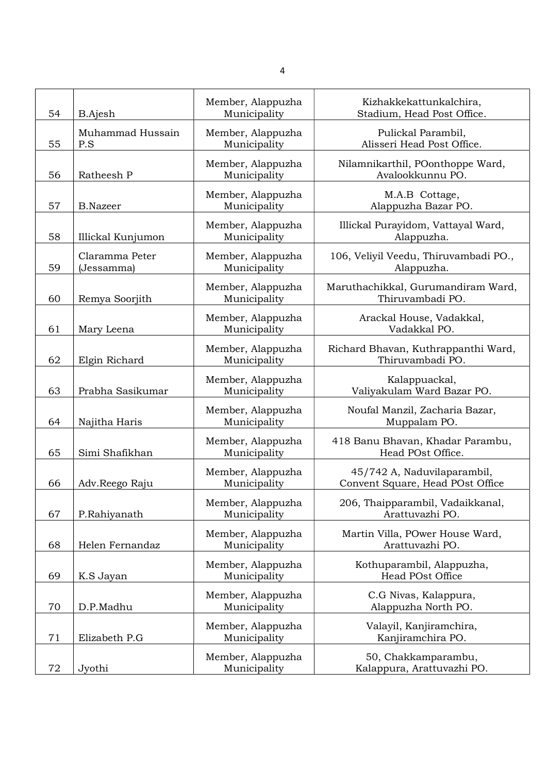| 54 | <b>B.Ajesh</b>               | Member, Alappuzha<br>Municipality | Kizhakkekattunkalchira,<br>Stadium, Head Post Office.           |
|----|------------------------------|-----------------------------------|-----------------------------------------------------------------|
| 55 | Muhammad Hussain<br>P.S      | Member, Alappuzha<br>Municipality | Pulickal Parambil,<br>Alisseri Head Post Office.                |
| 56 | Ratheesh P                   | Member, Alappuzha<br>Municipality | Nilamnikarthil, POonthoppe Ward,<br>Avalookkunnu PO.            |
| 57 | <b>B.Nazeer</b>              | Member, Alappuzha<br>Municipality | M.A.B Cottage,<br>Alappuzha Bazar PO.                           |
| 58 | Illickal Kunjumon            | Member, Alappuzha<br>Municipality | Illickal Purayidom, Vattayal Ward,<br>Alappuzha.                |
| 59 | Claramma Peter<br>(Jessamma) | Member, Alappuzha<br>Municipality | 106, Veliyil Veedu, Thiruvambadi PO.,<br>Alappuzha.             |
| 60 | Remya Soorjith               | Member, Alappuzha<br>Municipality | Maruthachikkal, Gurumandiram Ward,<br>Thiruvambadi PO.          |
| 61 | Mary Leena                   | Member, Alappuzha<br>Municipality | Arackal House, Vadakkal,<br>Vadakkal PO.                        |
| 62 | Elgin Richard                | Member, Alappuzha<br>Municipality | Richard Bhavan, Kuthrappanthi Ward,<br>Thiruvambadi PO.         |
| 63 | Prabha Sasikumar             | Member, Alappuzha<br>Municipality | Kalappuackal,<br>Valiyakulam Ward Bazar PO.                     |
| 64 | Najitha Haris                | Member, Alappuzha<br>Municipality | Noufal Manzil, Zacharia Bazar,<br>Muppalam PO.                  |
| 65 | Simi Shafikhan               | Member, Alappuzha<br>Municipality | 418 Banu Bhavan, Khadar Parambu,<br>Head POst Office.           |
| 66 | Adv.Reego Raju               | Member, Alappuzha<br>Municipality | 45/742 A, Naduvilaparambil,<br>Convent Square, Head POst Office |
| 67 | P.Rahiyanath                 | Member, Alappuzha<br>Municipality | 206, Thaipparambil, Vadaikkanal,<br>Arattuvazhi PO.             |
| 68 | Helen Fernandaz              | Member, Alappuzha<br>Municipality | Martin Villa, POwer House Ward,<br>Arattuvazhi PO.              |
| 69 | K.S Jayan                    | Member, Alappuzha<br>Municipality | Kothuparambil, Alappuzha,<br>Head POst Office                   |
| 70 | D.P.Madhu                    | Member, Alappuzha<br>Municipality | C.G Nivas, Kalappura,<br>Alappuzha North PO.                    |
| 71 | Elizabeth P.G                | Member, Alappuzha<br>Municipality | Valayil, Kanjiramchira,<br>Kanjiramchira PO.                    |
| 72 | Jyothi                       | Member, Alappuzha<br>Municipality | 50, Chakkamparambu,<br>Kalappura, Arattuvazhi PO.               |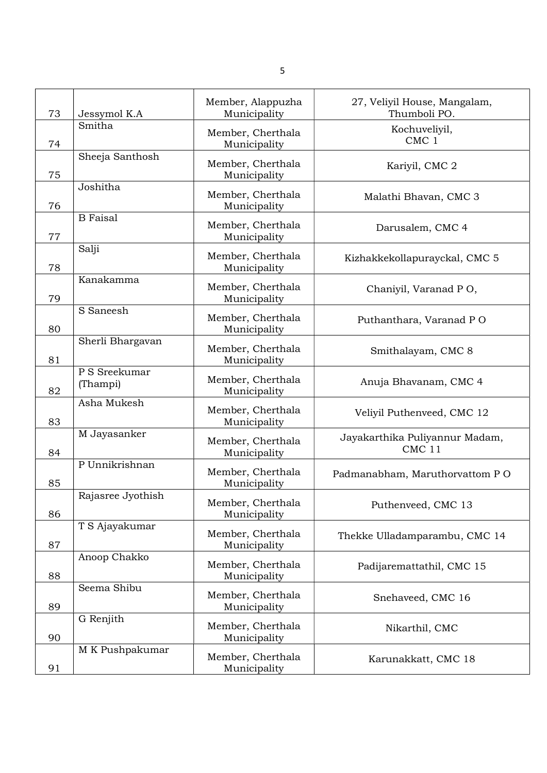| 73 | Jessymol K.A              | Member, Alappuzha<br>Municipality | 27, Veliyil House, Mangalam,<br>Thumboli PO.        |
|----|---------------------------|-----------------------------------|-----------------------------------------------------|
| 74 | Smitha                    | Member, Cherthala<br>Municipality | Kochuveliyil,<br>CMC 1                              |
| 75 | Sheeja Santhosh           | Member, Cherthala<br>Municipality | Kariyil, CMC 2                                      |
| 76 | Joshitha                  | Member, Cherthala<br>Municipality | Malathi Bhavan, CMC 3                               |
| 77 | <b>B</b> Faisal           | Member, Cherthala<br>Municipality | Darusalem, CMC 4                                    |
| 78 | Salji                     | Member, Cherthala<br>Municipality | Kizhakkekollapurayckal, CMC 5                       |
| 79 | Kanakamma                 | Member, Cherthala<br>Municipality | Chaniyil, Varanad PO,                               |
| 80 | S Saneesh                 | Member, Cherthala<br>Municipality | Puthanthara, Varanad PO                             |
| 81 | Sherli Bhargavan          | Member, Cherthala<br>Municipality | Smithalayam, CMC 8                                  |
| 82 | P S Sreekumar<br>(Thampi) | Member, Cherthala<br>Municipality | Anuja Bhavanam, CMC 4                               |
| 83 | Asha Mukesh               | Member, Cherthala<br>Municipality | Veliyil Puthenveed, CMC 12                          |
| 84 | M Jayasanker              | Member, Cherthala<br>Municipality | Jayakarthika Puliyannur Madam,<br>CMC <sub>11</sub> |
| 85 | P Unnikrishnan            | Member, Cherthala<br>Municipality | Padmanabham, Maruthorvattom PO                      |
| 86 | Rajasree Jyothish         | Member, Cherthala<br>Municipality | Puthenveed, CMC 13                                  |
| 87 | T S Ajayakumar            | Member, Cherthala<br>Municipality | Thekke Ulladamparambu, CMC 14                       |
| 88 | Anoop Chakko              | Member, Cherthala<br>Municipality | Padijaremattathil, CMC 15                           |
| 89 | Seema Shibu               | Member, Cherthala<br>Municipality | Snehaveed, CMC 16                                   |
| 90 | G Renjith                 | Member, Cherthala<br>Municipality | Nikarthil, CMC                                      |
| 91 | M K Pushpakumar           | Member, Cherthala<br>Municipality | Karunakkatt, CMC 18                                 |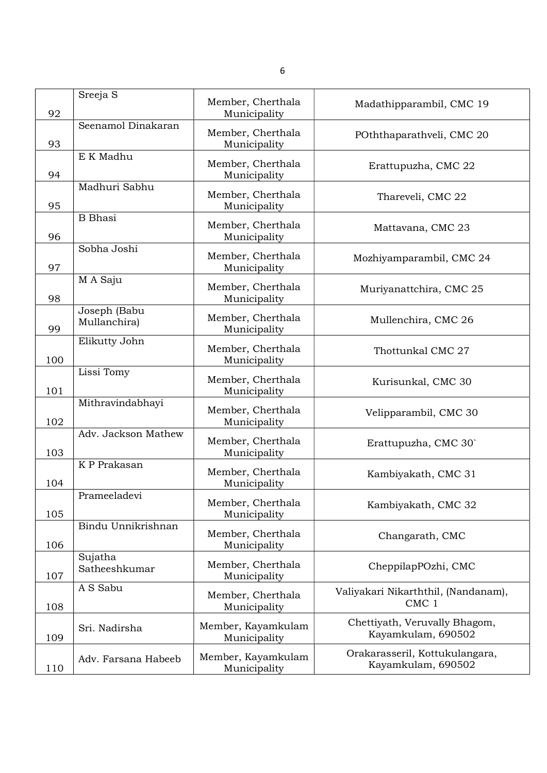| 92  | Sreeja S                     | Member, Cherthala<br>Municipality  | Madathipparambil, CMC 19                                |
|-----|------------------------------|------------------------------------|---------------------------------------------------------|
| 93  | Seenamol Dinakaran           | Member, Cherthala<br>Municipality  | POththaparathveli, CMC 20                               |
| 94  | E K Madhu                    | Member, Cherthala<br>Municipality  | Erattupuzha, CMC 22                                     |
| 95  | Madhuri Sabhu                | Member, Cherthala<br>Municipality  | Thareveli, CMC 22                                       |
| 96  | <b>B</b> Bhasi               | Member, Cherthala<br>Municipality  | Mattavana, CMC 23                                       |
| 97  | Sobha Joshi                  | Member, Cherthala<br>Municipality  | Mozhiyamparambil, CMC 24                                |
| 98  | M A Saju                     | Member, Cherthala<br>Municipality  | Muriyanattchira, CMC 25                                 |
| 99  | Joseph (Babu<br>Mullanchira) | Member, Cherthala<br>Municipality  | Mullenchira, CMC 26                                     |
| 100 | Elikutty John                | Member, Cherthala<br>Municipality  | Thottunkal CMC 27                                       |
| 101 | Lissi Tomy                   | Member, Cherthala<br>Municipality  | Kurisunkal, CMC 30                                      |
| 102 | Mithravindabhayi             | Member, Cherthala<br>Municipality  | Velipparambil, CMC 30                                   |
| 103 | Adv. Jackson Mathew          | Member, Cherthala<br>Municipality  | Erattupuzha, CMC 30                                     |
| 104 | K P Prakasan                 | Member, Cherthala<br>Municipality  | Kambiyakath, CMC 31                                     |
| 105 | Prameeladevi                 | Member, Cherthala<br>Municipality  | Kambiyakath, CMC 32                                     |
| 106 | Bindu Unnikrishnan           | Member, Cherthala<br>Municipality  | Changarath, CMC                                         |
| 107 | Sujatha<br>Satheeshkumar     | Member, Cherthala<br>Municipality  | CheppilapPOzhi, CMC                                     |
| 108 | A S Sabu                     | Member, Cherthala<br>Municipality  | Valiyakari Nikarththil, (Nandanam),<br>CMC <sub>1</sub> |
| 109 | Sri. Nadirsha                | Member, Kayamkulam<br>Municipality | Chettiyath, Veruvally Bhagom,<br>Kayamkulam, 690502     |
| 110 | Adv. Farsana Habeeb          | Member, Kayamkulam<br>Municipality | Orakarasseril, Kottukulangara,<br>Kayamkulam, 690502    |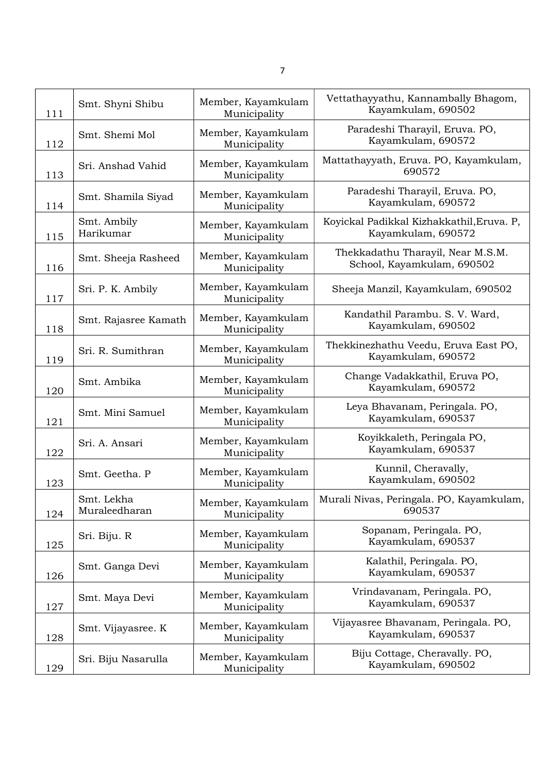| 111 | Smt. Shyni Shibu            | Member, Kayamkulam<br>Municipality | Vettathayyathu, Kannambally Bhagom,<br>Kayamkulam, 690502       |
|-----|-----------------------------|------------------------------------|-----------------------------------------------------------------|
| 112 | Smt. Shemi Mol              | Member, Kayamkulam<br>Municipality | Paradeshi Tharayil, Eruva. PO,<br>Kayamkulam, 690572            |
| 113 | Sri. Anshad Vahid           | Member, Kayamkulam<br>Municipality | Mattathayyath, Eruva. PO, Kayamkulam,<br>690572                 |
| 114 | Smt. Shamila Siyad          | Member, Kayamkulam<br>Municipality | Paradeshi Tharayil, Eruva. PO,<br>Kayamkulam, 690572            |
| 115 | Smt. Ambily<br>Harikumar    | Member, Kayamkulam<br>Municipality | Koyickal Padikkal Kizhakkathil, Eruva. P,<br>Kayamkulam, 690572 |
| 116 | Smt. Sheeja Rasheed         | Member, Kayamkulam<br>Municipality | Thekkadathu Tharayil, Near M.S.M.<br>School, Kayamkulam, 690502 |
| 117 | Sri. P. K. Ambily           | Member, Kayamkulam<br>Municipality | Sheeja Manzil, Kayamkulam, 690502                               |
| 118 | Smt. Rajasree Kamath        | Member, Kayamkulam<br>Municipality | Kandathil Parambu. S. V. Ward,<br>Kayamkulam, 690502            |
| 119 | Sri. R. Sumithran           | Member, Kayamkulam<br>Municipality | Thekkinezhathu Veedu, Eruva East PO,<br>Kayamkulam, 690572      |
| 120 | Smt. Ambika                 | Member, Kayamkulam<br>Municipality | Change Vadakkathil, Eruva PO,<br>Kayamkulam, 690572             |
| 121 | Smt. Mini Samuel            | Member, Kayamkulam<br>Municipality | Leya Bhavanam, Peringala. PO,<br>Kayamkulam, 690537             |
| 122 | Sri. A. Ansari              | Member, Kayamkulam<br>Municipality | Koyikkaleth, Peringala PO,<br>Kayamkulam, 690537                |
| 123 | Smt. Geetha. P              | Member, Kayamkulam<br>Municipality | Kunnil, Cheravally,<br>Kayamkulam, 690502                       |
| 124 | Smt. Lekha<br>Muraleedharan | Member, Kayamkulam<br>Municipality | Murali Nivas, Peringala. PO, Kayamkulam,<br>690537              |
| 125 | Sri. Biju. R                | Member, Kayamkulam<br>Municipality | Sopanam, Peringala. PO,<br>Kayamkulam, 690537                   |
| 126 | Smt. Ganga Devi             | Member, Kayamkulam<br>Municipality | Kalathil, Peringala. PO,<br>Kayamkulam, 690537                  |
| 127 | Smt. Maya Devi              | Member, Kayamkulam<br>Municipality | Vrindavanam, Peringala. PO,<br>Kayamkulam, 690537               |
| 128 | Smt. Vijayasree. K          | Member, Kayamkulam<br>Municipality | Vijayasree Bhavanam, Peringala. PO,<br>Kayamkulam, 690537       |
| 129 | Sri. Biju Nasarulla         | Member, Kayamkulam<br>Municipality | Biju Cottage, Cheravally. PO,<br>Kayamkulam, 690502             |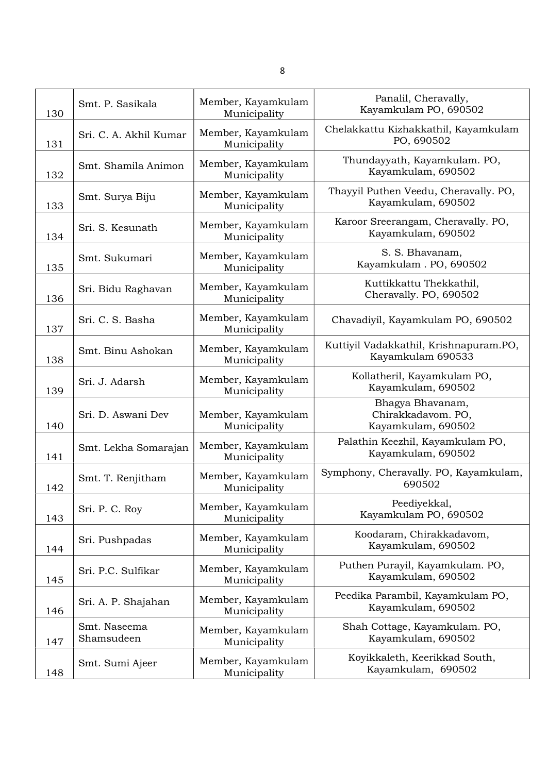| 130 | Smt. P. Sasikala           | Member, Kayamkulam<br>Municipality | Panalil, Cheravally,<br>Kayamkulam PO, 690502                |
|-----|----------------------------|------------------------------------|--------------------------------------------------------------|
| 131 | Sri. C. A. Akhil Kumar     | Member, Kayamkulam<br>Municipality | Chelakkattu Kizhakkathil, Kayamkulam<br>PO, 690502           |
| 132 | Smt. Shamila Animon        | Member, Kayamkulam<br>Municipality | Thundayyath, Kayamkulam. PO,<br>Kayamkulam, 690502           |
| 133 | Smt. Surya Biju            | Member, Kayamkulam<br>Municipality | Thayyil Puthen Veedu, Cheravally. PO,<br>Kayamkulam, 690502  |
| 134 | Sri. S. Kesunath           | Member, Kayamkulam<br>Municipality | Karoor Sreerangam, Cheravally. PO,<br>Kayamkulam, 690502     |
| 135 | Smt. Sukumari              | Member, Kayamkulam<br>Municipality | S. S. Bhavanam,<br>Kayamkulam. PO, 690502                    |
| 136 | Sri. Bidu Raghavan         | Member, Kayamkulam<br>Municipality | Kuttikkattu Thekkathil,<br>Cheravally. PO, 690502            |
| 137 | Sri. C. S. Basha           | Member, Kayamkulam<br>Municipality | Chavadiyil, Kayamkulam PO, 690502                            |
| 138 | Smt. Binu Ashokan          | Member, Kayamkulam<br>Municipality | Kuttiyil Vadakkathil, Krishnapuram.PO,<br>Kayamkulam 690533  |
| 139 | Sri. J. Adarsh             | Member, Kayamkulam<br>Municipality | Kollatheril, Kayamkulam PO,<br>Kayamkulam, 690502            |
| 140 | Sri. D. Aswani Dev         | Member, Kayamkulam<br>Municipality | Bhagya Bhavanam,<br>Chirakkadavom. PO,<br>Kayamkulam, 690502 |
| 141 | Smt. Lekha Somarajan       | Member, Kayamkulam<br>Municipality | Palathin Keezhil, Kayamkulam PO,<br>Kayamkulam, 690502       |
| 142 | Smt. T. Renjitham          | Member, Kayamkulam<br>Municipality | Symphony, Cheravally. PO, Kayamkulam,<br>690502              |
| 143 | Sri. P. C. Roy             | Member, Kayamkulam<br>Municipality | Peediyekkal,<br>Kayamkulam PO, 690502                        |
| 144 | Sri. Pushpadas             | Member, Kayamkulam<br>Municipality | Koodaram, Chirakkadavom,<br>Kayamkulam, 690502               |
| 145 | Sri. P.C. Sulfikar         | Member, Kayamkulam<br>Municipality | Puthen Purayil, Kayamkulam. PO,<br>Kayamkulam, 690502        |
| 146 | Sri. A. P. Shajahan        | Member, Kayamkulam<br>Municipality | Peedika Parambil, Kayamkulam PO,<br>Kayamkulam, 690502       |
| 147 | Smt. Naseema<br>Shamsudeen | Member, Kayamkulam<br>Municipality | Shah Cottage, Kayamkulam. PO,<br>Kayamkulam, 690502          |
| 148 | Smt. Sumi Ajeer            | Member, Kayamkulam<br>Municipality | Koyikkaleth, Keerikkad South,<br>Kayamkulam, 690502          |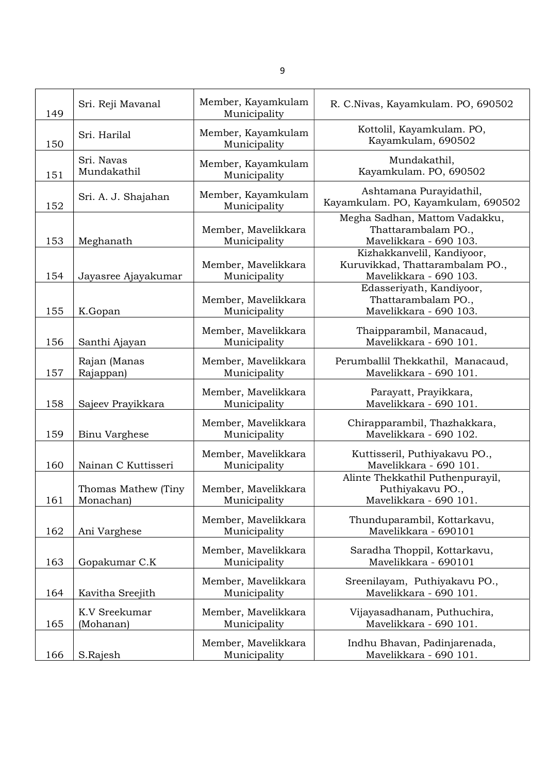| 149 | Sri. Reji Mavanal                | Member, Kayamkulam<br>Municipality  | R. C.Nivas, Kayamkulam. PO, 690502                                                      |
|-----|----------------------------------|-------------------------------------|-----------------------------------------------------------------------------------------|
| 150 | Sri. Harilal                     | Member, Kayamkulam<br>Municipality  | Kottolil, Kayamkulam. PO,<br>Kayamkulam, 690502                                         |
| 151 | Sri. Navas<br>Mundakathil        | Member, Kayamkulam<br>Municipality  | Mundakathil,<br>Kayamkulam. PO, 690502                                                  |
| 152 | Sri. A. J. Shajahan              | Member, Kayamkulam<br>Municipality  | Ashtamana Purayidathil,<br>Kayamkulam. PO, Kayamkulam, 690502                           |
| 153 | Meghanath                        | Member, Mavelikkara<br>Municipality | Megha Sadhan, Mattom Vadakku,<br>Thattarambalam PO.,<br>Mavelikkara - 690 103.          |
| 154 | Jayasree Ajayakumar              | Member, Mavelikkara<br>Municipality | Kizhakkanvelil, Kandiyoor,<br>Kuruvikkad, Thattarambalam PO.,<br>Mavelikkara - 690 103. |
| 155 | K.Gopan                          | Member, Mavelikkara<br>Municipality | Edasseriyath, Kandiyoor,<br>Thattarambalam PO.,<br>Mavelikkara - 690 103.               |
| 156 | Santhi Ajayan                    | Member, Mavelikkara<br>Municipality | Thaipparambil, Manacaud,<br>Mavelikkara - 690 101.                                      |
| 157 | Rajan (Manas<br>Rajappan)        | Member, Mavelikkara<br>Municipality | Perumballil Thekkathil, Manacaud,<br>Mavelikkara - 690 101.                             |
| 158 | Sajeev Prayikkara                | Member, Mavelikkara<br>Municipality | Parayatt, Prayikkara,<br>Mavelikkara - 690 101.                                         |
| 159 | <b>Binu Varghese</b>             | Member, Mavelikkara<br>Municipality | Chirapparambil, Thazhakkara,<br>Mavelikkara - 690 102.                                  |
| 160 | Nainan C Kuttisseri              | Member, Mavelikkara<br>Municipality | Kuttisseril, Puthiyakavu PO.,<br>Mavelikkara - 690 101.                                 |
| 161 | Thomas Mathew (Tiny<br>Monachan) | Member, Mavelikkara<br>Municipality | Alinte Thekkathil Puthenpurayil,<br>Puthiyakavu PO.,<br>Mavelikkara - 690 101           |
| 162 | Ani Varghese                     | Member, Mavelikkara<br>Municipality | Thunduparambil, Kottarkavu,<br>Mavelikkara - 690101                                     |
| 163 | Gopakumar C.K                    | Member, Mavelikkara<br>Municipality | Saradha Thoppil, Kottarkavu,<br>Mavelikkara - 690101                                    |
| 164 | Kavitha Sreejith                 | Member, Mavelikkara<br>Municipality | Sreenilayam, Puthiyakavu PO.,<br>Mavelikkara - 690 101.                                 |
| 165 | K.V Sreekumar<br>(Mohanan)       | Member, Mavelikkara<br>Municipality | Vijayasadhanam, Puthuchira,<br>Mavelikkara - 690 101.                                   |
| 166 | S.Rajesh                         | Member, Mavelikkara<br>Municipality | Indhu Bhavan, Padinjarenada,<br>Mavelikkara - 690 101.                                  |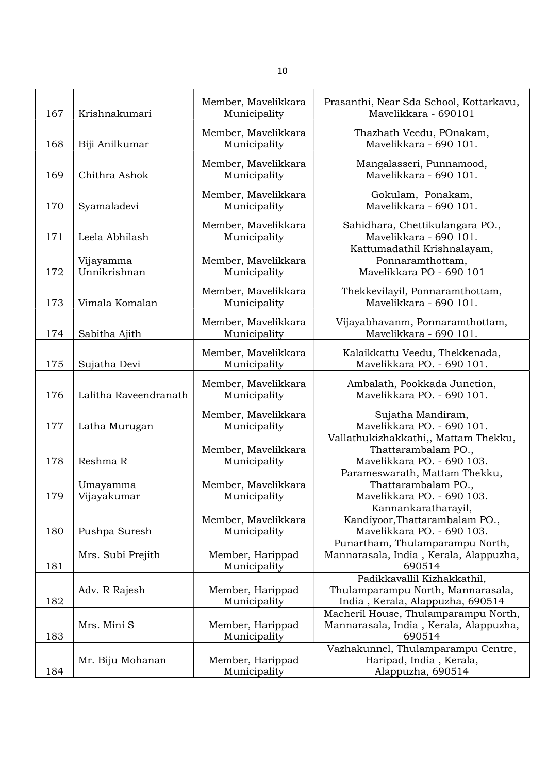| 167 | Krishnakumari             | Member, Mavelikkara<br>Municipality | Prasanthi, Near Sda School, Kottarkavu,<br>Mavelikkara - 690101                                      |
|-----|---------------------------|-------------------------------------|------------------------------------------------------------------------------------------------------|
| 168 | Biji Anilkumar            | Member, Mavelikkara<br>Municipality | Thazhath Veedu, POnakam,<br>Mavelikkara - 690 101.                                                   |
| 169 | Chithra Ashok             | Member, Mavelikkara<br>Municipality | Mangalasseri, Punnamood,<br>Mavelikkara - 690 101.                                                   |
| 170 | Syamaladevi               | Member, Mavelikkara<br>Municipality | Gokulam, Ponakam,<br>Mavelikkara - 690 101.                                                          |
| 171 | Leela Abhilash            | Member, Mavelikkara<br>Municipality | Sahidhara, Chettikulangara PO.,<br>Mavelikkara - 690 101.                                            |
| 172 | Vijayamma<br>Unnikrishnan | Member, Mavelikkara<br>Municipality | Kattumadathil Krishnalayam,<br>Ponnaramthottam,<br>Mavelikkara PO - 690 101                          |
| 173 | Vimala Komalan            | Member, Mavelikkara<br>Municipality | Thekkevilayil, Ponnaramthottam,<br>Mavelikkara - 690 101.                                            |
| 174 | Sabitha Ajith             | Member, Mavelikkara<br>Municipality | Vijayabhavanm, Ponnaramthottam,<br>Mavelikkara - 690 101.                                            |
| 175 | Sujatha Devi              | Member, Mavelikkara<br>Municipality | Kalaikkattu Veedu, Thekkenada,<br>Mavelikkara PO. - 690 101.                                         |
| 176 | Lalitha Raveendranath     | Member, Mavelikkara<br>Municipality | Ambalath, Pookkada Junction,<br>Mavelikkara PO. - 690 101.                                           |
| 177 | Latha Murugan             | Member, Mavelikkara<br>Municipality | Sujatha Mandiram,<br>Mavelikkara PO. - 690 101.                                                      |
| 178 | Reshma R                  | Member, Mavelikkara<br>Municipality | Vallathukizhakkathi,, Mattam Thekku,<br>Thattarambalam PO.,<br>Mavelikkara PO. - 690 103.            |
| 179 | Umayamma<br>Vijayakumar   | Member, Mavelikkara<br>Municipality | Parameswarath, Mattam Thekku,<br>Thattarambalam PO.,<br>Mavelikkara PO. - 690 103.                   |
| 180 | Pushpa Suresh             | Member, Mavelikkara<br>Municipality | Kannankaratharayil,<br>Kandiyoor, Thattarambalam PO.,<br>Mavelikkara PO. - 690 103.                  |
| 181 | Mrs. Subi Prejith         | Member, Harippad<br>Municipality    | Punartham, Thulamparampu North,<br>Mannarasala, India, Kerala, Alappuzha,<br>690514                  |
| 182 | Adv. R Rajesh             | Member, Harippad<br>Municipality    | Padikkavallil Kizhakkathil,<br>Thulamparampu North, Mannarasala,<br>India, Kerala, Alappuzha, 690514 |
| 183 | Mrs. Mini S               | Member, Harippad<br>Municipality    | Macheril House, Thulamparampu North,<br>Mannarasala, India, Kerala, Alappuzha,<br>690514             |
| 184 | Mr. Biju Mohanan          | Member, Harippad<br>Municipality    | Vazhakunnel, Thulamparampu Centre,<br>Haripad, India, Kerala,<br>Alappuzha, 690514                   |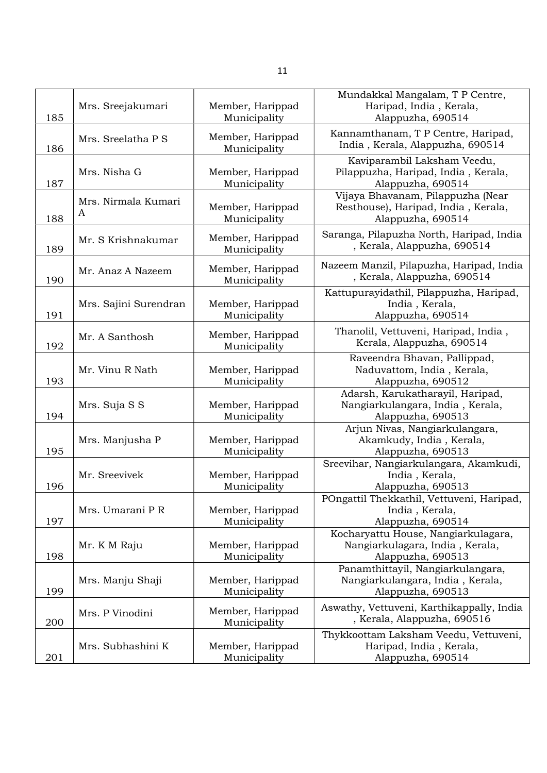| 185 | Mrs. Sreejakumari        | Member, Harippad<br>Municipality | Mundakkal Mangalam, T P Centre,<br>Haripad, India, Kerala,<br>Alappuzha, 690514               |
|-----|--------------------------|----------------------------------|-----------------------------------------------------------------------------------------------|
| 186 | Mrs. Sreelatha P S       | Member, Harippad<br>Municipality | Kannamthanam, T P Centre, Haripad,<br>India, Kerala, Alappuzha, 690514                        |
| 187 | Mrs. Nisha G             | Member, Harippad<br>Municipality | Kaviparambil Laksham Veedu,<br>Pilappuzha, Haripad, India, Kerala,<br>Alappuzha, 690514       |
| 188 | Mrs. Nirmala Kumari<br>A | Member, Harippad<br>Municipality | Vijaya Bhavanam, Pilappuzha (Near<br>Resthouse), Haripad, India, Kerala,<br>Alappuzha, 690514 |
| 189 | Mr. S Krishnakumar       | Member, Harippad<br>Municipality | Saranga, Pilapuzha North, Haripad, India<br>, Kerala, Alappuzha, 690514                       |
| 190 | Mr. Anaz A Nazeem        | Member, Harippad<br>Municipality | Nazeem Manzil, Pilapuzha, Haripad, India<br>, Kerala, Alappuzha, 690514                       |
| 191 | Mrs. Sajini Surendran    | Member, Harippad<br>Municipality | Kattupurayidathil, Pilappuzha, Haripad,<br>India, Kerala,<br>Alappuzha, 690514                |
| 192 | Mr. A Santhosh           | Member, Harippad<br>Municipality | Thanolil, Vettuveni, Haripad, India,<br>Kerala, Alappuzha, 690514                             |
| 193 | Mr. Vinu R Nath          | Member, Harippad<br>Municipality | Raveendra Bhavan, Pallippad,<br>Naduvattom, India, Kerala,<br>Alappuzha, 690512               |
| 194 | Mrs. Suja S S            | Member, Harippad<br>Municipality | Adarsh, Karukatharayil, Haripad,<br>Nangiarkulangara, India, Kerala,<br>Alappuzha, 690513     |
| 195 | Mrs. Manjusha P          | Member, Harippad<br>Municipality | Arjun Nivas, Nangiarkulangara,<br>Akamkudy, India, Kerala,<br>Alappuzha, 690513               |
| 196 | Mr. Sreevivek            | Member, Harippad<br>Municipality | Sreevihar, Nangiarkulangara, Akamkudi,<br>India, Kerala,<br>Alappuzha, 690513                 |
| 197 | Mrs. Umarani P R         | Member, Harippad<br>Municipality | POngattil Thekkathil, Vettuveni, Haripad,<br>India, Kerala,<br>Alappuzha, 690514              |
| 198 | Mr. K M Raju             | Member, Harippad<br>Municipality | Kocharyattu House, Nangiarkulagara,<br>Nangiarkulagara, India, Kerala,<br>Alappuzha, 690513   |
| 199 | Mrs. Manju Shaji         | Member, Harippad<br>Municipality | Panamthittayil, Nangiarkulangara,<br>Nangiarkulangara, India, Kerala,<br>Alappuzha, 690513    |
| 200 | Mrs. P Vinodini          | Member, Harippad<br>Municipality | Aswathy, Vettuveni, Karthikappally, India<br>, Kerala, Alappuzha, 690516                      |
| 201 | Mrs. Subhashini K        | Member, Harippad<br>Municipality | Thykkoottam Laksham Veedu, Vettuveni,<br>Haripad, India, Kerala,<br>Alappuzha, 690514         |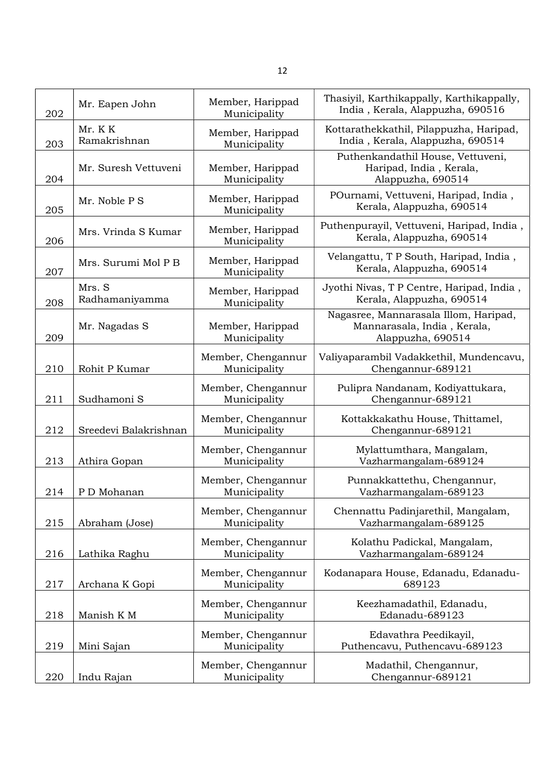| 202 | Mr. Eapen John           | Member, Harippad<br>Municipality   | Thasiyil, Karthikappally, Karthikappally,<br>India, Kerala, Alappuzha, 690516             |
|-----|--------------------------|------------------------------------|-------------------------------------------------------------------------------------------|
| 203 | Mr. KK<br>Ramakrishnan   | Member, Harippad<br>Municipality   | Kottarathekkathil, Pilappuzha, Haripad,<br>India, Kerala, Alappuzha, 690514               |
| 204 | Mr. Suresh Vettuveni     | Member, Harippad<br>Municipality   | Puthenkandathil House, Vettuveni,<br>Haripad, India, Kerala,<br>Alappuzha, 690514         |
| 205 | Mr. Noble P S            | Member, Harippad<br>Municipality   | POurnami, Vettuveni, Haripad, India,<br>Kerala, Alappuzha, 690514                         |
| 206 | Mrs. Vrinda S Kumar      | Member, Harippad<br>Municipality   | Puthenpurayil, Vettuveni, Haripad, India,<br>Kerala, Alappuzha, 690514                    |
| 207 | Mrs. Surumi Mol P B      | Member, Harippad<br>Municipality   | Velangattu, T P South, Haripad, India,<br>Kerala, Alappuzha, 690514                       |
| 208 | Mrs. S<br>Radhamaniyamma | Member, Harippad<br>Municipality   | Jyothi Nivas, T P Centre, Haripad, India,<br>Kerala, Alappuzha, 690514                    |
| 209 | Mr. Nagadas S            | Member, Harippad<br>Municipality   | Nagasree, Mannarasala Illom, Haripad,<br>Mannarasala, India, Kerala,<br>Alappuzha, 690514 |
| 210 | Rohit P Kumar            | Member, Chengannur<br>Municipality | Valiyaparambil Vadakkethil, Mundencavu,<br>Chengannur-689121                              |
| 211 | Sudhamoni S              | Member, Chengannur<br>Municipality | Pulipra Nandanam, Kodiyattukara,<br>Chengannur-689121                                     |
| 212 | Sreedevi Balakrishnan    | Member, Chengannur<br>Municipality | Kottakkakathu House, Thittamel,<br>Chengannur-689121                                      |
| 213 | Athira Gopan             | Member, Chengannur<br>Municipality | Mylattumthara, Mangalam,<br>Vazharmangalam-689124                                         |
| 214 | P D Mohanan              | Member, Chengannur<br>Municipality | Punnakkattethu, Chengannur,<br>Vazharmangalam-689123                                      |
| 215 | Abraham (Jose)           | Member, Chengannur<br>Municipality | Chennattu Padinjarethil, Mangalam,<br>Vazharmangalam-689125                               |
| 216 | Lathika Raghu            | Member, Chengannur<br>Municipality | Kolathu Padickal, Mangalam,<br>Vazharmangalam-689124                                      |
| 217 | Archana K Gopi           | Member, Chengannur<br>Municipality | Kodanapara House, Edanadu, Edanadu-<br>689123                                             |
| 218 | Manish K M               | Member, Chengannur<br>Municipality | Keezhamadathil, Edanadu,<br>Edanadu-689123                                                |
| 219 | Mini Sajan               | Member, Chengannur<br>Municipality | Edavathra Peedikayil,<br>Puthencavu, Puthencavu-689123                                    |
| 220 | Indu Rajan               | Member, Chengannur<br>Municipality | Madathil, Chengannur,<br>Chengannur-689121                                                |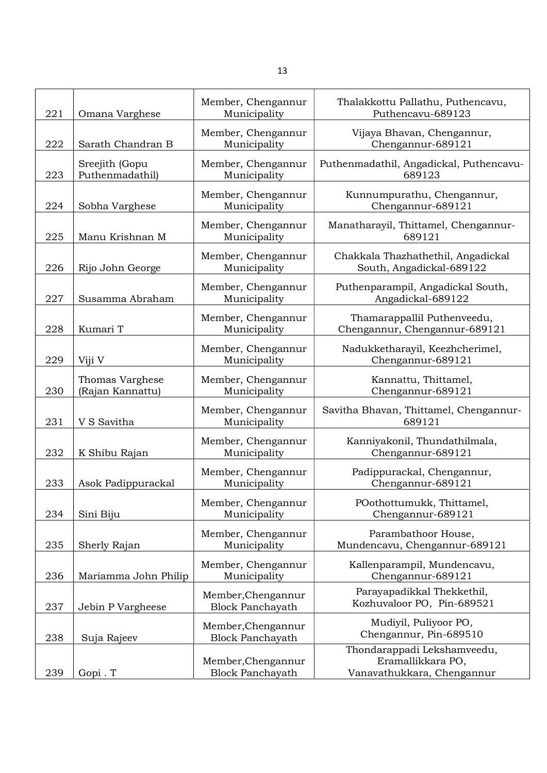| 221 | Omana Varghese                      | Member, Chengannur<br>Municipality            | Thalakkottu Pallathu, Puthencavu,<br>Puthencavu-689123                         |
|-----|-------------------------------------|-----------------------------------------------|--------------------------------------------------------------------------------|
| 222 | Sarath Chandran B                   | Member, Chengannur<br>Municipality            | Vijaya Bhavan, Chengannur,<br>Chengannur-689121                                |
| 223 | Sreejith (Gopu<br>Puthenmadathil)   | Member, Chengannur<br>Municipality            | Puthenmadathil, Angadickal, Puthencavu-<br>689123                              |
| 224 | Sobha Varghese                      | Member, Chengannur<br>Municipality            | Kunnumpurathu, Chengannur,<br>Chengannur-689121                                |
| 225 | Manu Krishnan M                     | Member, Chengannur<br>Municipality            | Manatharayil, Thittamel, Chengannur-<br>689121                                 |
| 226 | Rijo John George                    | Member, Chengannur<br>Municipality            | Chakkala Thazhathethil, Angadickal<br>South, Angadickal-689122                 |
| 227 | Susamma Abraham                     | Member, Chengannur<br>Municipality            | Puthenparampil, Angadickal South,<br>Angadickal-689122                         |
| 228 | Kumari T                            | Member, Chengannur<br>Municipality            | Thamarappallil Puthenveedu,<br>Chengannur, Chengannur-689121                   |
| 229 | Viji V                              | Member, Chengannur<br>Municipality            | Nadukketharayil, Keezhcherimel,<br>Chengannur-689121                           |
| 230 | Thomas Varghese<br>(Rajan Kannattu) | Member, Chengannur<br>Municipality            | Kannattu, Thittamel,<br>Chengannur-689121                                      |
| 231 | V S Savitha                         | Member, Chengannur<br>Municipality            | Savitha Bhavan, Thittamel, Chengannur-<br>689121                               |
| 232 | K Shibu Rajan                       | Member, Chengannur<br>Municipality            | Kanniyakonil, Thundathilmala,<br>Chengannur-689121                             |
| 233 | Asok Padippurackal                  | Member, Chengannur<br>Municipality            | Padippurackal, Chengannur,<br>Chengannur-689121                                |
| 234 | Sini Biju                           | Member, Chengannur<br>Municipality            | POothottumukk, Thittamel,<br>Chengannur-689121                                 |
| 235 | Sherly Rajan                        | Member, Chengannur<br>Municipality            | Parambathoor House,<br>Mundencavu, Chengannur-689121                           |
| 236 | Mariamma John Philip                | Member, Chengannur<br>Municipality            | Kallenparampil, Mundencavu,<br>Chengannur-689121                               |
| 237 | Jebin P Vargheese                   | Member, Chengannur<br><b>Block Panchayath</b> | Parayapadikkal Thekkethil,<br>Kozhuvaloor PO, Pin-689521                       |
| 238 | Suja Rajeev                         | Member, Chengannur<br><b>Block Panchayath</b> | Mudiyil, Puliyoor PO,<br>Chengannur, Pin-689510                                |
| 239 | Gopi. T                             | Member, Chengannur<br><b>Block Panchayath</b> | Thondarappadi Lekshamveedu,<br>Eramallikkara PO,<br>Vanavathukkara, Chengannur |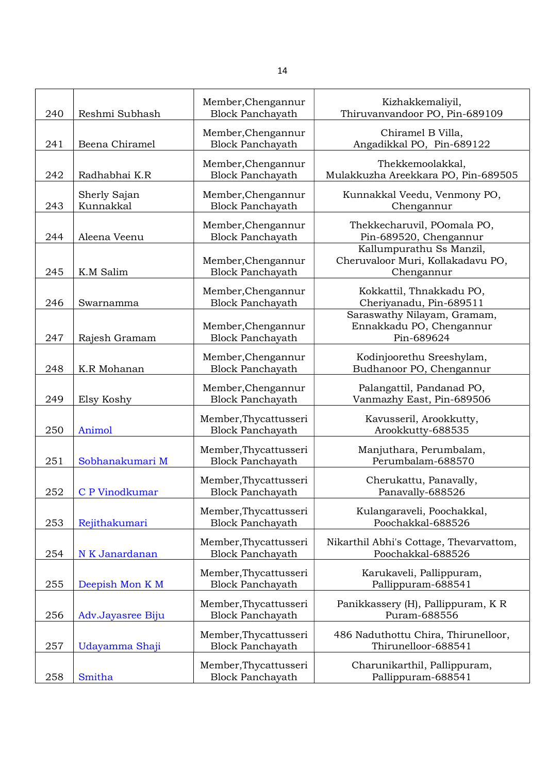| 240 | Reshmi Subhash            | Member, Chengannur<br><b>Block Panchayath</b>    | Kizhakkemaliyil,<br>Thiruvanvandoor PO, Pin-689109                          |
|-----|---------------------------|--------------------------------------------------|-----------------------------------------------------------------------------|
| 241 | Beena Chiramel            | Member, Chengannur<br><b>Block Panchayath</b>    | Chiramel B Villa,<br>Angadikkal PO, Pin-689122                              |
| 242 | Radhabhai K.R             | Member, Chengannur<br><b>Block Panchayath</b>    | Thekkemoolakkal,<br>Mulakkuzha Areekkara PO, Pin-689505                     |
| 243 | Sherly Sajan<br>Kunnakkal | Member, Chengannur<br><b>Block Panchayath</b>    | Kunnakkal Veedu, Venmony PO,<br>Chengannur                                  |
| 244 | Aleena Veenu              | Member, Chengannur<br><b>Block Panchayath</b>    | Thekkecharuvil, POomala PO,<br>Pin-689520, Chengannur                       |
| 245 | K.M Salim                 | Member, Chengannur<br><b>Block Panchayath</b>    | Kallumpurathu Ss Manzil,<br>Cheruvaloor Muri, Kollakadavu PO,<br>Chengannur |
| 246 | Swarnamma                 | Member, Chengannur<br><b>Block Panchayath</b>    | Kokkattil, Thnakkadu PO,<br>Cheriyanadu, Pin-689511                         |
| 247 | Rajesh Gramam             | Member, Chengannur<br><b>Block Panchayath</b>    | Saraswathy Nilayam, Gramam,<br>Ennakkadu PO, Chengannur<br>Pin-689624       |
| 248 | K.R Mohanan               | Member, Chengannur<br><b>Block Panchayath</b>    | Kodinjoorethu Sreeshylam,<br>Budhanoor PO, Chengannur                       |
| 249 | Elsy Koshy                | Member, Chengannur<br><b>Block Panchayath</b>    | Palangattil, Pandanad PO,<br>Vanmazhy East, Pin-689506                      |
| 250 | Animol                    | Member, Thycattusseri<br><b>Block Panchayath</b> | Kavusseril, Arookkutty,<br>Arookkutty-688535                                |
| 251 | Sobhanakumari M           | Member, Thycattusseri<br><b>Block Panchayath</b> | Manjuthara, Perumbalam,<br>Perumbalam-688570                                |
| 252 | C P Vinodkumar            | Member, Thycattusseri<br><b>Block Panchayath</b> | Cherukattu, Panavally,<br>Panavally-688526                                  |
| 253 | Rejithakumari             | Member, Thycattusseri<br><b>Block Panchayath</b> | Kulangaraveli, Poochakkal,<br>Poochakkal-688526                             |
| 254 | N K Janardanan            | Member, Thycattusseri<br><b>Block Panchayath</b> | Nikarthil Abhi's Cottage, Thevarvattom,<br>Poochakkal-688526                |
| 255 | Deepish Mon K M           | Member, Thycattusseri<br><b>Block Panchayath</b> | Karukaveli, Pallippuram,<br>Pallippuram-688541                              |
| 256 | Adv.Jayasree Biju         | Member, Thycattusseri<br><b>Block Panchayath</b> | Panikkassery (H), Pallippuram, KR<br>Puram-688556                           |
| 257 | Udayamma Shaji            | Member, Thycattusseri<br><b>Block Panchayath</b> | 486 Naduthottu Chira, Thirunelloor,<br>Thirunelloor-688541                  |
| 258 | Smitha                    | Member, Thycattusseri<br><b>Block Panchayath</b> | Charunikarthil, Pallippuram,<br>Pallippuram-688541                          |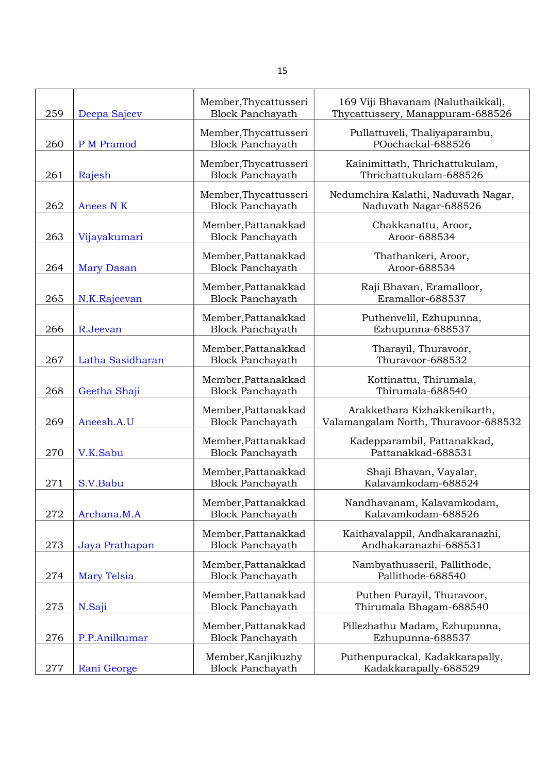| 259 | Deepa Sajeev       | Member, Thycattusseri<br><b>Block Panchayath</b> | 169 Viji Bhavanam (Naluthaikkal),<br>Thycattussery, Manappuram-688526 |
|-----|--------------------|--------------------------------------------------|-----------------------------------------------------------------------|
| 260 | P M Pramod         | Member, Thycattusseri<br><b>Block Panchayath</b> | Pullattuveli, Thaliyaparambu,<br>POochackal-688526                    |
| 261 | Rajesh             | Member, Thycattusseri<br><b>Block Panchayath</b> | Kainimittath, Thrichattukulam,<br>Thrichattukulam-688526              |
| 262 | Anees N K          | Member, Thycattusseri<br><b>Block Panchayath</b> | Nedumchira Kalathi, Naduvath Nagar,<br>Naduvath Nagar-688526          |
| 263 | Vijayakumari       | Member, Pattanakkad<br><b>Block Panchayath</b>   | Chakkanattu, Aroor,<br>Aroor-688534                                   |
| 264 | <b>Mary Dasan</b>  | Member, Pattanakkad<br><b>Block Panchayath</b>   | Thathankeri, Aroor,<br>Aroor-688534                                   |
| 265 | N.K.Rajeevan       | Member, Pattanakkad<br><b>Block Panchayath</b>   | Raji Bhavan, Eramalloor,<br>Eramallor-688537                          |
| 266 | R.Jeevan           | Member, Pattanakkad<br><b>Block Panchayath</b>   | Puthenvelil, Ezhupunna,<br>Ezhupunna-688537                           |
| 267 | Latha Sasidharan   | Member, Pattanakkad<br><b>Block Panchayath</b>   | Tharayil, Thuravoor,<br>Thuravoor-688532                              |
| 268 | Geetha Shaji       | Member, Pattanakkad<br><b>Block Panchayath</b>   | Kottinattu, Thirumala,<br>Thirumala-688540                            |
| 269 | Aneesh.A.U         | Member, Pattanakkad<br><b>Block Panchayath</b>   | Arakkethara Kizhakkenikarth,<br>Valamangalam North, Thuravoor-688532  |
| 270 | V.K.Sabu           | Member, Pattanakkad<br><b>Block Panchayath</b>   | Kadepparambil, Pattanakkad,<br>Pattanakkad-688531                     |
| 271 | S.V.Babu           | Member, Pattanakkad<br><b>Block Panchayath</b>   | Shaji Bhavan, Vayalar,<br>Kalavamkodam-688524                         |
| 272 | Archana.M.A        | Member, Pattanakkad<br><b>Block Panchayath</b>   | Nandhavanam, Kalavamkodam,<br>Kalavamkodam-688526                     |
| 273 | Jaya Prathapan     | Member, Pattanakkad<br><b>Block Panchayath</b>   | Kaithavalappil, Andhakaranazhi,<br>Andhakaranazhi-688531              |
| 274 | <b>Mary Telsia</b> | Member, Pattanakkad<br><b>Block Panchayath</b>   | Nambyathusseril, Pallithode,<br>Pallithode-688540                     |
| 275 | N.Saji             | Member, Pattanakkad<br><b>Block Panchayath</b>   | Puthen Purayil, Thuravoor,<br>Thirumala Bhagam-688540                 |
| 276 | P.P.Anilkumar      | Member, Pattanakkad<br><b>Block Panchayath</b>   | Pillezhathu Madam, Ezhupunna,<br>Ezhupunna-688537                     |
| 277 | Rani George        | Member, Kanjikuzhy<br><b>Block Panchayath</b>    | Puthenpurackal, Kadakkarapally,<br>Kadakkarapally-688529              |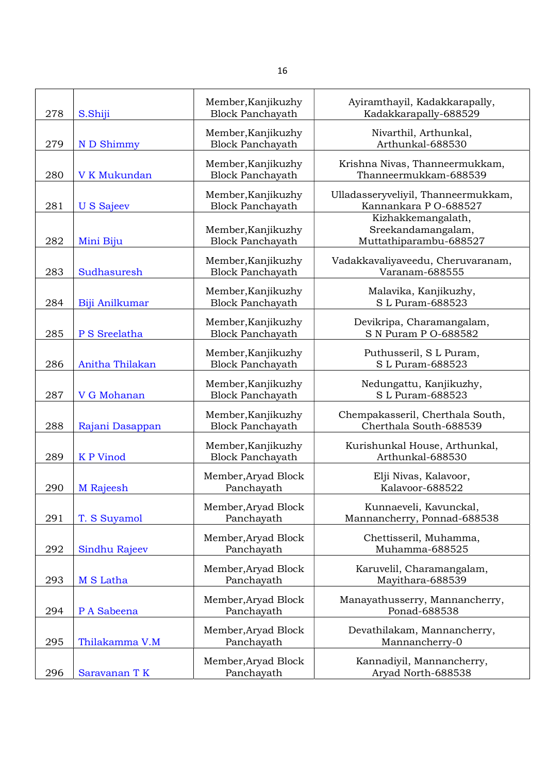| 278 | S.Shiji           | Member, Kanjikuzhy<br><b>Block Panchayath</b> | Ayiramthayil, Kadakkarapally,<br>Kadakkarapally-688529             |
|-----|-------------------|-----------------------------------------------|--------------------------------------------------------------------|
| 279 | N D Shimmy        | Member, Kanjikuzhy<br><b>Block Panchayath</b> | Nivarthil, Arthunkal,<br>Arthunkal-688530                          |
| 280 | V K Mukundan      | Member, Kanjikuzhy<br><b>Block Panchayath</b> | Krishna Nivas, Thanneermukkam,<br>Thanneermukkam-688539            |
| 281 | <b>U S Sajeev</b> | Member, Kanjikuzhy<br><b>Block Panchayath</b> | Ulladasseryveliyil, Thanneermukkam,<br>Kannankara P O-688527       |
| 282 | Mini Biju         | Member, Kanjikuzhy<br><b>Block Panchayath</b> | Kizhakkemangalath,<br>Sreekandamangalam,<br>Muttathiparambu-688527 |
| 283 | Sudhasuresh       | Member, Kanjikuzhy<br><b>Block Panchayath</b> | Vadakkavaliyaveedu, Cheruvaranam,<br>Varanam-688555                |
| 284 | Biji Anilkumar    | Member, Kanjikuzhy<br><b>Block Panchayath</b> | Malavika, Kanjikuzhy,<br>S L Puram-688523                          |
| 285 | P S Sreelatha     | Member, Kanjikuzhy<br><b>Block Panchayath</b> | Devikripa, Charamangalam,<br>S N Puram P O-688582                  |
| 286 | Anitha Thilakan   | Member, Kanjikuzhy<br><b>Block Panchayath</b> | Puthusseril, S L Puram,<br>S L Puram-688523                        |
| 287 | V G Mohanan       | Member, Kanjikuzhy<br><b>Block Panchayath</b> | Nedungattu, Kanjikuzhy,<br>S L Puram-688523                        |
| 288 | Rajani Dasappan   | Member, Kanjikuzhy<br><b>Block Panchayath</b> | Chempakasseril, Cherthala South,<br>Cherthala South-688539         |
| 289 | <b>KP</b> Vinod   | Member, Kanjikuzhy<br><b>Block Panchayath</b> | Kurishunkal House, Arthunkal,<br>Arthunkal-688530                  |
| 290 | M Rajeesh         | Member, Aryad Block<br>Panchayath             | Elji Nivas, Kalavoor,<br>Kalavoor-688522                           |
| 291 | T. S Suyamol      | Member, Aryad Block<br>Panchayath             | Kunnaeveli, Kavunckal,<br>Mannancherry, Ponnad-688538              |
| 292 | Sindhu Rajeev     | Member, Aryad Block<br>Panchayath             | Chettisseril, Muhamma,<br>Muhamma-688525                           |
| 293 | M S Latha         | Member, Aryad Block<br>Panchayath             | Karuvelil, Charamangalam,<br>Mayithara-688539                      |
| 294 | P A Sabeena       | Member, Aryad Block<br>Panchayath             | Manayathusserry, Mannancherry,<br>Ponad-688538                     |
| 295 | Thilakamma V.M    | Member, Aryad Block<br>Panchayath             | Devathilakam, Mannancherry,<br>Mannancherry-0                      |
| 296 | Saravanan T K     | Member, Aryad Block<br>Panchayath             | Kannadiyil, Mannancherry,<br>Aryad North-688538                    |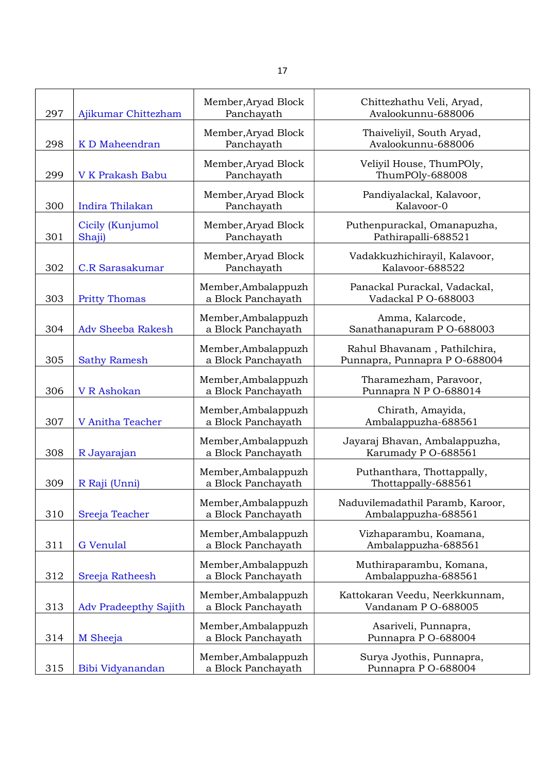| 297 | Ajikumar Chittezham          | Member, Aryad Block<br>Panchayath         | Chittezhathu Veli, Aryad,<br>Avalookunnu-688006               |
|-----|------------------------------|-------------------------------------------|---------------------------------------------------------------|
| 298 | K D Maheendran               | Member, Aryad Block<br>Panchayath         | Thaiveliyil, South Aryad,<br>Avalookunnu-688006               |
| 299 | <b>V K Prakash Babu</b>      | Member, Aryad Block<br>Panchayath         | Veliyil House, ThumPOly,<br>ThumPOly-688008                   |
| 300 | Indira Thilakan              | Member, Aryad Block<br>Panchayath         | Pandiyalackal, Kalavoor,<br>Kalavoor-0                        |
| 301 | Cicily (Kunjumol<br>Shaji)   | Member, Aryad Block<br>Panchayath         | Puthenpurackal, Omanapuzha,<br>Pathirapalli-688521            |
| 302 | <b>C.R Sarasakumar</b>       | Member, Aryad Block<br>Panchayath         | Vadakkuzhichirayil, Kalavoor,<br>Kalavoor-688522              |
| 303 | <b>Pritty Thomas</b>         | Member, Ambalappuzh<br>a Block Panchayath | Panackal Purackal, Vadackal,<br>Vadackal P O-688003           |
| 304 | <b>Adv Sheeba Rakesh</b>     | Member, Ambalappuzh<br>a Block Panchayath | Amma, Kalarcode,<br>Sanathanapuram P O-688003                 |
| 305 | <b>Sathy Ramesh</b>          | Member, Ambalappuzh<br>a Block Panchayath | Rahul Bhavanam, Pathilchira,<br>Punnapra, Punnapra P O-688004 |
| 306 | V R Ashokan                  | Member, Ambalappuzh<br>a Block Panchayath | Tharamezham, Paravoor,<br>Punnapra N P O-688014               |
| 307 | V Anitha Teacher             | Member, Ambalappuzh<br>a Block Panchayath | Chirath, Amayida,<br>Ambalappuzha-688561                      |
| 308 | R Jayarajan                  | Member, Ambalappuzh<br>a Block Panchayath | Jayaraj Bhavan, Ambalappuzha,<br>Karumady P O-688561          |
| 309 | R Raji (Unni)                | Member, Ambalappuzh<br>a Block Panchayath | Puthanthara, Thottappally,<br>Thottappally-688561             |
| 310 | Sreeja Teacher               | Member, Ambalappuzh<br>a Block Panchayath | Naduvilemadathil Paramb, Karoor,<br>Ambalappuzha-688561       |
| 311 | <b>G</b> Venulal             | Member, Ambalappuzh<br>a Block Panchayath | Vizhaparambu, Koamana,<br>Ambalappuzha-688561                 |
| 312 | Sreeja Ratheesh              | Member, Ambalappuzh<br>a Block Panchayath | Muthiraparambu, Komana,<br>Ambalappuzha-688561                |
| 313 | <b>Adv Pradeepthy Sajith</b> | Member, Ambalappuzh<br>a Block Panchayath | Kattokaran Veedu, Neerkkunnam,<br>Vandanam P O-688005         |
| 314 | M Sheeja                     | Member, Ambalappuzh<br>a Block Panchayath | Asariveli, Punnapra,<br>Punnapra P O-688004                   |
| 315 | Bibi Vidyanandan             | Member, Ambalappuzh<br>a Block Panchayath | Surya Jyothis, Punnapra,<br>Punnapra P O-688004               |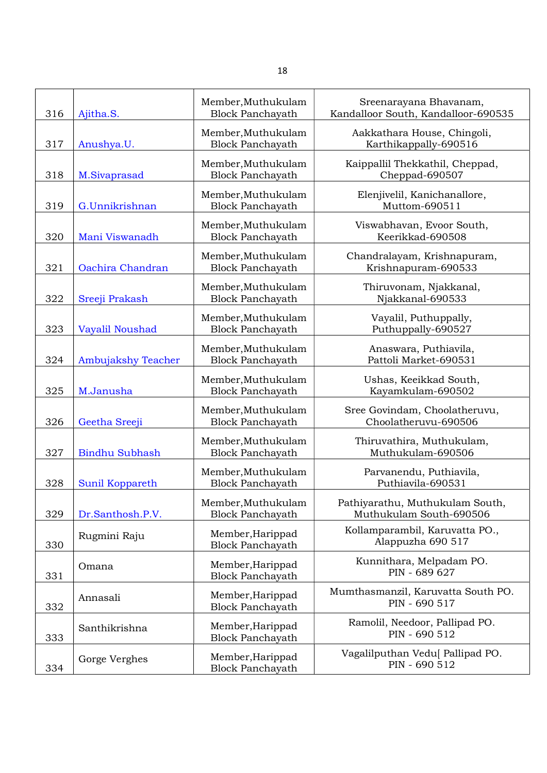| 316 | Ajitha.S.                 | Member, Muthukulam<br><b>Block Panchayath</b> | Sreenarayana Bhavanam,<br>Kandalloor South, Kandalloor-690535 |
|-----|---------------------------|-----------------------------------------------|---------------------------------------------------------------|
| 317 | Anushya.U.                | Member, Muthukulam<br><b>Block Panchayath</b> | Aakkathara House, Chingoli,<br>Karthikappally-690516          |
| 318 | M.Sivaprasad              | Member, Muthukulam<br><b>Block Panchayath</b> | Kaippallil Thekkathil, Cheppad,<br>Cheppad-690507             |
| 319 | G.Unnikrishnan            | Member, Muthukulam<br><b>Block Panchayath</b> | Elenjivelil, Kanichanallore,<br>Muttom-690511                 |
| 320 | Mani Viswanadh            | Member, Muthukulam<br><b>Block Panchayath</b> | Viswabhavan, Evoor South,<br>Keerikkad-690508                 |
| 321 | Oachira Chandran          | Member, Muthukulam<br><b>Block Panchayath</b> | Chandralayam, Krishnapuram,<br>Krishnapuram-690533            |
| 322 | Sreeji Prakash            | Member, Muthukulam<br><b>Block Panchayath</b> | Thiruvonam, Njakkanal,<br>Njakkanal-690533                    |
| 323 | Vayalil Noushad           | Member, Muthukulam<br><b>Block Panchayath</b> | Vayalil, Puthuppally,<br>Puthuppally-690527                   |
| 324 | <b>Ambujakshy Teacher</b> | Member, Muthukulam<br><b>Block Panchayath</b> | Anaswara, Puthiavila,<br>Pattoli Market-690531                |
| 325 | M.Janusha                 | Member, Muthukulam<br><b>Block Panchayath</b> | Ushas, Keeikkad South,<br>Kayamkulam-690502                   |
| 326 | Geetha Sreeji             | Member, Muthukulam<br><b>Block Panchayath</b> | Sree Govindam, Choolatheruvu,<br>Choolatheruvu-690506         |
| 327 | <b>Bindhu Subhash</b>     | Member, Muthukulam<br><b>Block Panchayath</b> | Thiruvathira, Muthukulam,<br>Muthukulam-690506                |
| 328 | Sunil Koppareth           | Member, Muthukulam<br><b>Block Panchayath</b> | Parvanendu, Puthiavila,<br>Puthiavila-690531                  |
| 329 | Dr.Santhosh.P.V.          | Member, Muthukulam<br><b>Block Panchayath</b> | Pathiyarathu, Muthukulam South,<br>Muthukulam South-690506    |
| 330 | Rugmini Raju              | Member, Harippad<br><b>Block Panchayath</b>   | Kollamparambil, Karuvatta PO.,<br>Alappuzha 690 517           |
| 331 | Omana                     | Member, Harippad<br><b>Block Panchayath</b>   | Kunnithara, Melpadam PO.<br>PIN - 689 627                     |
| 332 | Annasali                  | Member, Harippad<br><b>Block Panchayath</b>   | Mumthasmanzil, Karuvatta South PO.<br>PIN - 690 517           |
| 333 | Santhikrishna             | Member, Harippad<br><b>Block Panchayath</b>   | Ramolil, Needoor, Pallipad PO.<br>PIN - 690 512               |
| 334 | Gorge Verghes             | Member, Harippad<br><b>Block Panchayath</b>   | Vagalilputhan Vedu [Pallipad PO.<br>PIN - 690 512             |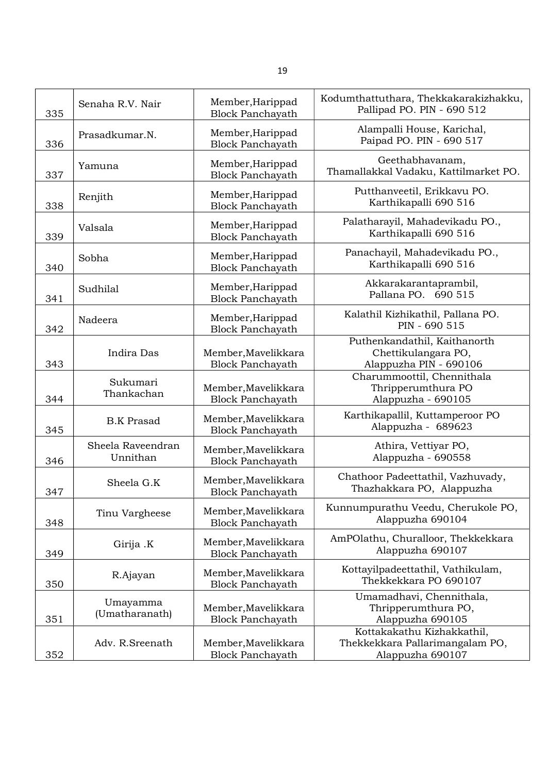| 335 | Senaha R.V. Nair              | Member, Harippad<br><b>Block Panchayath</b>    | Kodumthattuthara, Thekkakarakizhakku,<br>Pallipad PO. PIN - 690 512               |
|-----|-------------------------------|------------------------------------------------|-----------------------------------------------------------------------------------|
| 336 | Prasadkumar.N.                | Member, Harippad<br><b>Block Panchayath</b>    | Alampalli House, Karichal,<br>Paipad PO. PIN - 690 517                            |
| 337 | Yamuna                        | Member, Harippad<br><b>Block Panchayath</b>    | Geethabhavanam,<br>Thamallakkal Vadaku, Kattilmarket PO.                          |
| 338 | Renjith                       | Member, Harippad<br><b>Block Panchayath</b>    | Putthanveetil, Erikkavu PO.<br>Karthikapalli 690 516                              |
| 339 | Valsala                       | Member, Harippad<br><b>Block Panchayath</b>    | Palatharayil, Mahadevikadu PO.,<br>Karthikapalli 690 516                          |
| 340 | Sobha                         | Member, Harippad<br><b>Block Panchayath</b>    | Panachayil, Mahadevikadu PO.,<br>Karthikapalli 690 516                            |
| 341 | Sudhilal                      | Member, Harippad<br><b>Block Panchayath</b>    | Akkarakarantaprambil,<br>Pallana PO. 690 515                                      |
| 342 | Nadeera                       | Member, Harippad<br><b>Block Panchayath</b>    | Kalathil Kizhikathil, Pallana PO.<br>PIN - 690 515                                |
| 343 | Indira Das                    | Member, Mavelikkara<br><b>Block Panchayath</b> | Puthenkandathil, Kaithanorth<br>Chettikulangara PO,<br>Alappuzha PIN - 690106     |
| 344 | Sukumari<br>Thankachan        | Member, Mavelikkara<br><b>Block Panchayath</b> | Charummoottil, Chennithala<br>Thripperumthura PO<br>Alappuzha - 690105            |
| 345 | <b>B.K Prasad</b>             | Member, Mavelikkara<br><b>Block Panchayath</b> | Karthikapallil, Kuttamperoor PO<br>Alappuzha - 689623                             |
| 346 | Sheela Raveendran<br>Unnithan | Member, Mavelikkara<br><b>Block Panchayath</b> | Athira, Vettiyar PO,<br>Alappuzha - 690558                                        |
| 347 | Sheela G.K                    | Member, Mavelikkara<br><b>Block Panchayath</b> | Chathoor Padeettathil, Vazhuvady,<br>Thazhakkara PO, Alappuzha                    |
| 348 | Tinu Vargheese                | Member, Mavelikkara<br><b>Block Panchayath</b> | Kunnumpurathu Veedu, Cherukole PO,<br>Alappuzha 690104                            |
| 349 | Girija .K                     | Member, Mavelikkara<br><b>Block Panchayath</b> | AmPOlathu, Churalloor, Thekkekkara<br>Alappuzha 690107                            |
| 350 | R.Ajayan                      | Member, Mavelikkara<br><b>Block Panchayath</b> | Kottayilpadeettathil, Vathikulam,<br>Thekkekkara PO 690107                        |
| 351 | Umayamma<br>(Umatharanath)    | Member, Mavelikkara<br><b>Block Panchayath</b> | Umamadhavi, Chennithala,<br>Thripperumthura PO,<br>Alappuzha 690105               |
| 352 | Adv. R.Sreenath               | Member, Mavelikkara<br><b>Block Panchayath</b> | Kottakakathu Kizhakkathil,<br>Thekkekkara Pallarimangalam PO,<br>Alappuzha 690107 |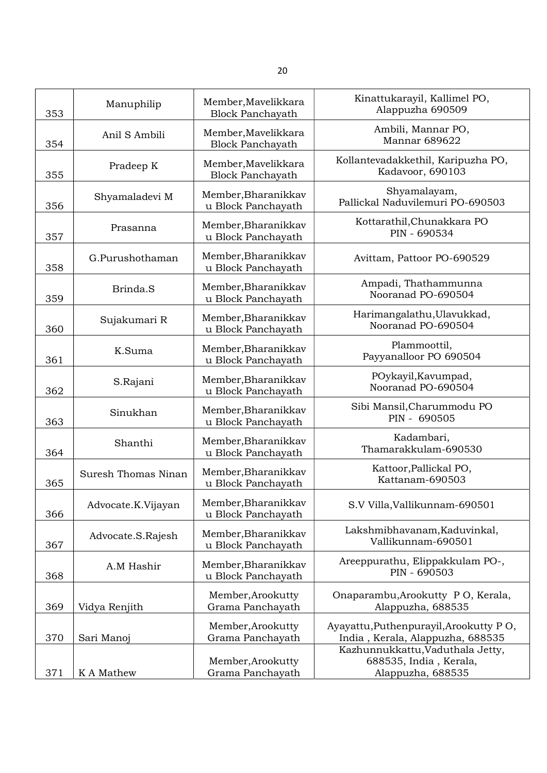| 353 | Manuphilip          | Member, Mavelikkara<br><b>Block Panchayath</b> | Kinattukarayil, Kallimel PO,<br>Alappuzha 690509                                |
|-----|---------------------|------------------------------------------------|---------------------------------------------------------------------------------|
| 354 | Anil S Ambili       | Member, Mavelikkara<br><b>Block Panchayath</b> | Ambili, Mannar PO,<br>Mannar 689622                                             |
| 355 | Pradeep K           | Member, Mavelikkara<br><b>Block Panchayath</b> | Kollantevadakkethil, Karipuzha PO,<br>Kadavoor, 690103                          |
| 356 | Shyamaladevi M      | Member, Bharanikkav<br>u Block Panchayath      | Shyamalayam,<br>Pallickal Naduvilemuri PO-690503                                |
| 357 | Prasanna            | Member, Bharanikkav<br>u Block Panchayath      | Kottarathil, Chunakkara PO<br>PIN - 690534                                      |
| 358 | G.Purushothaman     | Member, Bharanikkav<br>u Block Panchayath      | Avittam, Pattoor PO-690529                                                      |
| 359 | Brinda.S            | Member, Bharanikkav<br>u Block Panchayath      | Ampadi, Thathammunna<br>Nooranad PO-690504                                      |
| 360 | Sujakumari R        | Member, Bharanikkav<br>u Block Panchayath      | Harimangalathu, Ulavukkad,<br>Nooranad PO-690504                                |
| 361 | K.Suma              | Member, Bharanikkav<br>u Block Panchayath      | Plammoottil,<br>Payyanalloor PO 690504                                          |
| 362 | S.Rajani            | Member, Bharanikkav<br>u Block Panchayath      | POykayil, Kavumpad,<br>Nooranad PO-690504                                       |
| 363 | Sinukhan            | Member, Bharanikkav<br>u Block Panchayath      | Sibi Mansil, Charummodu PO<br>PIN - 690505                                      |
| 364 | Shanthi             | Member, Bharanikkav<br>u Block Panchayath      | Kadambari,<br>Thamarakkulam-690530                                              |
| 365 | Suresh Thomas Ninan | Member, Bharanikkav<br>u Block Panchayath      | Kattoor, Pallickal PO,<br>Kattanam-690503                                       |
| 366 | Advocate.K.Vijayan  | Member, Bharanikkav<br>u Block Panchayath      | S.V Villa, Vallikunnam-690501                                                   |
| 367 | Advocate.S.Rajesh   | Member, Bharanikkav<br>u Block Panchayath      | Lakshmibhavanam, Kaduvinkal,<br>Vallikunnam-690501                              |
| 368 | A.M Hashir          | Member, Bharanikkav<br>u Block Panchayath      | Areeppurathu, Elippakkulam PO-,<br>PIN - 690503                                 |
| 369 | Vidya Renjith       | Member, Arookutty<br>Grama Panchayath          | Onaparambu, Arookutty PO, Kerala,<br>Alappuzha, 688535                          |
| 370 | Sari Manoj          | Member, Arookutty<br>Grama Panchayath          | Ayayattu, Puthenpurayil, Arookutty PO,<br>India, Kerala, Alappuzha, 688535      |
| 371 | K A Mathew          | Member, Arookutty<br>Grama Panchayath          | Kazhunnukkattu, Vaduthala Jetty,<br>688535, India, Kerala,<br>Alappuzha, 688535 |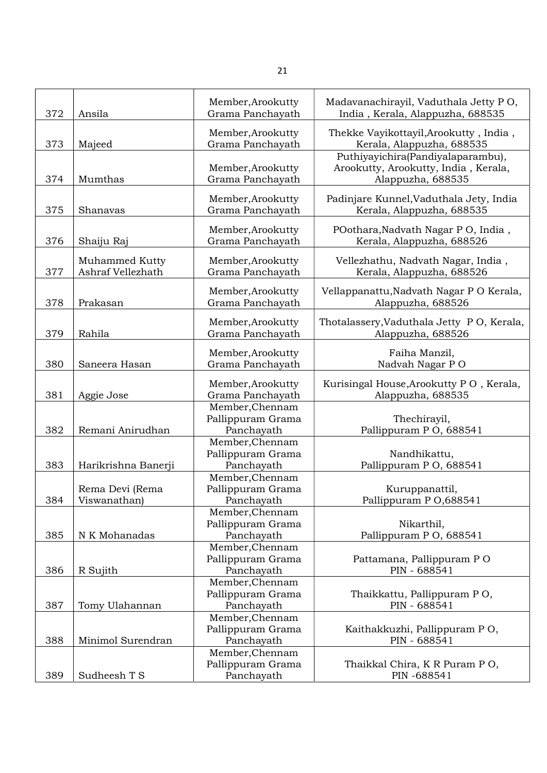| 372 | Ansila                              | Member, Arookutty<br>Grama Panchayath              | Madavanachirayil, Vaduthala Jetty PO,<br>India, Kerala, Alappuzha, 688535                      |
|-----|-------------------------------------|----------------------------------------------------|------------------------------------------------------------------------------------------------|
| 373 | Majeed                              | Member, Arookutty<br>Grama Panchayath              | Thekke Vayikottayil, Arookutty, India,<br>Kerala, Alappuzha, 688535                            |
| 374 | Mumthas                             | Member, Arookutty<br>Grama Panchayath              | Puthiyayichira(Pandiyalaparambu),<br>Arookutty, Arookutty, India, Kerala,<br>Alappuzha, 688535 |
| 375 | Shanavas                            | Member, Arookutty<br>Grama Panchayath              | Padinjare Kunnel, Vaduthala Jety, India<br>Kerala, Alappuzha, 688535                           |
| 376 | Shaiju Raj                          | Member, Arookutty<br>Grama Panchayath              | POothara, Nadvath Nagar P O, India,<br>Kerala, Alappuzha, 688526                               |
| 377 | Muhammed Kutty<br>Ashraf Vellezhath | Member, Arookutty<br>Grama Panchayath              | Vellezhathu, Nadvath Nagar, India,<br>Kerala, Alappuzha, 688526                                |
| 378 | Prakasan                            | Member, Arookutty<br>Grama Panchayath              | Vellappanattu, Nadvath Nagar PO Kerala,<br>Alappuzha, 688526                                   |
| 379 | Rahila                              | Member, Arookutty<br>Grama Panchayath              | Thotalassery, Vaduthala Jetty PO, Kerala,<br>Alappuzha, 688526                                 |
| 380 | Saneera Hasan                       | Member, Arookutty<br>Grama Panchayath              | Faiha Manzil,<br>Nadvah Nagar PO                                                               |
| 381 | Aggie Jose                          | Member, Arookutty<br>Grama Panchayath              | Kurisingal House, Arookutty PO, Kerala,<br>Alappuzha, 688535                                   |
| 382 | Remani Anirudhan                    | Member, Chennam<br>Pallippuram Grama<br>Panchayath | Thechirayil,<br>Pallippuram PO, 688541                                                         |
| 383 | Harikrishna Banerji                 | Member, Chennam<br>Pallippuram Grama<br>Panchayath | Nandhikattu,<br>Pallippuram P O, 688541                                                        |
| 384 | Rema Devi (Rema<br>Viswanathan)     | Member, Chennam<br>Pallippuram Grama<br>Panchayath | Kuruppanattil,<br>Pallippuram PO,688541                                                        |
| 385 | N K Mohanadas                       | Member, Chennam<br>Pallippuram Grama<br>Panchayath | Nikarthil,<br>Pallippuram P O, 688541                                                          |
| 386 | R Sujith                            | Member, Chennam<br>Pallippuram Grama<br>Panchayath | Pattamana, Pallippuram PO<br>PIN - 688541                                                      |
| 387 | Tomy Ulahannan                      | Member, Chennam<br>Pallippuram Grama<br>Panchayath | Thaikkattu, Pallippuram PO,<br>PIN - 688541                                                    |
| 388 | Minimol Surendran                   | Member, Chennam<br>Pallippuram Grama<br>Panchayath | Kaithakkuzhi, Pallippuram PO,<br>PIN - 688541                                                  |
| 389 | Sudheesh T S                        | Member, Chennam<br>Pallippuram Grama<br>Panchayath | Thaikkal Chira, K R Puram P O,<br>PIN -688541                                                  |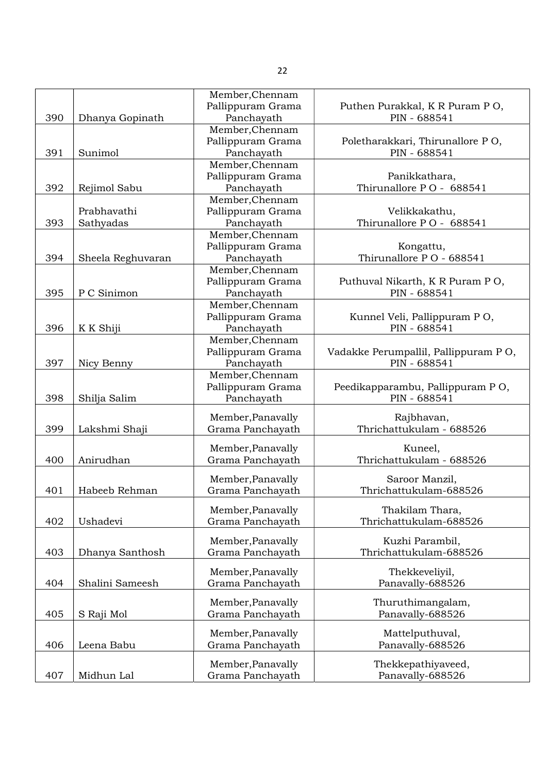|     |                   | Member, Chennam   |                                      |
|-----|-------------------|-------------------|--------------------------------------|
|     |                   | Pallippuram Grama | Puthen Purakkal, K R Puram P O,      |
| 390 | Dhanya Gopinath   | Panchayath        | PIN - 688541                         |
|     |                   | Member, Chennam   |                                      |
|     |                   | Pallippuram Grama | Poletharakkari, Thirunallore PO,     |
| 391 | Sunimol           | Panchayath        | PIN - 688541                         |
|     |                   | Member, Chennam   |                                      |
|     |                   | Pallippuram Grama | Panikkathara,                        |
| 392 | Rejimol Sabu      | Panchayath        | Thirunallore PO - 688541             |
|     |                   | Member, Chennam   |                                      |
|     | Prabhavathi       | Pallippuram Grama | Velikkakathu,                        |
| 393 | Sathyadas         | Panchayath        | Thirunallore PO - 688541             |
|     |                   |                   |                                      |
|     |                   | Member, Chennam   |                                      |
|     |                   | Pallippuram Grama | Kongattu,                            |
| 394 | Sheela Reghuvaran | Panchayath        | Thirunallore PO - 688541             |
|     |                   | Member, Chennam   |                                      |
|     |                   | Pallippuram Grama | Puthuval Nikarth, K R Puram P O,     |
| 395 | P C Sinimon       | Panchayath        | PIN - 688541                         |
|     |                   | Member, Chennam   |                                      |
|     |                   | Pallippuram Grama | Kunnel Veli, Pallippuram PO,         |
| 396 | K K Shiji         | Panchayath        | PIN - 688541                         |
|     |                   | Member, Chennam   |                                      |
|     |                   | Pallippuram Grama | Vadakke Perumpallil, Pallippuram PO, |
| 397 | Nicy Benny        | Panchayath        | PIN - 688541                         |
|     |                   | Member, Chennam   |                                      |
|     |                   | Pallippuram Grama | Peedikapparambu, Pallippuram PO,     |
| 398 | Shilja Salim      | Panchayath        | PIN - 688541                         |
|     |                   |                   |                                      |
|     |                   | Member, Panavally | Rajbhavan,                           |
| 399 | Lakshmi Shaji     | Grama Panchayath  | Thrichattukulam - 688526             |
|     |                   |                   |                                      |
|     |                   | Member, Panavally | Kuneel,                              |
| 400 | Anirudhan         | Grama Panchayath  | Thrichattukulam - 688526             |
|     |                   | Member, Panavally | Saroor Manzil,                       |
| 401 | Habeeb Rehman     | Grama Panchayath  | Thrichattukulam-688526               |
|     |                   |                   |                                      |
|     |                   | Member, Panavally | Thakilam Thara,                      |
| 402 | Ushadevi          | Grama Panchayath  | Thrichattukulam-688526               |
|     |                   |                   |                                      |
|     |                   | Member, Panavally | Kuzhi Parambil,                      |
| 403 | Dhanya Santhosh   | Grama Panchayath  | Thrichattukulam-688526               |
|     |                   | Member, Panavally |                                      |
|     |                   |                   | Thekkeveliyil,                       |
| 404 | Shalini Sameesh   | Grama Panchayath  | Panavally-688526                     |
|     |                   | Member, Panavally | Thuruthimangalam,                    |
| 405 | S Raji Mol        | Grama Panchayath  | Panavally-688526                     |
|     |                   |                   |                                      |
|     |                   | Member, Panavally | Mattelputhuval,                      |
| 406 | Leena Babu        | Grama Panchayath  | Panavally-688526                     |
|     |                   |                   |                                      |
|     |                   | Member, Panavally | Thekkepathiyaveed,                   |
| 407 | Midhun Lal        | Grama Panchayath  | Panavally-688526                     |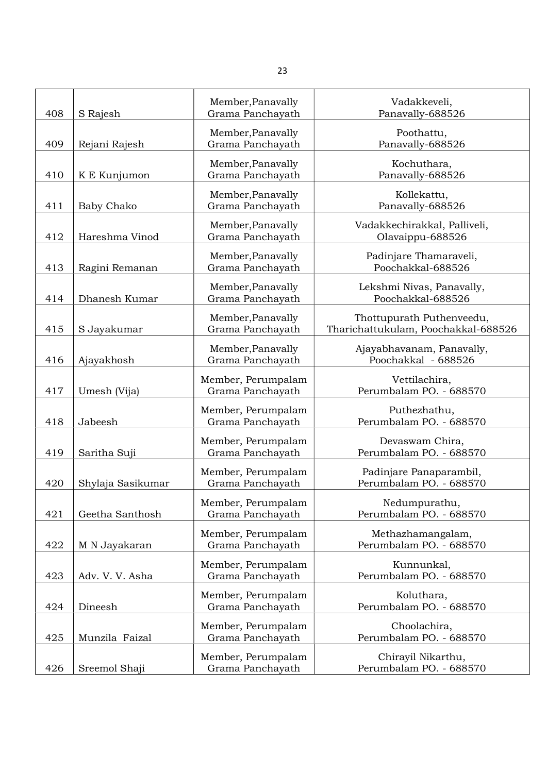| 408 | S Rajesh          | Member, Panavally<br>Grama Panchayath  | Vadakkeveli,<br>Panavally-688526                                 |
|-----|-------------------|----------------------------------------|------------------------------------------------------------------|
| 409 | Rejani Rajesh     | Member, Panavally<br>Grama Panchayath  | Poothattu,<br>Panavally-688526                                   |
| 410 | K E Kunjumon      | Member, Panavally<br>Grama Panchayath  | Kochuthara,<br>Panavally-688526                                  |
|     |                   |                                        |                                                                  |
| 411 | <b>Baby Chako</b> | Member, Panavally<br>Grama Panchayath  | Kollekattu,<br>Panavally-688526                                  |
| 412 | Hareshma Vinod    | Member, Panavally<br>Grama Panchayath  | Vadakkechirakkal, Palliveli,<br>Olavaippu-688526                 |
| 413 | Ragini Remanan    | Member, Panavally<br>Grama Panchayath  | Padinjare Thamaraveli,<br>Poochakkal-688526                      |
| 414 | Dhanesh Kumar     | Member, Panavally<br>Grama Panchayath  | Lekshmi Nivas, Panavally,<br>Poochakkal-688526                   |
| 415 | S Jayakumar       | Member, Panavally<br>Grama Panchayath  | Thottupurath Puthenveedu,<br>Tharichattukulam, Poochakkal-688526 |
| 416 | Ajayakhosh        | Member, Panavally<br>Grama Panchayath  | Ajayabhavanam, Panavally,<br>Poochakkal - 688526                 |
|     |                   |                                        |                                                                  |
| 417 | Umesh (Vija)      | Member, Perumpalam<br>Grama Panchayath | Vettilachira,<br>Perumbalam PO. - 688570                         |
| 418 | Jabeesh           | Member, Perumpalam<br>Grama Panchayath | Puthezhathu,<br>Perumbalam PO. - 688570                          |
| 419 | Saritha Suji      | Member, Perumpalam<br>Grama Panchayath | Devaswam Chira,<br>Perumbalam PO. - 688570                       |
| 420 | Shylaja Sasikumar | Member, Perumpalam<br>Grama Panchayath | Padinjare Panaparambil,<br>Perumbalam PO. - 688570               |
| 421 | Geetha Santhosh   | Member, Perumpalam<br>Grama Panchayath | Nedumpurathu,<br>Perumbalam PO. - 688570                         |
|     |                   | Member, Perumpalam                     | Methazhamangalam,                                                |
| 422 | M N Jayakaran     | Grama Panchayath                       | Perumbalam PO. - 688570                                          |
| 423 | Adv. V. V. Asha   | Member, Perumpalam<br>Grama Panchayath | Kunnunkal,<br>Perumbalam PO. - 688570                            |
| 424 | Dineesh           | Member, Perumpalam<br>Grama Panchayath | Koluthara,<br>Perumbalam PO. - 688570                            |
| 425 | Munzila Faizal    | Member, Perumpalam<br>Grama Panchayath | Choolachira,<br>Perumbalam PO. - 688570                          |
|     |                   |                                        |                                                                  |
| 426 | Sreemol Shaji     | Member, Perumpalam<br>Grama Panchayath | Chirayil Nikarthu,<br>Perumbalam PO. - 688570                    |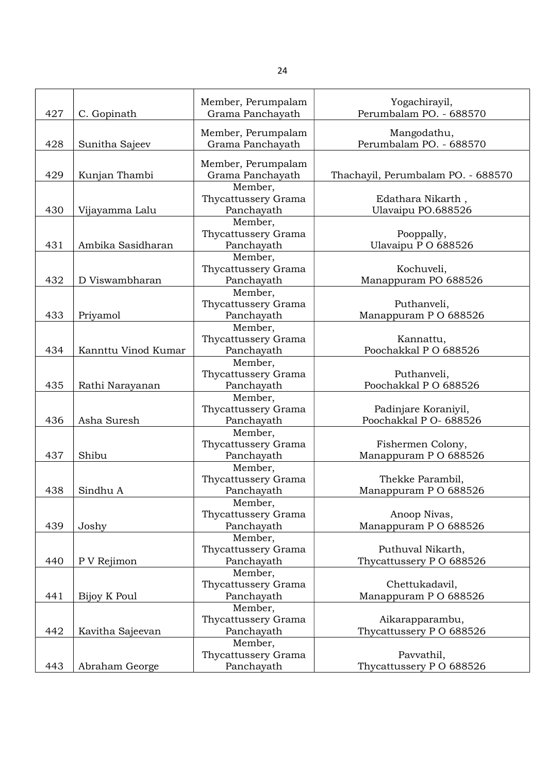| 427 | C. Gopinath         | Member, Perumpalam<br>Grama Panchayath | Yogachirayil,<br>Perumbalam PO. - 688570 |
|-----|---------------------|----------------------------------------|------------------------------------------|
| 428 |                     | Member, Perumpalam                     | Mangodathu,<br>Perumbalam PO. - 688570   |
|     | Sunitha Sajeev      | Grama Panchayath                       |                                          |
| 429 | Kunjan Thambi       | Member, Perumpalam<br>Grama Panchayath | Thachayil, Perumbalam PO. - 688570       |
|     |                     | Member,<br>Thycattussery Grama         | Edathara Nikarth,                        |
| 430 | Vijayamma Lalu      | Panchayath<br>Member,                  | Ulavaipu PO.688526                       |
|     |                     | Thycattussery Grama                    | Pooppally,                               |
| 431 | Ambika Sasidharan   | Panchayath                             | Ulavaipu P O 688526                      |
|     |                     | Member,                                |                                          |
|     |                     | Thycattussery Grama                    | Kochuveli,                               |
| 432 | D Viswambharan      | Panchayath                             | Manappuram PO 688526                     |
|     |                     | Member,                                |                                          |
|     |                     | Thycattussery Grama                    | Puthanveli,                              |
| 433 | Priyamol            | Panchayath                             | Manappuram PO 688526                     |
|     |                     | Member,                                |                                          |
|     |                     | Thycattussery Grama                    | Kannattu,                                |
| 434 | Kannttu Vinod Kumar | Panchayath                             | Poochakkal PO 688526                     |
|     |                     | Member,<br>Thycattussery Grama         | Puthanveli,                              |
| 435 | Rathi Narayanan     | Panchayath                             | Poochakkal PO 688526                     |
|     |                     | Member,                                |                                          |
|     |                     | Thycattussery Grama                    | Padinjare Koraniyil,                     |
| 436 | Asha Suresh         | Panchayath                             | Poochakkal P O- 688526                   |
|     |                     | Member,                                |                                          |
|     |                     | Thycattussery Grama                    | Fishermen Colony,                        |
| 437 | Shibu               | Panchayath                             | Manappuram PO 688526                     |
|     |                     | Member,                                |                                          |
|     |                     | Thycattussery Grama                    | Thekke Parambil,                         |
| 438 | Sindhu A            | Panchayath                             | Manappuram PO 688526                     |
|     |                     | Member,<br>Thycattussery Grama         | Anoop Nivas,                             |
| 439 | Joshy               | Panchayath                             | Manappuram PO 688526                     |
|     |                     | Member,                                |                                          |
|     |                     | Thycattussery Grama                    | Puthuval Nikarth,                        |
| 440 | P V Rejimon         | Panchayath                             | Thycattussery PO 688526                  |
|     |                     | Member,                                |                                          |
|     |                     | Thycattussery Grama                    | Chettukadavil,                           |
| 441 | Bijoy K Poul        | Panchayath                             | Manappuram PO 688526                     |
|     |                     | Member,                                |                                          |
|     |                     | Thycattussery Grama                    | Aikarapparambu,                          |
| 442 | Kavitha Sajeevan    | Panchayath                             | Thycattussery PO 688526                  |
|     |                     | Member,                                |                                          |
| 443 | Abraham George      | Thycattussery Grama<br>Panchayath      | Pavvathil,<br>Thycattussery PO 688526    |
|     |                     |                                        |                                          |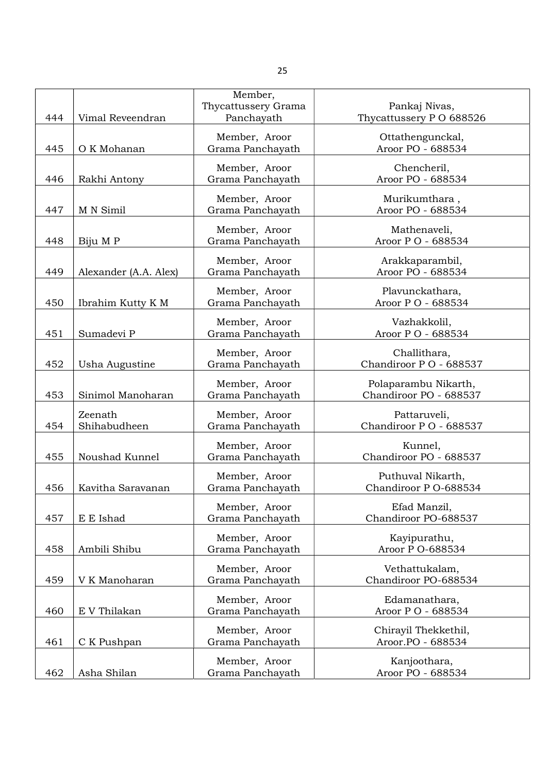|     |                         | Member,                           |                                          |
|-----|-------------------------|-----------------------------------|------------------------------------------|
| 444 | Vimal Reveendran        | Thycattussery Grama<br>Panchayath | Pankaj Nivas,<br>Thycattussery PO 688526 |
|     |                         |                                   |                                          |
|     |                         | Member, Aroor                     | Ottathengunckal,                         |
| 445 | O K Mohanan             | Grama Panchayath                  | Aroor PO - 688534                        |
|     |                         | Member, Aroor                     | Chencheril,                              |
| 446 | Rakhi Antony            | Grama Panchayath                  | Aroor PO - 688534                        |
|     |                         | Member, Aroor                     | Murikumthara,                            |
| 447 | M N Simil               | Grama Panchayath                  | Aroor PO - 688534                        |
|     |                         | Member, Aroor                     | Mathenaveli,                             |
| 448 | Biju M P                | Grama Panchayath                  | Aroor P O - 688534                       |
|     |                         |                                   |                                          |
| 449 | Alexander (A.A. Alex)   | Member, Aroor<br>Grama Panchayath | Arakkaparambil,<br>Aroor PO - 688534     |
|     |                         |                                   |                                          |
|     |                         | Member, Aroor                     | Plavunckathara,                          |
| 450 | Ibrahim Kutty K M       | Grama Panchayath                  | Aroor PO - 688534                        |
|     |                         | Member, Aroor                     | Vazhakkolil,                             |
| 451 | Sumadevi P              | Grama Panchayath                  | Aroor PO - 688534                        |
|     |                         | Member, Aroor                     | Challithara,                             |
| 452 | Usha Augustine          | Grama Panchayath                  | Chandiroor PO - 688537                   |
|     |                         | Member, Aroor                     | Polaparambu Nikarth,                     |
| 453 | Sinimol Manoharan       | Grama Panchayath                  | Chandiroor PO - 688537                   |
|     |                         |                                   |                                          |
| 454 | Zeenath<br>Shihabudheen | Member, Aroor<br>Grama Panchayath | Pattaruveli,<br>Chandiroor PO - 688537   |
|     |                         |                                   |                                          |
|     |                         | Member, Aroor                     | Kunnel,                                  |
| 455 | Noushad Kunnel          | Grama Panchayath                  | Chandiroor PO - 688537                   |
|     |                         | Member, Aroor                     | Puthuval Nikarth,                        |
| 456 | Kavitha Saravanan       | Grama Panchayath                  | Chandiroor P O-688534                    |
|     |                         | Member, Aroor                     | Efad Manzil,                             |
| 457 | E E Ishad               | Grama Panchayath                  | Chandiroor PO-688537                     |
|     |                         | Member, Aroor                     | Kayipurathu,                             |
| 458 | Ambili Shibu            | Grama Panchayath                  | Aroor P O-688534                         |
|     |                         |                                   |                                          |
| 459 | V K Manoharan           | Member, Aroor<br>Grama Panchayath | Vethattukalam,<br>Chandiroor PO-688534   |
|     |                         |                                   |                                          |
|     |                         | Member, Aroor                     | Edamanathara,                            |
| 460 | E V Thilakan            | Grama Panchayath                  | Aroor PO - 688534                        |
|     |                         | Member, Aroor                     | Chirayil Thekkethil,                     |
| 461 | C K Pushpan             | Grama Panchayath                  | Aroor.PO - 688534                        |
|     |                         | Member, Aroor                     | Kanjoothara,                             |
| 462 | Asha Shilan             | Grama Panchayath                  | Aroor PO - 688534                        |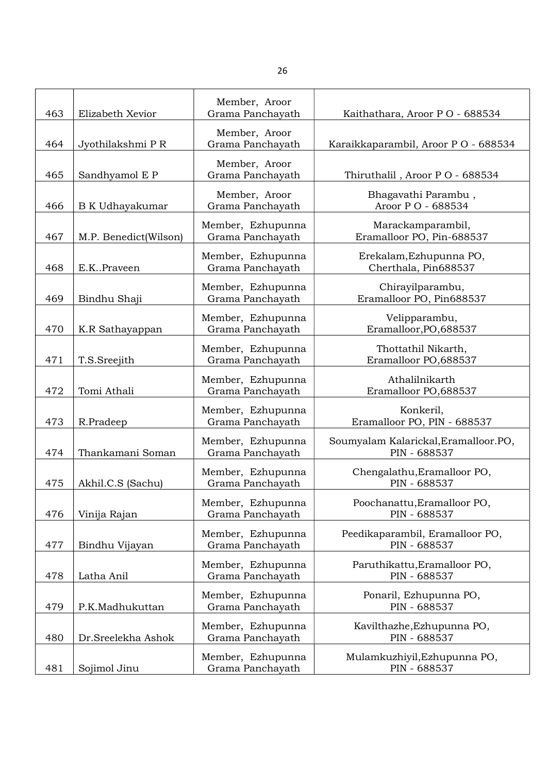| 463 | Elizabeth Xevior       | Member, Aroor<br>Grama Panchayath     | Kaithathara, Aroor PO - 688534                       |
|-----|------------------------|---------------------------------------|------------------------------------------------------|
| 464 |                        | Member, Aroor<br>Grama Panchayath     | Karaikkaparambil, Aroor PO - 688534                  |
|     | Jyothilakshmi P R      | Member, Aroor                         |                                                      |
| 465 | Sandhyamol E P         | Grama Panchayath                      | Thiruthalil, Aroor PO - 688534                       |
| 466 | <b>B</b> K Udhayakumar | Member, Aroor<br>Grama Panchayath     | Bhagavathi Parambu,<br>Aroor P O - 688534            |
| 467 | M.P. Benedict(Wilson)  | Member, Ezhupunna<br>Grama Panchayath | Marackamparambil,<br>Eramalloor PO, Pin-688537       |
| 468 | E.KPraveen             | Member, Ezhupunna<br>Grama Panchayath | Erekalam, Ezhupunna PO,<br>Cherthala, Pin688537      |
| 469 | Bindhu Shaji           | Member, Ezhupunna<br>Grama Panchayath | Chirayilparambu,<br>Eramalloor PO, Pin688537         |
| 470 | K.R Sathayappan        | Member, Ezhupunna<br>Grama Panchayath | Velipparambu,<br>Eramalloor, PO, 688537              |
| 471 | T.S.Sreejith           | Member, Ezhupunna<br>Grama Panchayath | Thottathil Nikarth,<br>Eramalloor PO,688537          |
| 472 | Tomi Athali            | Member, Ezhupunna<br>Grama Panchayath | Athalilnikarth<br>Eramalloor PO,688537               |
| 473 | R.Pradeep              | Member, Ezhupunna<br>Grama Panchayath | Konkeril,<br>Eramalloor PO, PIN - 688537             |
| 474 | Thankamani Soman       | Member, Ezhupunna<br>Grama Panchayath | Soumyalam Kalarickal, Eramalloor.PO,<br>PIN - 688537 |
| 475 | Akhil.C.S (Sachu)      | Member, Ezhupunna<br>Grama Panchayath | Chengalathu, Eramalloor PO,<br>PIN - 688537          |
| 476 | Vinija Rajan           | Member, Ezhupunna<br>Grama Panchayath | Poochanattu, Eramalloor PO,<br>PIN - 688537          |
| 477 | Bindhu Vijayan         | Member, Ezhupunna<br>Grama Panchayath | Peedikaparambil, Eramalloor PO,<br>PIN - 688537      |
| 478 | Latha Anil             | Member, Ezhupunna<br>Grama Panchayath | Paruthikattu, Eramalloor PO,<br>PIN - 688537         |
| 479 | P.K.Madhukuttan        | Member, Ezhupunna<br>Grama Panchayath | Ponaril, Ezhupunna PO,<br>PIN - 688537               |
| 480 | Dr.Sreelekha Ashok     | Member, Ezhupunna<br>Grama Panchayath | Kavilthazhe, Ezhupunna PO,<br>PIN - 688537           |
| 481 | Sojimol Jinu           | Member, Ezhupunna<br>Grama Panchayath | Mulamkuzhiyil, Ezhupunna PO,<br>PIN - 688537         |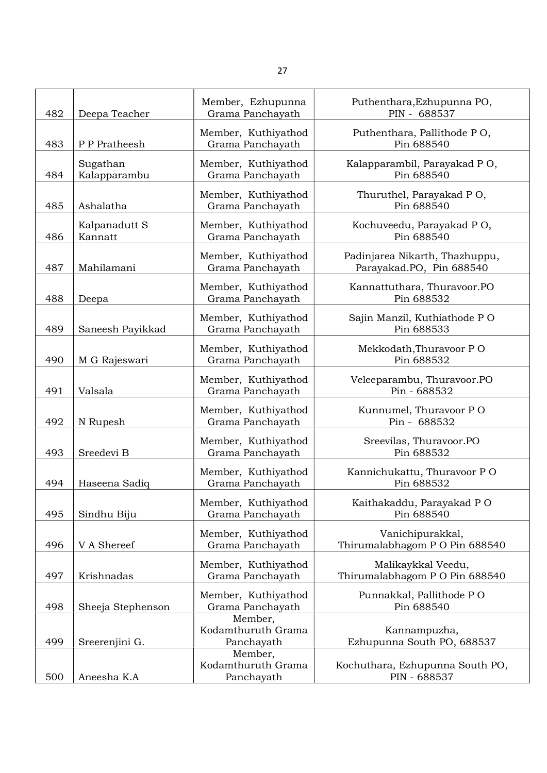| 482 | Deepa Teacher            | Member, Ezhupunna<br>Grama Panchayath       | Puthenthara, Ezhupunna PO,<br>PIN - 688537                 |
|-----|--------------------------|---------------------------------------------|------------------------------------------------------------|
| 483 | P P Pratheesh            | Member, Kuthiyathod<br>Grama Panchayath     | Puthenthara, Pallithode PO,<br>Pin 688540                  |
| 484 | Sugathan<br>Kalapparambu | Member, Kuthiyathod<br>Grama Panchayath     | Kalapparambil, Parayakad PO,<br>Pin 688540                 |
| 485 | Ashalatha                | Member, Kuthiyathod<br>Grama Panchayath     | Thuruthel, Parayakad PO,<br>Pin 688540                     |
| 486 | Kalpanadutt S<br>Kannatt | Member, Kuthiyathod<br>Grama Panchayath     | Kochuveedu, Parayakad PO,<br>Pin 688540                    |
| 487 | Mahilamani               | Member, Kuthiyathod<br>Grama Panchayath     | Padinjarea Nikarth, Thazhuppu,<br>Parayakad.PO, Pin 688540 |
| 488 | Deepa                    | Member, Kuthiyathod<br>Grama Panchayath     | Kannattuthara, Thuravoor.PO<br>Pin 688532                  |
| 489 | Saneesh Payikkad         | Member, Kuthiyathod<br>Grama Panchayath     | Sajin Manzil, Kuthiathode PO<br>Pin 688533                 |
| 490 | M G Rajeswari            | Member, Kuthiyathod<br>Grama Panchayath     | Mekkodath, Thuravoor PO<br>Pin 688532                      |
| 491 | Valsala                  | Member, Kuthiyathod<br>Grama Panchayath     | Veleeparambu, Thuravoor.PO<br>Pin - 688532                 |
| 492 | N Rupesh                 | Member, Kuthiyathod<br>Grama Panchayath     | Kunnumel, Thuravoor PO<br>Pin - 688532                     |
| 493 | Sreedevi B               | Member, Kuthiyathod<br>Grama Panchayath     | Sreevilas, Thuravoor.PO<br>Pin 688532                      |
| 494 | Haseena Sadiq            | Member, Kuthiyathod<br>Grama Panchayath     | Kannichukattu, Thuravoor PO<br>Pin 688532                  |
| 495 | Sindhu Biju              | Member, Kuthiyathod<br>Grama Panchayath     | Kaithakaddu, Parayakad PO<br>Pin 688540                    |
| 496 | V A Shereef              | Member, Kuthiyathod<br>Grama Panchayath     | Vanichipurakkal,<br>Thirumalabhagom PO Pin 688540          |
| 497 | Krishnadas               | Member, Kuthiyathod<br>Grama Panchayath     | Malikaykkal Veedu,<br>Thirumalabhagom PO Pin 688540        |
| 498 | Sheeja Stephenson        | Member, Kuthiyathod<br>Grama Panchayath     | Punnakkal, Pallithode PO<br>Pin 688540                     |
| 499 | Sreerenjini G.           | Member,<br>Kodamthuruth Grama<br>Panchayath | Kannampuzha,<br>Ezhupunna South PO, 688537                 |
| 500 | Aneesha K.A              | Member,<br>Kodamthuruth Grama<br>Panchayath | Kochuthara, Ezhupunna South PO,<br>PIN - 688537            |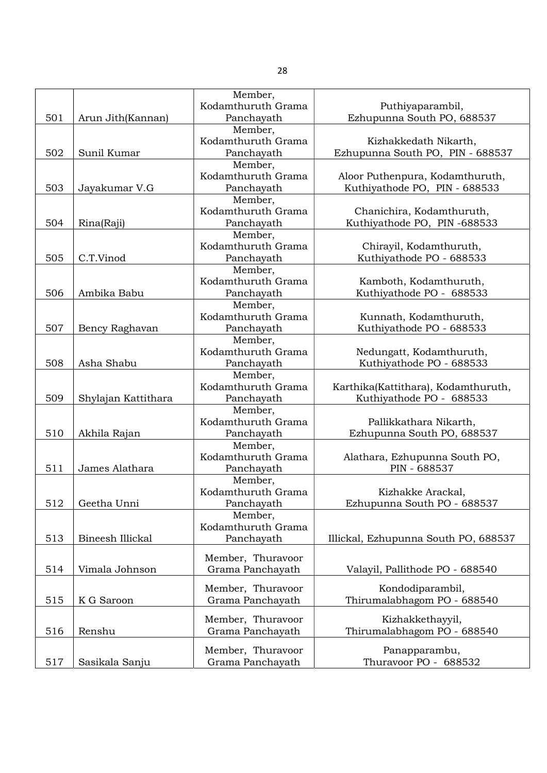|     |                     | Member,            |                                      |
|-----|---------------------|--------------------|--------------------------------------|
|     |                     | Kodamthuruth Grama | Puthiyaparambil,                     |
| 501 | Arun Jith(Kannan)   | Panchayath         | Ezhupunna South PO, 688537           |
|     |                     | Member,            |                                      |
|     |                     | Kodamthuruth Grama | Kizhakkedath Nikarth,                |
| 502 | Sunil Kumar         | Panchayath         | Ezhupunna South PO, PIN - 688537     |
|     |                     | Member,            |                                      |
|     |                     | Kodamthuruth Grama | Aloor Puthenpura, Kodamthuruth,      |
| 503 | Jayakumar V.G       | Panchayath         | Kuthiyathode PO, PIN - 688533        |
|     |                     | Member,            |                                      |
|     |                     | Kodamthuruth Grama | Chanichira, Kodamthuruth,            |
| 504 | Rina(Raji)          | Panchayath         | Kuthiyathode PO, PIN-688533          |
|     |                     | Member,            |                                      |
|     |                     | Kodamthuruth Grama | Chirayil, Kodamthuruth,              |
| 505 | C.T.Vinod           | Panchayath         | Kuthiyathode PO - 688533             |
|     |                     | Member,            |                                      |
|     |                     | Kodamthuruth Grama | Kamboth, Kodamthuruth,               |
| 506 | Ambika Babu         | Panchayath         | Kuthiyathode PO - 688533             |
|     |                     | Member,            |                                      |
|     |                     | Kodamthuruth Grama | Kunnath, Kodamthuruth,               |
| 507 | Bency Raghavan      | Panchayath         | Kuthiyathode PO - 688533             |
|     |                     | Member,            |                                      |
|     |                     | Kodamthuruth Grama | Nedungatt, Kodamthuruth,             |
| 508 | Asha Shabu          | Panchayath         | Kuthiyathode PO - 688533             |
|     |                     | Member,            |                                      |
|     |                     | Kodamthuruth Grama | Karthika(Kattithara), Kodamthuruth,  |
| 509 | Shylajan Kattithara | Panchayath         | Kuthiyathode PO - 688533             |
|     |                     | Member,            |                                      |
|     |                     | Kodamthuruth Grama | Pallikkathara Nikarth,               |
| 510 | Akhila Rajan        | Panchayath         | Ezhupunna South PO, 688537           |
|     |                     | Member,            |                                      |
|     |                     | Kodamthuruth Grama | Alathara, Ezhupunna South PO,        |
| 511 | James Alathara      | Panchayath         | PIN - 688537                         |
|     |                     | Member,            |                                      |
|     |                     | Kodamthuruth Grama | Kizhakke Arackal,                    |
| 512 | Geetha Unni         | Panchayath         | Ezhupunna South PO - 688537          |
|     |                     | Member,            |                                      |
|     |                     | Kodamthuruth Grama |                                      |
| 513 | Bineesh Illickal    | Panchayath         | Illickal, Ezhupunna South PO, 688537 |
|     |                     |                    |                                      |
|     |                     | Member, Thuravoor  |                                      |
| 514 | Vimala Johnson      | Grama Panchayath   | Valayil, Pallithode PO - 688540      |
|     |                     |                    |                                      |
|     |                     | Member, Thuravoor  | Kondodiparambil,                     |
| 515 | K G Saroon          | Grama Panchayath   | Thirumalabhagom PO - 688540          |
|     |                     | Member, Thuravoor  | Kizhakkethayyil,                     |
| 516 | Renshu              | Grama Panchayath   | Thirumalabhagom PO - 688540          |
|     |                     |                    |                                      |
|     |                     | Member, Thuravoor  | Panapparambu,                        |
| 517 | Sasikala Sanju      | Grama Panchayath   | Thuravoor PO - 688532                |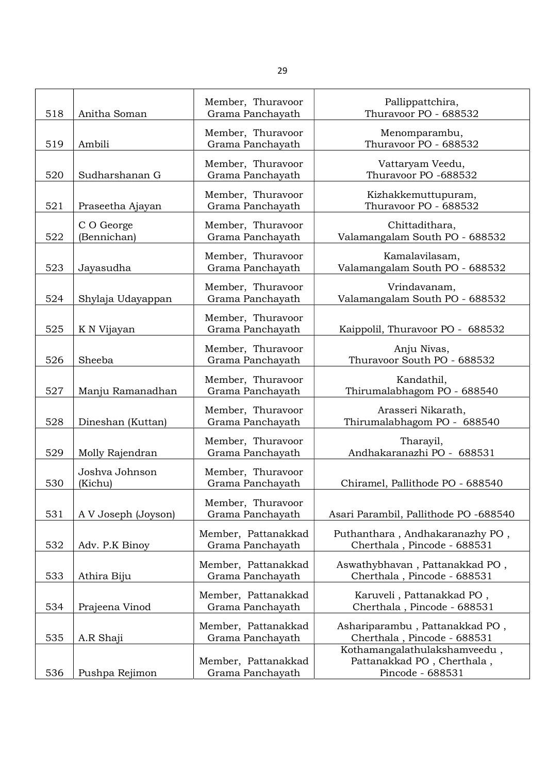| 518 | Anitha Soman              | Member, Thuravoor<br>Grama Panchayath   | Pallippattchira,<br>Thuravoor PO - 688532                                      |
|-----|---------------------------|-----------------------------------------|--------------------------------------------------------------------------------|
| 519 | Ambili                    | Member, Thuravoor<br>Grama Panchayath   | Menomparambu,<br>Thuravoor PO - 688532                                         |
| 520 | Sudharshanan G            | Member, Thuravoor<br>Grama Panchayath   | Vattaryam Veedu,<br>Thuravoor PO -688532                                       |
| 521 | Praseetha Ajayan          | Member, Thuravoor<br>Grama Panchayath   | Kizhakkemuttupuram,<br>Thuravoor PO - 688532                                   |
| 522 | C O George<br>(Bennichan) | Member, Thuravoor<br>Grama Panchayath   | Chittadithara,<br>Valamangalam South PO - 688532                               |
| 523 | Jayasudha                 | Member, Thuravoor<br>Grama Panchayath   | Kamalavilasam,<br>Valamangalam South PO - 688532                               |
| 524 | Shylaja Udayappan         | Member, Thuravoor<br>Grama Panchayath   | Vrindavanam,<br>Valamangalam South PO - 688532                                 |
| 525 | K N Vijayan               | Member, Thuravoor<br>Grama Panchayath   | Kaippolil, Thuravoor PO - 688532                                               |
| 526 | Sheeba                    | Member, Thuravoor<br>Grama Panchayath   | Anju Nivas,<br>Thuravoor South PO - 688532                                     |
| 527 | Manju Ramanadhan          | Member, Thuravoor<br>Grama Panchayath   | Kandathil,<br>Thirumalabhagom PO - 688540                                      |
| 528 | Dineshan (Kuttan)         | Member, Thuravoor<br>Grama Panchayath   | Arasseri Nikarath,<br>Thirumalabhagom PO - 688540                              |
| 529 | Molly Rajendran           | Member, Thuravoor<br>Grama Panchayath   | Tharayil,<br>Andhakaranazhi PO - 688531                                        |
| 530 | Joshva Johnson<br>(Kichu) | Member, Thuravoor<br>Grama Panchayath   | Chiramel, Pallithode PO - 688540                                               |
| 531 | A V Joseph (Joyson)       | Member, Thuravoor<br>Grama Panchayath   | Asari Parambil, Pallithode PO -688540                                          |
| 532 | Adv. P.K Binoy            | Member, Pattanakkad<br>Grama Panchayath | Puthanthara, Andhakaranazhy PO,<br>Cherthala, Pincode - 688531                 |
| 533 | Athira Biju               | Member, Pattanakkad<br>Grama Panchayath | Aswathybhavan, Pattanakkad PO,<br>Cherthala, Pincode - 688531                  |
| 534 | Prajeena Vinod            | Member, Pattanakkad<br>Grama Panchayath | Karuveli, Pattanakkad PO,<br>Cherthala, Pincode - 688531                       |
| 535 | A.R Shaji                 | Member, Pattanakkad<br>Grama Panchayath | Ashariparambu, Pattanakkad PO,<br>Cherthala, Pincode - 688531                  |
| 536 | Pushpa Rejimon            | Member, Pattanakkad<br>Grama Panchayath | Kothamangalathulakshamveedu,<br>Pattanakkad PO, Cherthala,<br>Pincode - 688531 |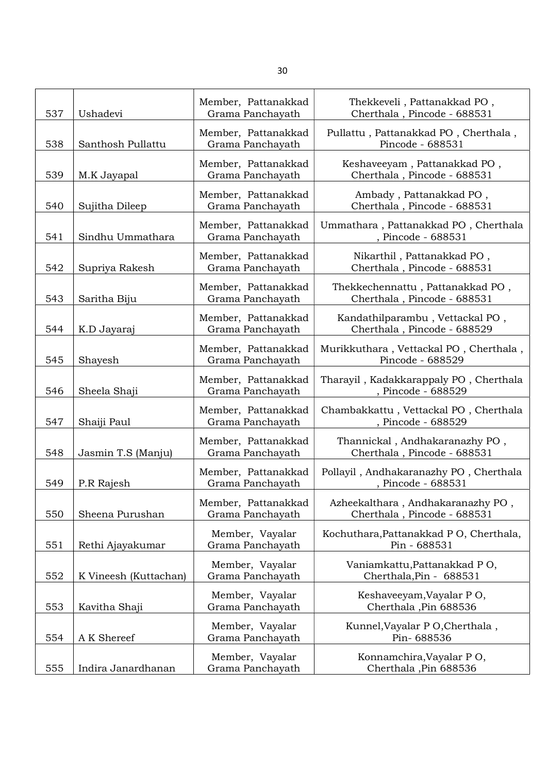| 537 | Ushadevi              | Member, Pattanakkad<br>Grama Panchayath | Thekkeveli, Pattanakkad PO,<br>Cherthala, Pincode - 688531       |
|-----|-----------------------|-----------------------------------------|------------------------------------------------------------------|
| 538 | Santhosh Pullattu     | Member, Pattanakkad<br>Grama Panchayath | Pullattu, Pattanakkad PO, Cherthala,<br>Pincode - 688531         |
| 539 | M.K Jayapal           | Member, Pattanakkad<br>Grama Panchayath | Keshaveeyam, Pattanakkad PO,<br>Cherthala, Pincode - 688531      |
| 540 | Sujitha Dileep        | Member, Pattanakkad<br>Grama Panchayath | Ambady, Pattanakkad PO,<br>Cherthala, Pincode - 688531           |
| 541 | Sindhu Ummathara      | Member, Pattanakkad<br>Grama Panchayath | Ummathara, Pattanakkad PO, Cherthala<br>, Pincode - 688531       |
| 542 | Supriya Rakesh        | Member, Pattanakkad<br>Grama Panchayath | Nikarthil, Pattanakkad PO,<br>Cherthala, Pincode - 688531        |
| 543 | Saritha Biju          | Member, Pattanakkad<br>Grama Panchayath | Thekkechennattu, Pattanakkad PO,<br>Cherthala, Pincode - 688531  |
| 544 | K.D Jayaraj           | Member, Pattanakkad<br>Grama Panchayath | Kandathilparambu, Vettackal PO,<br>Cherthala, Pincode - 688529   |
| 545 | Shayesh               | Member, Pattanakkad<br>Grama Panchayath | Murikkuthara, Vettackal PO, Cherthala,<br>Pincode - 688529       |
| 546 | Sheela Shaji          | Member, Pattanakkad<br>Grama Panchayath | Tharayil, Kadakkarappaly PO, Cherthala<br>, Pincode - 688529     |
| 547 | Shaiji Paul           | Member, Pattanakkad<br>Grama Panchayath | Chambakkattu, Vettackal PO, Cherthala<br>, Pincode - 688529      |
| 548 | Jasmin T.S (Manju)    | Member, Pattanakkad<br>Grama Panchayath | Thannickal, Andhakaranazhy PO,<br>Cherthala, Pincode - 688531    |
| 549 | P.R Rajesh            | Member, Pattanakkad<br>Grama Panchayath | Pollayil, Andhakaranazhy PO, Cherthala<br>, Pincode - 688531     |
| 550 | Sheena Purushan       | Member, Pattanakkad<br>Grama Panchayath | Azheekalthara, Andhakaranazhy PO,<br>Cherthala, Pincode - 688531 |
| 551 | Rethi Ajayakumar      | Member, Vayalar<br>Grama Panchayath     | Kochuthara, Pattanakkad PO, Cherthala,<br>Pin - 688531           |
| 552 | K Vineesh (Kuttachan) | Member, Vayalar<br>Grama Panchayath     | Vaniamkattu, Pattanakkad PO,<br>Cherthala, Pin - 688531          |
| 553 | Kavitha Shaji         | Member, Vayalar<br>Grama Panchayath     | Keshaveeyam, Vayalar PO,<br>Cherthala, Pin 688536                |
| 554 | A K Shereef           | Member, Vayalar<br>Grama Panchayath     | Kunnel, Vayalar P O, Cherthala,<br>Pin-688536                    |
| 555 | Indira Janardhanan    | Member, Vayalar<br>Grama Panchayath     | Konnamchira, Vayalar PO,<br>Cherthala, Pin 688536                |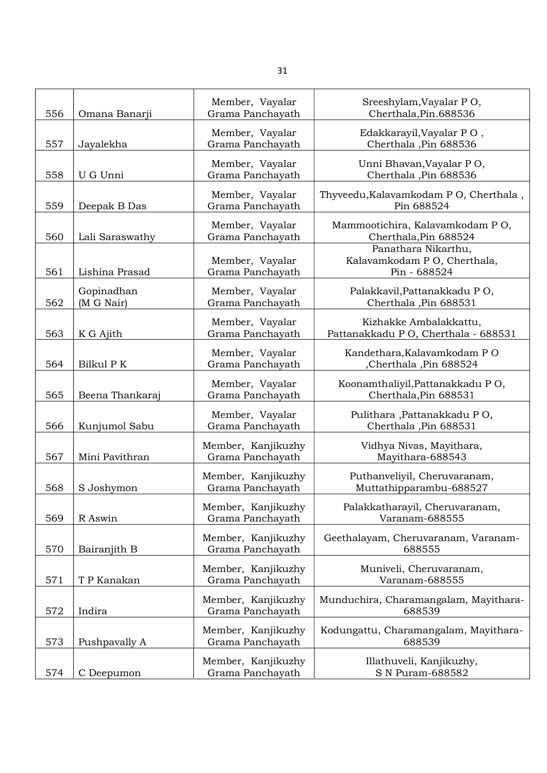| 556 | Omana Banarji            | Member, Vayalar<br>Grama Panchayath    | Sreeshylam, Vayalar PO,<br>Cherthala, Pin. 688536                  |
|-----|--------------------------|----------------------------------------|--------------------------------------------------------------------|
|     |                          | Member, Vayalar                        | Edakkarayil, Vayalar PO,                                           |
| 557 | Jayalekha                | Grama Panchayath                       | Cherthala, Pin 688536                                              |
| 558 | U G Unni                 | Member, Vayalar<br>Grama Panchayath    | Unni Bhavan, Vayalar PO,<br>Cherthala, Pin 688536                  |
| 559 | Deepak B Das             | Member, Vayalar<br>Grama Panchayath    | Thyveedu, Kalavamkodam P O, Cherthala,<br>Pin 688524               |
| 560 | Lali Saraswathy          | Member, Vayalar<br>Grama Panchayath    | Mammootichira, Kalavamkodam PO,<br>Cherthala, Pin 688524           |
| 561 | Lishina Prasad           | Member, Vayalar<br>Grama Panchayath    | Panathara Nikarthu,<br>Kalavamkodam PO, Cherthala,<br>Pin - 688524 |
| 562 | Gopinadhan<br>(M G Nair) | Member, Vayalar<br>Grama Panchayath    | Palakkavil, Pattanakkadu PO,<br>Cherthala, Pin 688531              |
| 563 | K G Ajith                | Member, Vayalar<br>Grama Panchayath    | Kizhakke Ambalakkattu,<br>Pattanakkadu P O, Cherthala - 688531     |
| 564 | Bilkul P K               | Member, Vayalar<br>Grama Panchayath    | Kandethara, Kalavamkodam PO<br>Cherthala, Pin 688524               |
| 565 | Beena Thankaraj          | Member, Vayalar<br>Grama Panchayath    | Koonamthaliyil, Pattanakkadu PO,<br>Cherthala, Pin 688531          |
| 566 | Kunjumol Sabu            | Member, Vayalar<br>Grama Panchayath    | Pulithara , Pattanakkadu PO,<br>Cherthala, Pin 688531              |
| 567 | Mini Pavithran           | Member, Kanjikuzhy<br>Grama Panchayath | Vidhya Nivas, Mayithara,<br>Mayithara-688543                       |
| 568 | S Joshymon               | Member, Kanjikuzhy<br>Grama Panchayath | Puthanveliyil, Cheruvaranam,<br>Muttathipparambu-688527            |
| 569 | R Aswin                  | Member, Kanjikuzhy<br>Grama Panchayath | Palakkatharayil, Cheruvaranam,<br>Varanam-688555                   |
| 570 | Bairanjith B             | Member, Kanjikuzhy<br>Grama Panchayath | Geethalayam, Cheruvaranam, Varanam-<br>688555                      |
| 571 | T P Kanakan              | Member, Kanjikuzhy<br>Grama Panchayath | Muniveli, Cheruvaranam,<br>Varanam-688555                          |
| 572 | Indira                   | Member, Kanjikuzhy<br>Grama Panchayath | Munduchira, Charamangalam, Mayithara-<br>688539                    |
| 573 | Pushpavally A            | Member, Kanjikuzhy<br>Grama Panchayath | Kodungattu, Charamangalam, Mayithara-<br>688539                    |
| 574 | C Deepumon               | Member, Kanjikuzhy<br>Grama Panchayath | Illathuveli, Kanjikuzhy,<br>S N Puram-688582                       |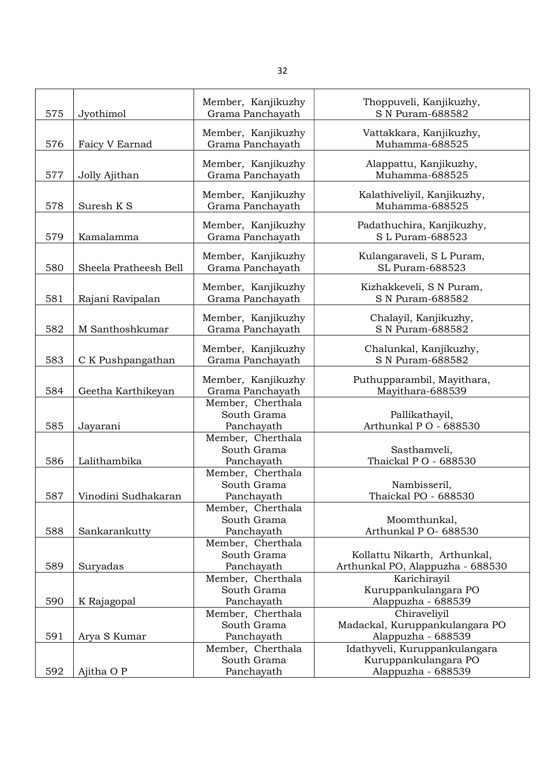| 575 | Jyothimol             | Member, Kanjikuzhy<br>Grama Panchayath | Thoppuveli, Kanjikuzhy,<br>S N Puram-688582    |
|-----|-----------------------|----------------------------------------|------------------------------------------------|
| 576 | Faicy V Earnad        | Member, Kanjikuzhy<br>Grama Panchayath | Vattakkara, Kanjikuzhy,<br>Muhamma-688525      |
| 577 | Jolly Ajithan         | Member, Kanjikuzhy<br>Grama Panchayath | Alappattu, Kanjikuzhy,<br>Muhamma-688525       |
| 578 | Suresh K S            | Member, Kanjikuzhy<br>Grama Panchayath | Kalathiveliyil, Kanjikuzhy,<br>Muhamma-688525  |
| 579 | Kamalamma             | Member, Kanjikuzhy<br>Grama Panchayath | Padathuchira, Kanjikuzhy,<br>S L Puram-688523  |
| 580 | Sheela Pratheesh Bell | Member, Kanjikuzhy<br>Grama Panchayath | Kulangaraveli, S L Puram,<br>SL Puram-688523   |
| 581 | Rajani Ravipalan      | Member, Kanjikuzhy<br>Grama Panchayath | Kizhakkeveli, S N Puram,<br>S N Puram-688582   |
| 582 | M Santhoshkumar       | Member, Kanjikuzhy<br>Grama Panchayath | Chalayil, Kanjikuzhy,<br>S N Puram-688582      |
| 583 | C K Pushpangathan     | Member, Kanjikuzhy<br>Grama Panchayath | Chalunkal, Kanjikuzhy,<br>S N Puram-688582     |
| 584 | Geetha Karthikeyan    | Member, Kanjikuzhy<br>Grama Panchayath | Puthupparambil, Mayithara,<br>Mayithara-688539 |
| 585 |                       | Member, Cherthala<br>South Grama       | Pallikathayil,<br>Arthunkal PO - 688530        |
|     | Jayarani              | Panchayath<br>Member, Cherthala        |                                                |
|     |                       | South Grama                            | Sasthamveli,                                   |
| 586 | Lalithambika          | Panchayath                             | Thaickal PO - 688530                           |
|     |                       | Member, Cherthala<br>South Grama       | Nambisseril,                                   |
| 587 | Vinodini Sudhakaran   | Panchayath                             | Thaickal PO - 688530                           |
|     |                       | Member, Cherthala                      |                                                |
|     |                       | South Grama                            | Moomthunkal,                                   |
| 588 | Sankarankutty         | Panchayath                             | Arthunkal P O- 688530                          |
|     |                       | Member, Cherthala                      |                                                |
|     |                       | South Grama                            | Kollattu Nikarth, Arthunkal,                   |
| 589 | Suryadas              | Panchayath<br>Member, Cherthala        | Arthunkal PO, Alappuzha - 688530               |
|     |                       | South Grama                            | Karichirayil<br>Kuruppankulangara PO           |
| 590 | K Rajagopal           | Panchayath                             | Alappuzha - 688539                             |
|     |                       | Member, Cherthala                      | Chiraveliyil                                   |
|     |                       | South Grama                            | Madackal, Kuruppankulangara PO                 |
| 591 | Arya S Kumar          | Panchayath                             | Alappuzha - 688539                             |
|     |                       | Member, Cherthala                      | Idathyveli, Kuruppankulangara                  |
|     |                       | South Grama                            | Kuruppankulangara PO                           |
| 592 | Ajitha O P            | Panchayath                             | Alappuzha - 688539                             |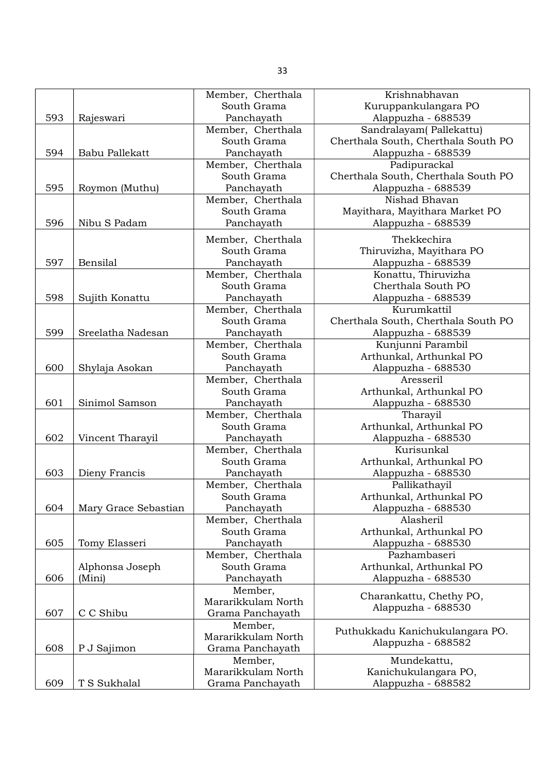|     |                      | Member, Cherthala  | Krishnabhavan                       |
|-----|----------------------|--------------------|-------------------------------------|
|     |                      | South Grama        | Kuruppankulangara PO                |
| 593 | Rajeswari            | Panchayath         | Alappuzha - 688539                  |
|     |                      | Member, Cherthala  | Sandralayam(Pallekattu)             |
|     |                      | South Grama        | Cherthala South, Cherthala South PO |
| 594 | Babu Pallekatt       | Panchayath         | Alappuzha - 688539                  |
|     |                      | Member, Cherthala  | Padipurackal                        |
|     |                      | South Grama        | Cherthala South, Cherthala South PO |
| 595 | Roymon (Muthu)       | Panchayath         | Alappuzha - 688539                  |
|     |                      | Member, Cherthala  | Nishad Bhavan                       |
|     |                      | South Grama        | Mayithara, Mayithara Market PO      |
| 596 | Nibu S Padam         | Panchayath         | Alappuzha - 688539                  |
|     |                      |                    |                                     |
|     |                      | Member, Cherthala  | Thekkechira                         |
|     |                      | South Grama        | Thiruvizha, Mayithara PO            |
| 597 | Bensilal             | Panchayath         | Alappuzha - 688539                  |
|     |                      | Member, Cherthala  | Konattu, Thiruvizha                 |
|     |                      | South Grama        | Cherthala South PO                  |
| 598 | Sujith Konattu       | Panchayath         | Alappuzha - 688539                  |
|     |                      | Member, Cherthala  | Kurumkattil                         |
|     |                      | South Grama        | Cherthala South, Cherthala South PO |
| 599 | Sreelatha Nadesan    | Panchayath         | Alappuzha - 688539                  |
|     |                      | Member, Cherthala  | Kunjunni Parambil                   |
|     |                      | South Grama        | Arthunkal, Arthunkal PO             |
| 600 | Shylaja Asokan       | Panchayath         | Alappuzha - 688530                  |
|     |                      | Member, Cherthala  | Aresseril                           |
|     |                      | South Grama        | Arthunkal, Arthunkal PO             |
| 601 | Sinimol Samson       | Panchayath         | Alappuzha - 688530                  |
|     |                      | Member, Cherthala  | Tharayil                            |
|     |                      | South Grama        | Arthunkal, Arthunkal PO             |
| 602 | Vincent Tharayil     | Panchayath         | Alappuzha - 688530                  |
|     |                      | Member, Cherthala  | Kurisunkal                          |
|     |                      | South Grama        | Arthunkal, Arthunkal PO             |
| 603 | Dieny Francis        | Panchayath         | Alappuzha - 688530                  |
|     |                      | Member, Cherthala  | Pallikathayil                       |
|     |                      | South Grama        | Arthunkal, Arthunkal PO             |
| 604 | Mary Grace Sebastian | Panchayath         | Alappuzha - 688530                  |
|     |                      | Member, Cherthala  | Alasheril                           |
|     |                      | South Grama        | Arthunkal, Arthunkal PO             |
| 605 | Tomy Elasseri        | Panchayath         | Alappuzha - 688530                  |
|     |                      | Member, Cherthala  | Pazhambaseri                        |
|     | Alphonsa Joseph      | South Grama        | Arthunkal, Arthunkal PO             |
| 606 | (Mini)               | Panchayath         | Alappuzha - 688530                  |
|     |                      | Member,            | Charankattu, Chethy PO,             |
|     |                      | Mararikkulam North | Alappuzha - 688530                  |
| 607 | C C Shibu            | Grama Panchayath   |                                     |
|     |                      | Member,            | Puthukkadu Kanichukulangara PO.     |
|     |                      | Mararikkulam North | Alappuzha - 688582                  |
| 608 | P J Sajimon          | Grama Panchayath   |                                     |
|     |                      | Member,            | Mundekattu,                         |
|     |                      | Mararikkulam North | Kanichukulangara PO,                |
| 609 | T S Sukhalal         | Grama Panchayath   | Alappuzha - 688582                  |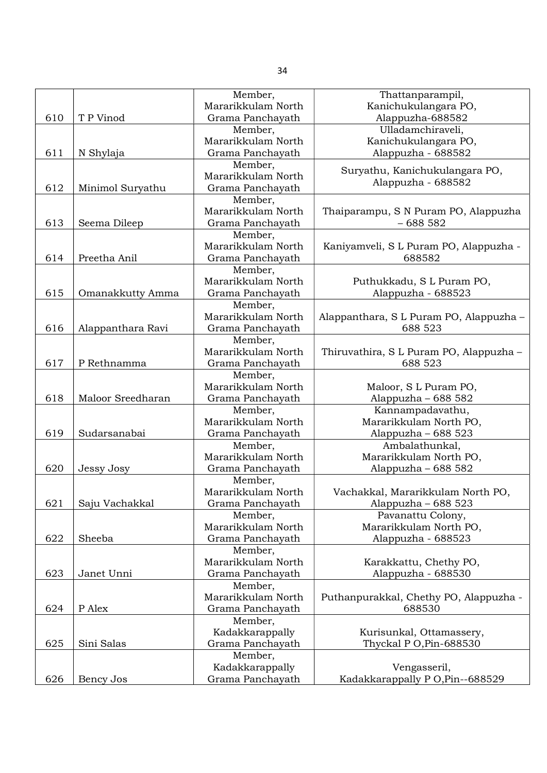|     |                   | Member,            | Thattanparampil,                        |
|-----|-------------------|--------------------|-----------------------------------------|
|     |                   | Mararikkulam North | Kanichukulangara PO,                    |
| 610 | T P Vinod         | Grama Panchayath   | Alappuzha-688582                        |
|     |                   | Member,            | Ulladamchiraveli,                       |
|     |                   | Mararikkulam North | Kanichukulangara PO,                    |
| 611 | N Shylaja         | Grama Panchayath   | Alappuzha - 688582                      |
|     |                   | Member,            |                                         |
|     |                   | Mararikkulam North | Suryathu, Kanichukulangara PO,          |
| 612 | Minimol Suryathu  | Grama Panchayath   | Alappuzha - 688582                      |
|     |                   | Member,            |                                         |
|     |                   | Mararikkulam North | Thaiparampu, S N Puram PO, Alappuzha    |
| 613 | Seema Dileep      | Grama Panchayath   | $-688582$                               |
|     |                   | Member,            |                                         |
|     |                   | Mararikkulam North | Kaniyamveli, SL Puram PO, Alappuzha -   |
| 614 | Preetha Anil      | Grama Panchayath   | 688582                                  |
|     |                   | Member,            |                                         |
|     |                   | Mararikkulam North | Puthukkadu, SL Puram PO,                |
| 615 | Omanakkutty Amma  | Grama Panchayath   | Alappuzha - 688523                      |
|     |                   | Member,            |                                         |
|     |                   | Mararikkulam North | Alappanthara, S L Puram PO, Alappuzha - |
| 616 | Alappanthara Ravi | Grama Panchayath   | 688 523                                 |
|     |                   | Member,            |                                         |
|     |                   | Mararikkulam North | Thiruvathira, S L Puram PO, Alappuzha - |
| 617 | P Rethnamma       | Grama Panchayath   | 688 523                                 |
|     |                   | Member,            |                                         |
|     |                   | Mararikkulam North | Maloor, S L Puram PO,                   |
| 618 | Maloor Sreedharan | Grama Panchayath   | Alappuzha - 688 582                     |
|     |                   | Member,            | Kannampadavathu,                        |
|     |                   | Mararikkulam North | Mararikkulam North PO,                  |
| 619 | Sudarsanabai      | Grama Panchayath   | Alappuzha - 688 523                     |
|     |                   | Member,            | Ambalathunkal,                          |
|     |                   | Mararikkulam North | Mararikkulam North PO,                  |
| 620 | Jessy Josy        | Grama Panchayath   | Alappuzha - 688 582                     |
|     |                   | Member,            |                                         |
|     |                   | Mararikkulam North | Vachakkal, Mararikkulam North PO,       |
| 621 | Saju Vachakkal    | Grama Panchayath   | Alappuzha - 688 523                     |
|     |                   | Member,            | Pavanattu Colony,                       |
|     |                   | Mararikkulam North | Mararikkulam North PO,                  |
| 622 | Sheeba            | Grama Panchayath   | Alappuzha - 688523                      |
|     |                   | Member,            |                                         |
|     |                   | Mararikkulam North | Karakkattu, Chethy PO,                  |
| 623 | Janet Unni        | Grama Panchayath   | Alappuzha - 688530                      |
|     |                   | Member,            |                                         |
|     |                   | Mararikkulam North | Puthanpurakkal, Chethy PO, Alappuzha -  |
| 624 | P Alex            | Grama Panchayath   | 688530                                  |
|     |                   | Member,            |                                         |
|     |                   | Kadakkarappally    | Kurisunkal, Ottamassery,                |
| 625 | Sini Salas        | Grama Panchayath   | Thyckal P O, Pin-688530                 |
|     |                   | Member,            |                                         |
|     |                   | Kadakkarappally    | Vengasseril,                            |
| 626 | Bency Jos         | Grama Panchayath   | Kadakkarappally P O, Pin--688529        |
|     |                   |                    |                                         |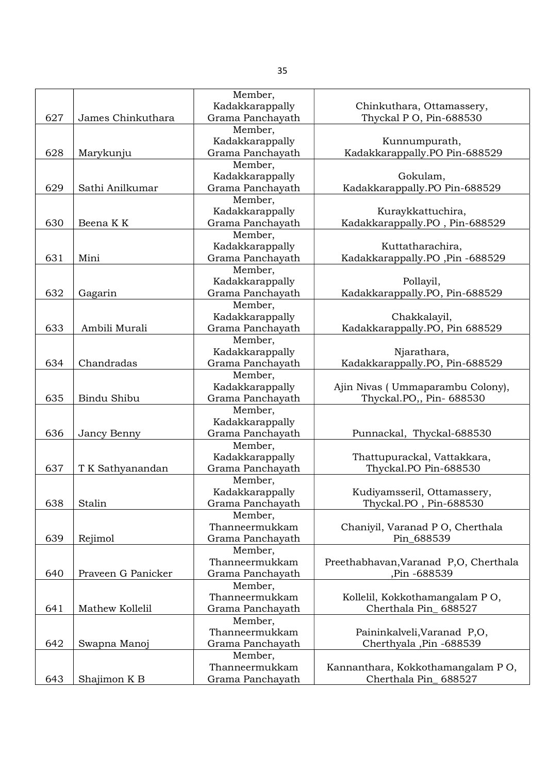|     |                    | Member,          |                                       |
|-----|--------------------|------------------|---------------------------------------|
|     |                    | Kadakkarappally  | Chinkuthara, Ottamassery,             |
| 627 | James Chinkuthara  | Grama Panchayath | Thyckal P O, Pin-688530               |
|     |                    | Member,          |                                       |
|     |                    | Kadakkarappally  | Kunnumpurath,                         |
| 628 | Marykunju          | Grama Panchayath | Kadakkarappally.PO Pin-688529         |
|     |                    | Member,          |                                       |
|     |                    | Kadakkarappally  | Gokulam,                              |
| 629 | Sathi Anilkumar    | Grama Panchayath | Kadakkarappally.PO Pin-688529         |
|     |                    | Member,          |                                       |
|     |                    | Kadakkarappally  | Kuraykkattuchira,                     |
| 630 | Beena K K          | Grama Panchayath | Kadakkarappally.PO, Pin-688529        |
|     |                    | Member,          |                                       |
|     |                    | Kadakkarappally  | Kuttatharachira,                      |
| 631 | Mini               | Grama Panchayath | Kadakkarappally.PO ,Pin -688529       |
|     |                    | Member,          |                                       |
|     |                    | Kadakkarappally  | Pollayil,                             |
| 632 | Gagarin            | Grama Panchayath | Kadakkarappally.PO, Pin-688529        |
|     |                    | Member,          |                                       |
|     |                    | Kadakkarappally  | Chakkalayil,                          |
| 633 | Ambili Murali      | Grama Panchayath | Kadakkarappally.PO, Pin 688529        |
|     |                    | Member,          |                                       |
|     |                    | Kadakkarappally  | Njarathara,                           |
| 634 | Chandradas         | Grama Panchayath | Kadakkarappally.PO, Pin-688529        |
|     |                    | Member,          |                                       |
|     |                    | Kadakkarappally  | Ajin Nivas (Ummaparambu Colony),      |
| 635 | Bindu Shibu        | Grama Panchayath | Thyckal.PO,, Pin- 688530              |
|     |                    | Member,          |                                       |
|     |                    | Kadakkarappally  |                                       |
| 636 | Jancy Benny        | Grama Panchayath | Punnackal, Thyckal-688530             |
|     |                    | Member,          |                                       |
|     |                    | Kadakkarappally  | Thattupurackal, Vattakkara,           |
| 637 | T K Sathyanandan   | Grama Panchayath | Thyckal.PO Pin-688530                 |
|     |                    | Member,          |                                       |
|     |                    | Kadakkarappally  | Kudiyamsseril, Ottamassery,           |
| 638 | Stalin             | Grama Panchayath | Thyckal.PO, Pin-688530                |
|     |                    | Member,          |                                       |
|     |                    | Thanneermukkam   | Chaniyil, Varanad P O, Cherthala      |
| 639 | Rejimol            | Grama Panchayath | Pin_688539                            |
|     |                    | Member,          |                                       |
|     |                    | Thanneermukkam   | Preethabhavan, Varanad P,O, Cherthala |
| 640 | Praveen G Panicker | Grama Panchayath | Pin -688539                           |
|     |                    | Member,          |                                       |
|     |                    | Thanneermukkam   | Kollelil, Kokkothamangalam PO,        |
| 641 | Mathew Kollelil    | Grama Panchayath | Cherthala Pin_688527                  |
|     |                    | Member,          |                                       |
|     |                    | Thanneermukkam   | Paininkalveli, Varanad P,O,           |
| 642 | Swapna Manoj       | Grama Panchayath | Cherthyala ,Pin -688539               |
|     |                    | Member,          |                                       |
|     |                    | Thanneermukkam   | Kannanthara, Kokkothamangalam PO,     |
| 643 | Shajimon K B       | Grama Panchayath | Cherthala Pin_688527                  |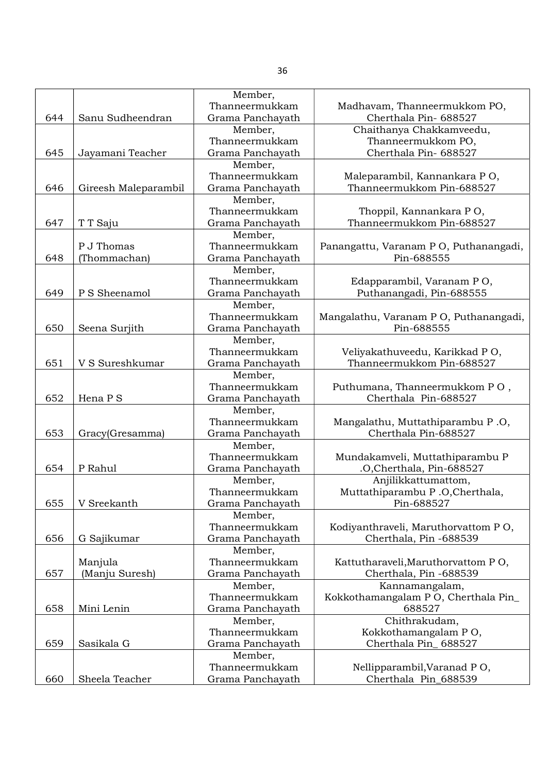| Panangattu, Varanam PO, Puthanangadi,                                                                                                                                        |
|------------------------------------------------------------------------------------------------------------------------------------------------------------------------------|
|                                                                                                                                                                              |
|                                                                                                                                                                              |
|                                                                                                                                                                              |
|                                                                                                                                                                              |
|                                                                                                                                                                              |
| Mangalathu, Varanam PO, Puthanangadi,                                                                                                                                        |
|                                                                                                                                                                              |
|                                                                                                                                                                              |
|                                                                                                                                                                              |
|                                                                                                                                                                              |
|                                                                                                                                                                              |
|                                                                                                                                                                              |
|                                                                                                                                                                              |
|                                                                                                                                                                              |
|                                                                                                                                                                              |
|                                                                                                                                                                              |
|                                                                                                                                                                              |
|                                                                                                                                                                              |
|                                                                                                                                                                              |
|                                                                                                                                                                              |
|                                                                                                                                                                              |
|                                                                                                                                                                              |
|                                                                                                                                                                              |
| Kodiyanthraveli, Maruthorvattom PO,                                                                                                                                          |
|                                                                                                                                                                              |
|                                                                                                                                                                              |
|                                                                                                                                                                              |
|                                                                                                                                                                              |
|                                                                                                                                                                              |
| Kokkothamangalam PO, Cherthala Pin_                                                                                                                                          |
|                                                                                                                                                                              |
|                                                                                                                                                                              |
|                                                                                                                                                                              |
|                                                                                                                                                                              |
|                                                                                                                                                                              |
|                                                                                                                                                                              |
|                                                                                                                                                                              |
| Puthumana, Thanneermukkom PO,<br>Mangalathu, Muttathiparambu P.O,<br>Mundakamveli, Muttathiparambu P<br>Muttathiparambu P.O,Cherthala,<br>Kattutharaveli, Maruthorvattom PO, |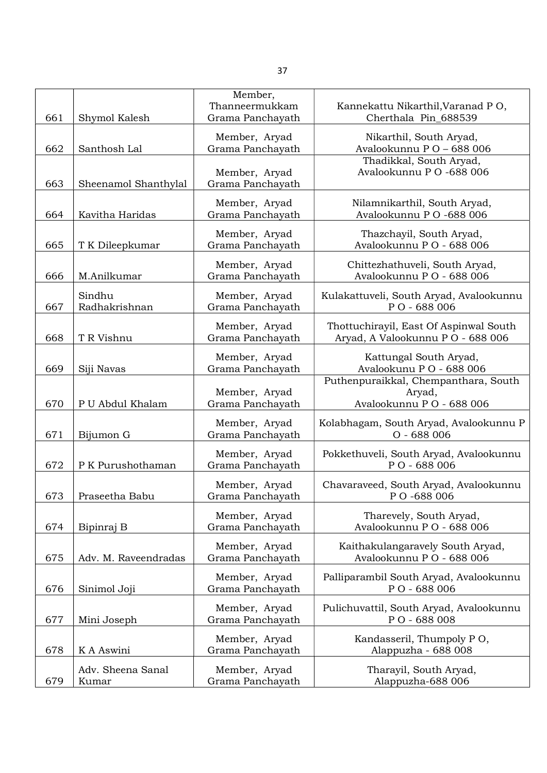|     |                      | Member,                           |                                                              |
|-----|----------------------|-----------------------------------|--------------------------------------------------------------|
|     |                      | Thanneermukkam                    | Kannekattu Nikarthil, Varanad PO,                            |
| 661 | Shymol Kalesh        | Grama Panchayath                  | Cherthala Pin_688539                                         |
|     |                      | Member, Aryad                     | Nikarthil, South Aryad,                                      |
| 662 | Santhosh Lal         | Grama Panchayath                  | Avalookunnu PO-688006                                        |
|     |                      | Member, Aryad                     | Thadikkal, South Aryad,<br>Avalookunnu P O -688 006          |
| 663 | Sheenamol Shanthylal | Grama Panchayath                  |                                                              |
|     |                      |                                   |                                                              |
| 664 | Kavitha Haridas      | Member, Aryad<br>Grama Panchayath | Nilamnikarthil, South Aryad,<br>Avalookunnu P O -688 006     |
|     |                      |                                   |                                                              |
|     |                      | Member, Aryad                     | Thazchayil, South Aryad,                                     |
| 665 | T K Dileepkumar      | Grama Panchayath                  | Avalookunnu PO - 688 006                                     |
|     |                      | Member, Aryad                     | Chittezhathuveli, South Aryad,                               |
| 666 | M.Anilkumar          | Grama Panchayath                  | Avalookunnu PO - 688 006                                     |
|     | Sindhu               | Member, Aryad                     | Kulakattuveli, South Aryad, Avalookunnu                      |
| 667 | Radhakrishnan        | Grama Panchayath                  | PO - 688 006                                                 |
|     |                      | Member, Aryad                     | Thottuchirayil, East Of Aspinwal South                       |
| 668 | T R Vishnu           | Grama Panchayath                  | Aryad, A Valookunnu P O - 688 006                            |
|     |                      | Member, Aryad                     | Kattungal South Aryad,                                       |
| 669 | Siji Navas           | Grama Panchayath                  | Avalookunu PO - 688 006                                      |
|     |                      |                                   | Puthenpuraikkal, Chempanthara, South                         |
|     |                      | Member, Aryad                     | Aryad,                                                       |
| 670 | P U Abdul Khalam     | Grama Panchayath                  | Avalookunnu PO - 688 006                                     |
|     |                      | Member, Aryad                     | Kolabhagam, South Aryad, Avalookunnu P                       |
| 671 | Bijumon G            | Grama Panchayath                  | $O - 688006$                                                 |
|     |                      | Member, Aryad                     | Pokkethuveli, South Aryad, Avalookunnu                       |
| 672 | P K Purushothaman    | Grama Panchayath                  | PO - 688 006                                                 |
|     |                      | Member, Aryad                     | Chavaraveed, South Aryad, Avalookunnu                        |
| 673 | Praseetha Babu       | Grama Panchayath                  | PO-688006                                                    |
|     |                      |                                   |                                                              |
| 674 | Bipinraj B           | Member, Aryad<br>Grama Panchayath | Tharevely, South Aryad,<br>Avalookunnu PO - 688 006          |
|     |                      |                                   |                                                              |
| 675 | Adv. M. Raveendradas | Member, Aryad<br>Grama Panchayath | Kaithakulangaravely South Aryad,<br>Avalookunnu PO - 688 006 |
|     |                      |                                   |                                                              |
|     |                      | Member, Aryad                     | Palliparambil South Aryad, Avalookunnu                       |
| 676 | Sinimol Joji         | Grama Panchayath                  | PO - 688 006                                                 |
|     |                      | Member, Aryad                     | Pulichuvattil, South Aryad, Avalookunnu                      |
| 677 | Mini Joseph          | Grama Panchayath                  | PO - 688 008                                                 |
|     |                      | Member, Aryad                     | Kandasseril, Thumpoly PO,                                    |
| 678 | K A Aswini           | Grama Panchayath                  | Alappuzha - 688 008                                          |
|     | Adv. Sheena Sanal    | Member, Aryad                     | Tharayil, South Aryad,                                       |
| 679 | Kumar                | Grama Panchayath                  | Alappuzha-688 006                                            |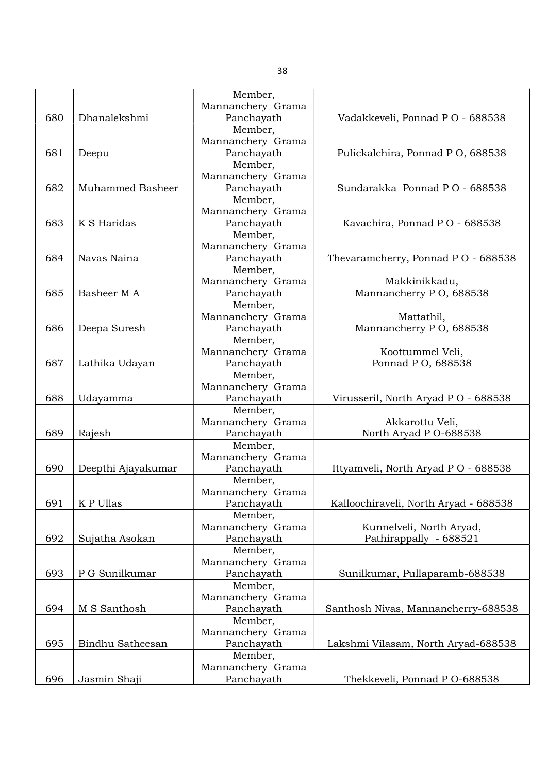|     |                         | Member,                         |                                       |
|-----|-------------------------|---------------------------------|---------------------------------------|
|     |                         | Mannanchery Grama               |                                       |
| 680 | Dhanalekshmi            | Panchayath                      | Vadakkeveli, Ponnad PO - 688538       |
|     |                         | Member,                         |                                       |
|     |                         | Mannanchery Grama               |                                       |
| 681 | Deepu                   | Panchayath                      | Pulickalchira, Ponnad P O, 688538     |
|     |                         | Member,                         |                                       |
|     |                         | Mannanchery Grama               |                                       |
| 682 | <b>Muhammed Basheer</b> | Panchayath                      | Sundarakka Ponnad PO - 688538         |
|     |                         | Member,                         |                                       |
|     |                         | Mannanchery Grama               |                                       |
| 683 | K S Haridas             | Panchayath                      | Kavachira, Ponnad PO - 688538         |
|     |                         | Member,                         |                                       |
|     |                         | Mannanchery Grama               |                                       |
| 684 | Navas Naina             | Panchayath                      | Thevaramcherry, Ponnad PO - 688538    |
|     |                         | Member,                         |                                       |
|     |                         | Mannanchery Grama               | Makkinikkadu,                         |
| 685 | Basheer M A             | Panchayath                      | Mannancherry PO, 688538               |
|     |                         | Member,                         |                                       |
|     |                         | Mannanchery Grama               | Mattathil,                            |
| 686 | Deepa Suresh            | Panchayath                      | Mannancherry PO, 688538               |
|     |                         | Member,                         |                                       |
|     |                         | Mannanchery Grama               | Koottummel Veli,                      |
| 687 | Lathika Udayan          | Panchayath                      | Ponnad P O, 688538                    |
|     |                         | Member,                         |                                       |
|     |                         | Mannanchery Grama               |                                       |
| 688 | Udayamma                | Panchayath                      | Virusseril, North Aryad P O - 688538  |
|     |                         | Member,                         |                                       |
|     |                         | Mannanchery Grama               | Akkarottu Veli,                       |
| 689 | Rajesh                  | Panchayath                      | North Aryad P O-688538                |
|     |                         | Member,                         |                                       |
|     |                         | Mannanchery Grama               |                                       |
| 690 | Deepthi Ajayakumar      | Panchayath                      | Ittyamveli, North Aryad P O - 688538  |
|     |                         | Member,                         |                                       |
|     |                         | Mannanchery Grama               |                                       |
| 691 | K P Ullas               | Panchayath                      | Kalloochiraveli, North Aryad - 688538 |
|     |                         | Member,                         |                                       |
|     |                         | Mannanchery Grama               | Kunnelveli, North Aryad,              |
| 692 | Sujatha Asokan          | Panchayath                      | Pathirappally - 688521                |
|     |                         | Member,                         |                                       |
|     |                         | Mannanchery Grama               |                                       |
| 693 | P G Sunilkumar          | Panchayath                      | Sunilkumar, Pullaparamb-688538        |
|     |                         | Member,                         |                                       |
|     |                         | Mannanchery Grama               |                                       |
| 694 | M S Santhosh            | Panchayath                      | Santhosh Nivas, Mannancherry-688538   |
|     |                         |                                 |                                       |
|     |                         | Member,                         |                                       |
| 695 | Bindhu Satheesan        | Mannanchery Grama<br>Panchayath | Lakshmi Vilasam, North Aryad-688538   |
|     |                         |                                 |                                       |
|     |                         | Member,                         |                                       |
|     |                         | Mannanchery Grama               |                                       |
| 696 | Jasmin Shaji            | Panchayath                      | Thekkeveli, Ponnad P O-688538         |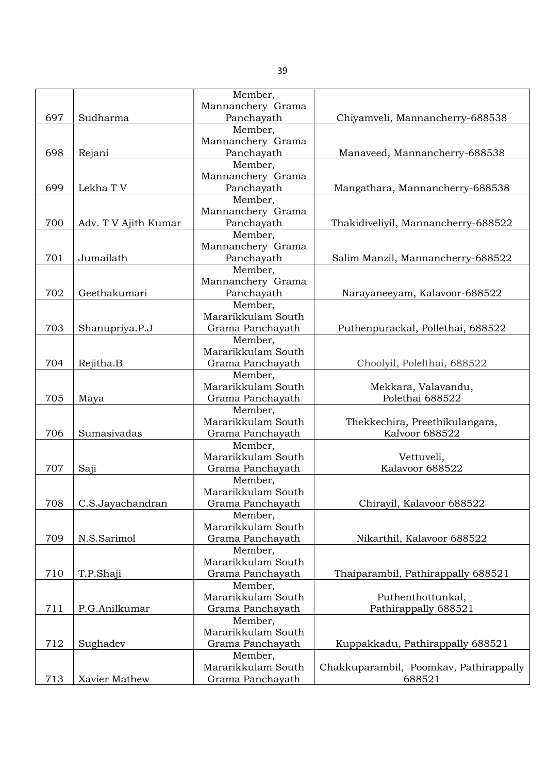|     |                      | Member,                       |                                        |
|-----|----------------------|-------------------------------|----------------------------------------|
|     |                      | Mannanchery Grama             |                                        |
| 697 | Sudharma             | Panchayath                    | Chiyamveli, Mannancherry-688538        |
|     |                      | Member,                       |                                        |
|     |                      | Mannanchery Grama             |                                        |
| 698 | Rejani               | Panchayath                    | Manaveed, Mannancherry-688538          |
|     |                      | Member,                       |                                        |
|     |                      | Mannanchery Grama             |                                        |
| 699 | Lekha TV             | Panchayath                    | Mangathara, Mannancherry-688538        |
|     |                      | Member,                       |                                        |
|     |                      | Mannanchery Grama             |                                        |
| 700 | Adv. T V Ajith Kumar | Panchayath                    | Thakidiveliyil, Mannancherry-688522    |
|     |                      | Member,                       |                                        |
|     |                      | Mannanchery Grama             |                                        |
| 701 | Jumailath            | Panchayath                    | Salim Manzil, Mannancherry-688522      |
|     |                      | Member,                       |                                        |
|     |                      | Mannanchery Grama             |                                        |
| 702 | Geethakumari         | Panchayath                    | Narayaneeyam, Kalavoor-688522          |
|     |                      | Member,                       |                                        |
|     |                      | Mararikkulam South            |                                        |
| 703 |                      |                               |                                        |
|     | Shanupriya.P.J       | Grama Panchayath              | Puthenpurackal, Pollethai, 688522      |
|     |                      | Member,<br>Mararikkulam South |                                        |
|     |                      |                               |                                        |
| 704 | Rejitha.B            | Grama Panchayath              | Choolyil, Polelthai, 688522            |
|     |                      | Member,                       |                                        |
|     |                      | Mararikkulam South            | Mekkara, Valavandu,                    |
| 705 | Maya                 | Grama Panchayath              | Polethai 688522                        |
|     |                      | Member,                       |                                        |
|     |                      | Mararikkulam South            | Thekkechira, Preethikulangara,         |
| 706 | Sumasivadas          | Grama Panchayath              | Kalvoor 688522                         |
|     |                      | Member,                       |                                        |
|     |                      | Mararikkulam South            | Vettuveli,                             |
| 707 | Saji                 | Grama Panchayath              | Kalavoor 688522                        |
|     |                      | Member,                       |                                        |
|     |                      | Mararikkulam South            |                                        |
| 708 | C.S.Jayachandran     | Grama Panchayath              | Chirayil, Kalavoor 688522              |
|     |                      | Member,                       |                                        |
|     |                      | Mararikkulam South            |                                        |
| 709 | N.S.Sarimol          | Grama Panchayath              | Nikarthil, Kalavoor 688522             |
|     |                      | Member,                       |                                        |
|     |                      | Mararikkulam South            |                                        |
| 710 | T.P.Shaji            | Grama Panchayath              | Thaiparambil, Pathirappally 688521     |
|     |                      | Member,                       |                                        |
|     |                      | Mararikkulam South            | Puthenthottunkal,                      |
| 711 | P.G.Anilkumar        | Grama Panchayath              | Pathirappally 688521                   |
|     |                      | Member,                       |                                        |
|     |                      | Mararikkulam South            |                                        |
| 712 | Sughadev             | Grama Panchayath              | Kuppakkadu, Pathirappally 688521       |
|     |                      | Member,                       |                                        |
|     |                      | Mararikkulam South            | Chakkuparambil, Poomkav, Pathirappally |
| 713 | Xavier Mathew        | Grama Panchayath              | 688521                                 |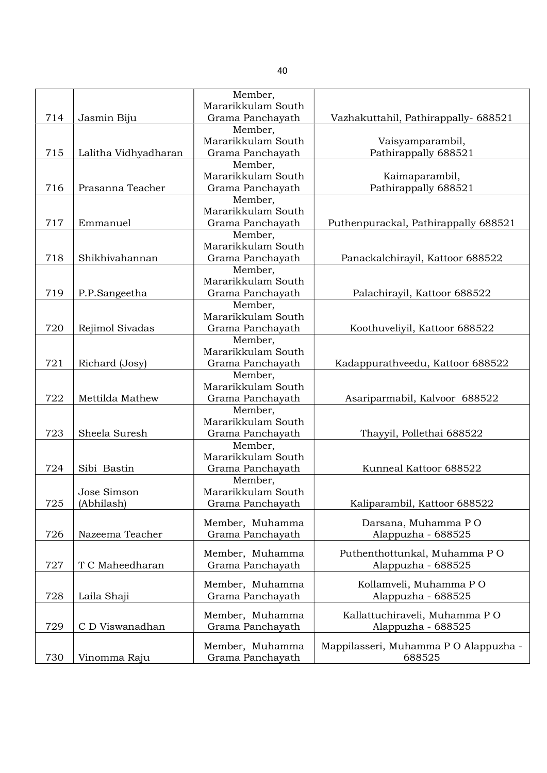|     |                      | Member,                       |                                      |
|-----|----------------------|-------------------------------|--------------------------------------|
|     |                      | Mararikkulam South            |                                      |
| 714 | Jasmin Biju          | Grama Panchayath              | Vazhakuttahil, Pathirappally- 688521 |
|     |                      | Member,                       |                                      |
|     |                      | Mararikkulam South            | Vaisyamparambil,                     |
| 715 | Lalitha Vidhyadharan | Grama Panchayath              | Pathirappally 688521                 |
|     |                      | Member,                       |                                      |
|     |                      | Mararikkulam South            | Kaimaparambil,                       |
| 716 | Prasanna Teacher     | Grama Panchayath              | Pathirappally 688521                 |
|     |                      | Member,                       |                                      |
|     |                      | Mararikkulam South            |                                      |
| 717 | Emmanuel             | Grama Panchayath              | Puthenpurackal, Pathirappally 688521 |
|     |                      | Member,                       |                                      |
|     |                      | Mararikkulam South            |                                      |
| 718 | Shikhivahannan       | Grama Panchayath              | Panackalchirayil, Kattoor 688522     |
|     |                      | Member,                       |                                      |
|     |                      | Mararikkulam South            |                                      |
| 719 | P.P.Sangeetha        | Grama Panchayath              | Palachirayil, Kattoor 688522         |
|     |                      | Member,                       |                                      |
|     |                      | Mararikkulam South            |                                      |
| 720 | Rejimol Sivadas      | Grama Panchayath              | Koothuveliyil, Kattoor 688522        |
|     |                      | Member,                       |                                      |
|     |                      | Mararikkulam South            |                                      |
| 721 | Richard (Josy)       | Grama Panchayath              | Kadappurathveedu, Kattoor 688522     |
|     |                      | Member,                       |                                      |
|     |                      | Mararikkulam South            |                                      |
| 722 | Mettilda Mathew      | Grama Panchayath              | Asariparmabil, Kalvoor 688522        |
|     |                      | Member,                       |                                      |
|     |                      | Mararikkulam South            |                                      |
| 723 | Sheela Suresh        | Grama Panchayath              | Thayyil, Pollethai 688522            |
|     |                      | Member,<br>Mararikkulam South |                                      |
|     |                      |                               |                                      |
| 724 | Sibi Bastin          | Grama Panchayath              | Kunneal Kattoor 688522               |
|     | Jose Simson          | Member,<br>Mararikkulam South |                                      |
|     |                      | Grama Panchayath              |                                      |
| 725 | (Abhilash)           |                               | Kaliparambil, Kattoor 688522         |
|     |                      | Member, Muhamma               | Darsana, Muhamma PO                  |
| 726 | Nazeema Teacher      | Grama Panchayath              | Alappuzha - 688525                   |
|     |                      |                               |                                      |
|     |                      | Member, Muhamma               | Puthenthottunkal, Muhamma PO         |
| 727 | T C Maheedharan      | Grama Panchayath              | Alappuzha - 688525                   |
|     |                      | Member, Muhamma               | Kollamveli, Muhamma PO               |
| 728 | Laila Shaji          | Grama Panchayath              | Alappuzha - 688525                   |
|     |                      |                               |                                      |
|     |                      | Member, Muhamma               | Kallattuchiraveli, Muhamma PO        |
| 729 | C D Viswanadhan      | Grama Panchayath              | Alappuzha - 688525                   |
|     |                      | Member, Muhamma               | Mappilasseri, Muhamma PO Alappuzha - |
| 730 | Vinomma Raju         | Grama Panchayath              | 688525                               |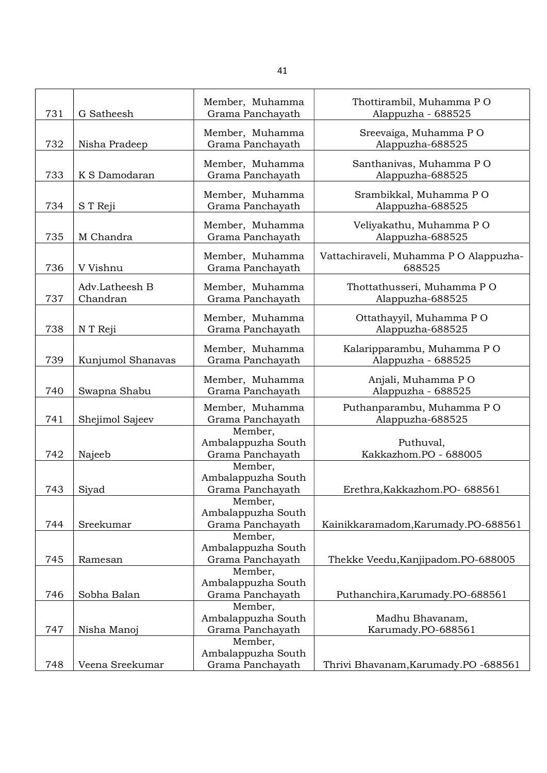| 731 | G Satheesh                 | Member, Muhamma<br>Grama Panchayath               | Thottirambil, Muhamma PO<br>Alappuzha - 688525   |
|-----|----------------------------|---------------------------------------------------|--------------------------------------------------|
| 732 | Nisha Pradeep              | Member, Muhamma<br>Grama Panchayath               | Sreevaiga, Muhamma PO<br>Alappuzha-688525        |
| 733 | K S Damodaran              | Member, Muhamma<br>Grama Panchayath               | Santhanivas, Muhamma PO<br>Alappuzha-688525      |
| 734 | S T Reji                   | Member, Muhamma<br>Grama Panchayath               | Srambikkal, Muhamma PO<br>Alappuzha-688525       |
| 735 | M Chandra                  | Member, Muhamma<br>Grama Panchayath               | Veliyakathu, Muhamma PO<br>Alappuzha-688525      |
| 736 | V Vishnu                   | Member, Muhamma<br>Grama Panchayath               | Vattachiraveli, Muhamma P O Alappuzha-<br>688525 |
| 737 | Adv.Latheesh B<br>Chandran | Member, Muhamma<br>Grama Panchayath               | Thottathusseri, Muhamma PO<br>Alappuzha-688525   |
| 738 | N T Reji                   | Member, Muhamma<br>Grama Panchayath               | Ottathayyil, Muhamma PO<br>Alappuzha-688525      |
| 739 | Kunjumol Shanavas          | Member, Muhamma<br>Grama Panchayath               | Kalaripparambu, Muhamma PO<br>Alappuzha - 688525 |
| 740 | Swapna Shabu               | Member, Muhamma<br>Grama Panchayath               | Anjali, Muhamma PO<br>Alappuzha - 688525         |
| 741 | Shejimol Sajeev            | Member, Muhamma<br>Grama Panchayath               | Puthanparambu, Muhamma PO<br>Alappuzha-688525    |
| 742 | Najeeb                     | Member,<br>Ambalappuzha South<br>Grama Panchayath | Puthuval,<br>Kakkazhom.PO - 688005               |
| 743 | Siyad                      | Member,<br>Ambalappuzha South<br>Grama Panchayath | Erethra, Kakkazhom. PO- 688561                   |
| 744 | Sreekumar                  | Member,<br>Ambalappuzha South<br>Grama Panchayath | Kainikkaramadom, Karumady. PO-688561             |
| 745 | Ramesan                    | Member,<br>Ambalappuzha South<br>Grama Panchayath | Thekke Veedu, Kanjipadom. PO-688005              |
|     |                            | Member,<br>Ambalappuzha South                     |                                                  |
| 746 | Sobha Balan                | Grama Panchayath<br>Member,                       | Puthanchira, Karumady. PO-688561                 |
| 747 | Nisha Manoj                | Ambalappuzha South<br>Grama Panchayath            | Madhu Bhavanam,<br>Karumady.PO-688561            |
| 748 | Veena Sreekumar            | Member,<br>Ambalappuzha South<br>Grama Panchayath | Thrivi Bhavanam, Karumady. PO -688561            |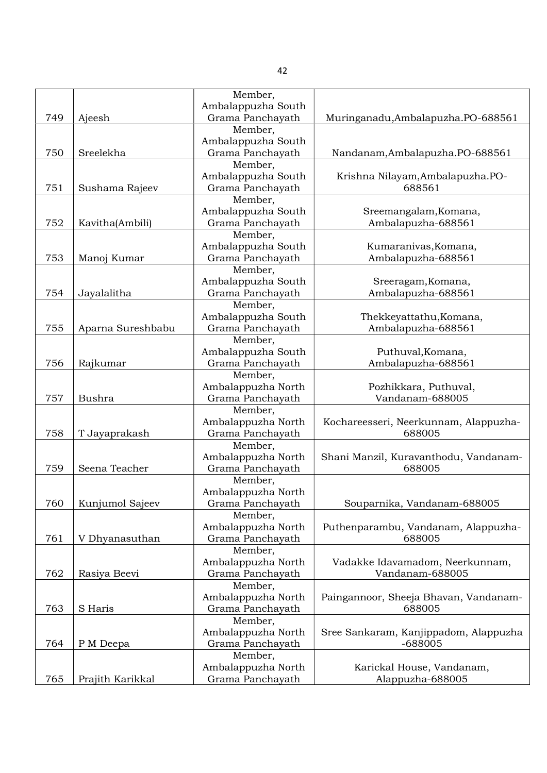|     |                   | Member,            |                                       |
|-----|-------------------|--------------------|---------------------------------------|
|     |                   | Ambalappuzha South |                                       |
| 749 | Ajeesh            | Grama Panchayath   | Muringanadu, Ambalapuzha. PO-688561   |
|     |                   | Member,            |                                       |
|     |                   | Ambalappuzha South |                                       |
| 750 | Sreelekha         | Grama Panchayath   | Nandanam, Ambalapuzha. PO-688561      |
|     |                   | Member,            |                                       |
|     |                   | Ambalappuzha South | Krishna Nilayam, Ambalapuzha.PO-      |
| 751 | Sushama Rajeev    | Grama Panchayath   | 688561                                |
|     |                   | Member,            |                                       |
|     |                   | Ambalappuzha South | Sreemangalam, Komana,                 |
| 752 |                   | Grama Panchayath   |                                       |
|     | Kavitha(Ambili)   |                    | Ambalapuzha-688561                    |
|     |                   | Member,            |                                       |
|     |                   | Ambalappuzha South | Kumaranivas, Komana,                  |
| 753 | Manoj Kumar       | Grama Panchayath   | Ambalapuzha-688561                    |
|     |                   | Member,            |                                       |
|     |                   | Ambalappuzha South | Sreeragam, Komana,                    |
| 754 | Jayalalitha       | Grama Panchayath   | Ambalapuzha-688561                    |
|     |                   | Member,            |                                       |
|     |                   | Ambalappuzha South | Thekkeyattathu, Komana,               |
| 755 | Aparna Sureshbabu | Grama Panchayath   | Ambalapuzha-688561                    |
|     |                   | Member,            |                                       |
|     |                   | Ambalappuzha South | Puthuval, Komana,                     |
| 756 | Rajkumar          | Grama Panchayath   | Ambalapuzha-688561                    |
|     |                   | Member,            |                                       |
|     |                   | Ambalappuzha North | Pozhikkara, Puthuval,                 |
| 757 | Bushra            | Grama Panchayath   | Vandanam-688005                       |
|     |                   | Member,            |                                       |
|     |                   | Ambalappuzha North | Kochareesseri, Neerkunnam, Alappuzha- |
| 758 | T Jayaprakash     | Grama Panchayath   | 688005                                |
|     |                   |                    |                                       |
|     |                   | Member,            |                                       |
|     |                   | Ambalappuzha North | Shani Manzil, Kuravanthodu, Vandanam- |
| 759 | Seena Teacher     | Grama Panchayath   | 688005                                |
|     |                   | Member,            |                                       |
|     |                   | Ambalappuzha North |                                       |
| 760 | Kunjumol Sajeev   | Grama Panchayath   | Souparnika, Vandanam-688005           |
|     |                   | Member,            |                                       |
|     |                   | Ambalappuzha North | Puthenparambu, Vandanam, Alappuzha-   |
| 761 | V Dhyanasuthan    | Grama Panchayath   | 688005                                |
|     |                   | Member,            |                                       |
|     |                   | Ambalappuzha North | Vadakke Idavamadom, Neerkunnam,       |
| 762 | Rasiya Beevi      | Grama Panchayath   | Vandanam-688005                       |
|     |                   | Member,            |                                       |
|     |                   | Ambalappuzha North | Paingannoor, Sheeja Bhavan, Vandanam- |
| 763 | S Haris           | Grama Panchayath   | 688005                                |
|     |                   | Member,            |                                       |
|     |                   | Ambalappuzha North | Sree Sankaram, Kanjippadom, Alappuzha |
| 764 | P M Deepa         | Grama Panchayath   | $-688005$                             |
|     |                   |                    |                                       |
|     |                   | Member,            |                                       |
|     |                   | Ambalappuzha North | Karickal House, Vandanam,             |
| 765 | Prajith Karikkal  | Grama Panchayath   | Alappuzha-688005                      |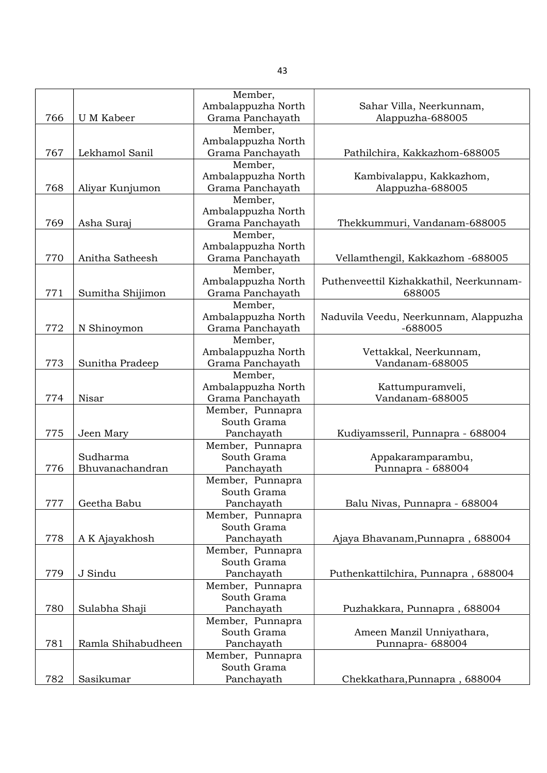| Ambalappuzha North<br>Sahar Villa, Neerkunnam,<br>Grama Panchayath<br>766<br>U M Kabeer<br>Alappuzha-688005<br>Member,<br>Ambalappuzha North<br>767<br>Lekhamol Sanil<br>Grama Panchayath<br>Pathilchira, Kakkazhom-688005 |
|----------------------------------------------------------------------------------------------------------------------------------------------------------------------------------------------------------------------------|
|                                                                                                                                                                                                                            |
|                                                                                                                                                                                                                            |
|                                                                                                                                                                                                                            |
|                                                                                                                                                                                                                            |
|                                                                                                                                                                                                                            |
| Member,                                                                                                                                                                                                                    |
| Ambalappuzha North<br>Kambivalappu, Kakkazhom,                                                                                                                                                                             |
| Grama Panchayath<br>Alappuzha-688005<br>768<br>Aliyar Kunjumon                                                                                                                                                             |
| Member,                                                                                                                                                                                                                    |
| Ambalappuzha North                                                                                                                                                                                                         |
| 769<br>Grama Panchayath<br>Asha Suraj<br>Thekkummuri, Vandanam-688005                                                                                                                                                      |
| Member,                                                                                                                                                                                                                    |
| Ambalappuzha North                                                                                                                                                                                                         |
| 770<br>Grama Panchayath<br>Anitha Satheesh<br>Vellamthengil, Kakkazhom -688005                                                                                                                                             |
| Member,                                                                                                                                                                                                                    |
|                                                                                                                                                                                                                            |
| Ambalappuzha North<br>Puthenveettil Kizhakkathil, Neerkunnam-<br>688005                                                                                                                                                    |
| 771<br>Sumitha Shijimon<br>Grama Panchayath                                                                                                                                                                                |
| Member,                                                                                                                                                                                                                    |
| Ambalappuzha North<br>Naduvila Veedu, Neerkunnam, Alappuzha                                                                                                                                                                |
| Grama Panchayath<br>$-688005$<br>772<br>N Shinoymon                                                                                                                                                                        |
| Member,                                                                                                                                                                                                                    |
| Ambalappuzha North<br>Vettakkal, Neerkunnam,                                                                                                                                                                               |
| Vandanam-688005<br>773<br>Sunitha Pradeep<br>Grama Panchayath                                                                                                                                                              |
| Member,                                                                                                                                                                                                                    |
| Ambalappuzha North<br>Kattumpuramveli,                                                                                                                                                                                     |
| Vandanam-688005<br>774<br>Nisar<br>Grama Panchayath                                                                                                                                                                        |
| Member, Punnapra                                                                                                                                                                                                           |
| South Grama                                                                                                                                                                                                                |
| 775<br>Panchayath<br>Kudiyamsseril, Punnapra - 688004<br>Jeen Mary                                                                                                                                                         |
| Member, Punnapra                                                                                                                                                                                                           |
| Sudharma<br>South Grama<br>Appakaramparambu,                                                                                                                                                                               |
| 776<br>Bhuvanachandran<br>Panchayath<br>Punnapra - 688004                                                                                                                                                                  |
| Member, Punnapra                                                                                                                                                                                                           |
| South Grama                                                                                                                                                                                                                |
| 777<br>Geetha Babu<br>Panchayath<br>Balu Nivas, Punnapra - 688004                                                                                                                                                          |
| Member, Punnapra                                                                                                                                                                                                           |
| South Grama                                                                                                                                                                                                                |
| 778<br>A K Ajayakhosh<br>Panchayath<br>Ajaya Bhavanam, Punnapra, 688004                                                                                                                                                    |
| Member, Punnapra                                                                                                                                                                                                           |
| South Grama                                                                                                                                                                                                                |
| 779<br>J Sindu<br>Panchayath<br>Puthenkattilchira, Punnapra, 688004                                                                                                                                                        |
| Member, Punnapra                                                                                                                                                                                                           |
| South Grama                                                                                                                                                                                                                |
| 780<br>Sulabha Shaji<br>Panchayath<br>Puzhakkara, Punnapra, 688004                                                                                                                                                         |
| Member, Punnapra                                                                                                                                                                                                           |
| South Grama<br>Ameen Manzil Unniyathara,                                                                                                                                                                                   |
| 781<br>Ramla Shihabudheen<br>Panchayath<br>Punnapra-688004                                                                                                                                                                 |
| Member, Punnapra                                                                                                                                                                                                           |
| South Grama                                                                                                                                                                                                                |
| 782<br>Panchayath<br>Sasikumar<br>Chekkathara, Punnapra, 688004                                                                                                                                                            |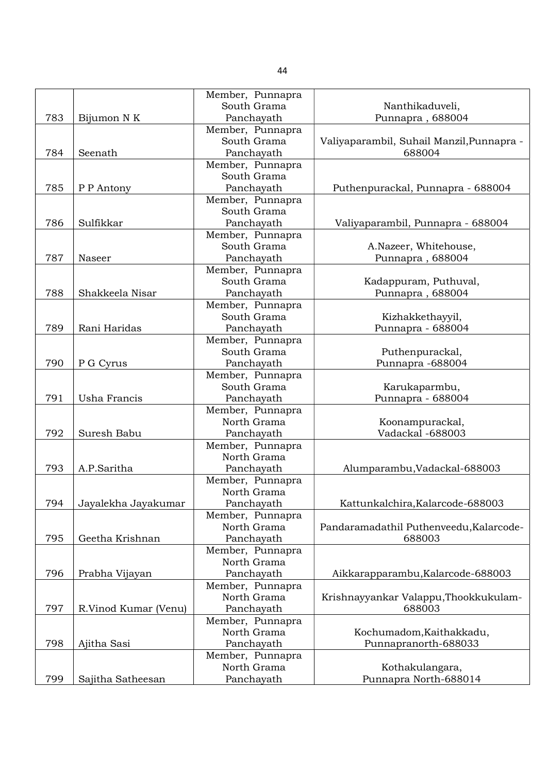|     |                      | Member, Punnapra |                                           |
|-----|----------------------|------------------|-------------------------------------------|
|     |                      | South Grama      | Nanthikaduveli,                           |
| 783 | Bijumon N K          | Panchayath       | Punnapra, 688004                          |
|     |                      | Member, Punnapra |                                           |
|     |                      | South Grama      | Valiyaparambil, Suhail Manzil, Punnapra - |
| 784 | Seenath              | Panchayath       | 688004                                    |
|     |                      | Member, Punnapra |                                           |
|     |                      | South Grama      |                                           |
| 785 | P P Antony           | Panchayath       | Puthenpurackal, Punnapra - 688004         |
|     |                      | Member, Punnapra |                                           |
|     |                      | South Grama      |                                           |
| 786 | Sulfikkar            | Panchayath       | Valiyaparambil, Punnapra - 688004         |
|     |                      | Member, Punnapra |                                           |
|     |                      | South Grama      |                                           |
| 787 | Naseer               |                  | A.Nazeer, Whitehouse,                     |
|     |                      | Panchayath       | Punnapra, 688004                          |
|     |                      | Member, Punnapra |                                           |
|     |                      | South Grama      | Kadappuram, Puthuval,                     |
| 788 | Shakkeela Nisar      | Panchayath       | Punnapra, 688004                          |
|     |                      | Member, Punnapra |                                           |
|     |                      | South Grama      | Kizhakkethayyil,                          |
| 789 | Rani Haridas         | Panchayath       | Punnapra - 688004                         |
|     |                      | Member, Punnapra |                                           |
|     |                      | South Grama      | Puthenpurackal,                           |
| 790 | P G Cyrus            | Panchayath       | Punnapra -688004                          |
|     |                      | Member, Punnapra |                                           |
|     |                      | South Grama      | Karukaparmbu,                             |
| 791 | Usha Francis         | Panchayath       | Punnapra - 688004                         |
|     |                      | Member, Punnapra |                                           |
|     |                      | North Grama      | Koonampurackal,                           |
| 792 | Suresh Babu          | Panchayath       | Vadackal -688003                          |
|     |                      | Member, Punnapra |                                           |
|     |                      | North Grama      |                                           |
| 793 | A.P.Saritha          | Panchayath       | Alumparambu, Vadackal-688003              |
|     |                      | Member, Punnapra |                                           |
|     |                      | North Grama      |                                           |
| 794 | Jayalekha Jayakumar  | Panchayath       | Kattunkalchira, Kalarcode-688003          |
|     |                      | Member, Punnapra |                                           |
|     |                      | North Grama      | Pandaramadathil Puthenveedu, Kalarcode-   |
| 795 | Geetha Krishnan      | Panchayath       | 688003                                    |
|     |                      | Member, Punnapra |                                           |
|     |                      | North Grama      |                                           |
| 796 | Prabha Vijayan       | Panchayath       | Aikkarapparambu, Kalarcode-688003         |
|     |                      | Member, Punnapra |                                           |
|     |                      | North Grama      | Krishnayyankar Valappu, Thookkukulam-     |
| 797 | R.Vinod Kumar (Venu) | Panchayath       | 688003                                    |
|     |                      | Member, Punnapra |                                           |
|     |                      | North Grama      | Kochumadom, Kaithakkadu,                  |
| 798 |                      |                  |                                           |
|     | Ajitha Sasi          | Panchayath       | Punnapranorth-688033                      |
|     |                      | Member, Punnapra |                                           |
|     |                      | North Grama      | Kothakulangara,                           |
| 799 | Sajitha Satheesan    | Panchayath       | Punnapra North-688014                     |

44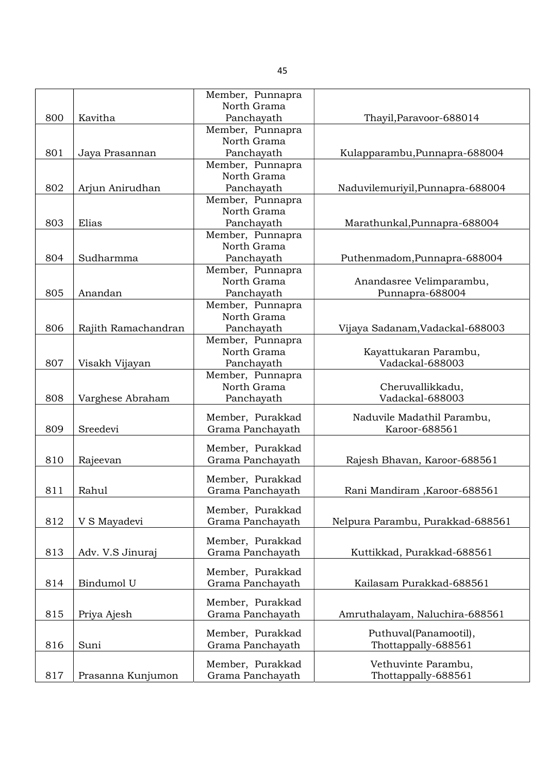|     |                     | Member, Punnapra                     |                                  |
|-----|---------------------|--------------------------------------|----------------------------------|
|     |                     | North Grama                          |                                  |
| 800 | Kavitha             | Panchayath                           | Thayil, Paravoor-688014          |
|     |                     | Member, Punnapra                     |                                  |
|     |                     | North Grama                          |                                  |
| 801 | Jaya Prasannan      | Panchayath                           | Kulapparambu, Punnapra-688004    |
|     |                     | Member, Punnapra                     |                                  |
|     |                     | North Grama                          |                                  |
| 802 | Arjun Anirudhan     | Panchayath                           | Naduvilemuriyil, Punnapra-688004 |
|     |                     | Member, Punnapra                     |                                  |
|     |                     | North Grama                          |                                  |
| 803 | Elias               | Panchayath                           | Marathunkal, Punnapra-688004     |
|     |                     | Member, Punnapra                     |                                  |
|     |                     | North Grama                          |                                  |
| 804 | Sudharmma           | Panchayath                           | Puthenmadom, Punnapra-688004     |
|     |                     | Member, Punnapra                     |                                  |
|     |                     | North Grama                          | Anandasree Velimparambu,         |
| 805 | Anandan             | Panchayath                           | Punnapra-688004                  |
|     |                     | Member, Punnapra                     |                                  |
|     |                     | North Grama                          |                                  |
| 806 | Rajith Ramachandran | Panchayath                           | Vijaya Sadanam, Vadackal-688003  |
|     |                     | Member, Punnapra                     |                                  |
|     |                     | North Grama                          | Kayattukaran Parambu,            |
| 807 | Visakh Vijayan      | Panchayath                           | Vadackal-688003                  |
|     |                     | Member, Punnapra                     |                                  |
|     |                     | North Grama                          | Cheruvallikkadu,                 |
| 808 | Varghese Abraham    | Panchayath                           | Vadackal-688003                  |
|     |                     | Member, Purakkad                     | Naduvile Madathil Parambu,       |
| 809 | Sreedevi            | Grama Panchayath                     | Karoor-688561                    |
|     |                     |                                      |                                  |
|     |                     | Member, Purakkad                     |                                  |
| 810 | Rajeevan            | Grama Panchayath                     | Rajesh Bhavan, Karoor-688561     |
|     |                     |                                      |                                  |
|     |                     | Member, Purakkad                     |                                  |
| 811 | Rahul               | Grama Panchayath                     | Rani Mandiram, Karoor-688561     |
|     |                     | Member, Purakkad                     |                                  |
| 812 | V S Mayadevi        | Grama Panchayath                     | Nelpura Parambu, Purakkad-688561 |
|     |                     |                                      |                                  |
|     |                     | Member, Purakkad                     |                                  |
| 813 | Adv. V.S Jinuraj    | Grama Panchayath                     | Kuttikkad, Purakkad-688561       |
|     |                     |                                      |                                  |
| 814 | Bindumol U          | Member, Purakkad<br>Grama Panchayath | Kailasam Purakkad-688561         |
|     |                     |                                      |                                  |
|     |                     | Member, Purakkad                     |                                  |
| 815 | Priya Ajesh         | Grama Panchayath                     | Amruthalayam, Naluchira-688561   |
|     |                     |                                      |                                  |
|     |                     | Member, Purakkad                     | Puthuval(Panamootil),            |
| 816 | Suni                | Grama Panchayath                     | Thottappally-688561              |
|     |                     | Member, Purakkad                     | Vethuvinte Parambu,              |
| 817 | Prasanna Kunjumon   | Grama Panchayath                     | Thottappally-688561              |

45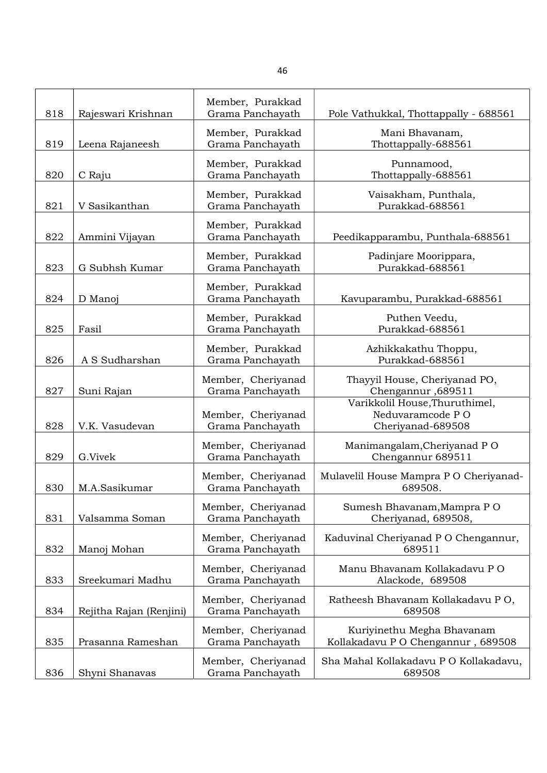| 818 | Rajeswari Krishnan      | Member, Purakkad<br>Grama Panchayath   | Pole Vathukkal, Thottappally - 688561                                   |
|-----|-------------------------|----------------------------------------|-------------------------------------------------------------------------|
| 819 | Leena Rajaneesh         | Member, Purakkad<br>Grama Panchayath   | Mani Bhavanam,<br>Thottappally-688561                                   |
| 820 | C Raju                  | Member, Purakkad<br>Grama Panchayath   | Punnamood,<br>Thottappally-688561                                       |
| 821 | V Sasikanthan           | Member, Purakkad<br>Grama Panchayath   | Vaisakham, Punthala,<br>Purakkad-688561                                 |
| 822 | Ammini Vijayan          | Member, Purakkad<br>Grama Panchayath   | Peedikapparambu, Punthala-688561                                        |
| 823 | G Subhsh Kumar          | Member, Purakkad<br>Grama Panchayath   | Padinjare Moorippara,<br>Purakkad-688561                                |
| 824 | D Manoj                 | Member, Purakkad<br>Grama Panchayath   | Kavuparambu, Purakkad-688561                                            |
| 825 | Fasil                   | Member, Purakkad<br>Grama Panchayath   | Puthen Veedu,<br>Purakkad-688561                                        |
| 826 | A S Sudharshan          | Member, Purakkad<br>Grama Panchayath   | Azhikkakathu Thoppu,<br>Purakkad-688561                                 |
| 827 | Suni Rajan              | Member, Cheriyanad<br>Grama Panchayath | Thayyil House, Cheriyanad PO,<br>Chengannur, 689511                     |
| 828 | V.K. Vasudevan          | Member, Cheriyanad<br>Grama Panchayath | Varikkolil House, Thuruthimel,<br>Neduvaramcode PO<br>Cheriyanad-689508 |
| 829 | G.Vivek                 | Member, Cheriyanad<br>Grama Panchayath | Manimangalam, Cheriyanad PO<br>Chengannur 689511                        |
| 830 | M.A.Sasikumar           | Member, Cheriyanad<br>Grama Panchayath | Mulavelil House Mampra PO Cheriyanad-<br>689508.                        |
| 831 | Valsamma Soman          | Member, Cheriyanad<br>Grama Panchayath | Sumesh Bhavanam, Mampra PO<br>Cheriyanad, 689508,                       |
| 832 | Manoj Mohan             | Member, Cheriyanad<br>Grama Panchayath | Kaduvinal Cheriyanad PO Chengannur,<br>689511                           |
| 833 | Sreekumari Madhu        | Member, Cheriyanad<br>Grama Panchayath | Manu Bhavanam Kollakadavu PO<br>Alackode, 689508                        |
| 834 | Rejitha Rajan (Renjini) | Member, Cheriyanad<br>Grama Panchayath | Ratheesh Bhavanam Kollakadavu PO,<br>689508                             |
| 835 | Prasanna Rameshan       | Member, Cheriyanad<br>Grama Panchayath | Kuriyinethu Megha Bhavanam<br>Kollakadavu PO Chengannur, 689508         |
| 836 | Shyni Shanavas          | Member, Cheriyanad<br>Grama Panchayath | Sha Mahal Kollakadavu PO Kollakadavu,<br>689508                         |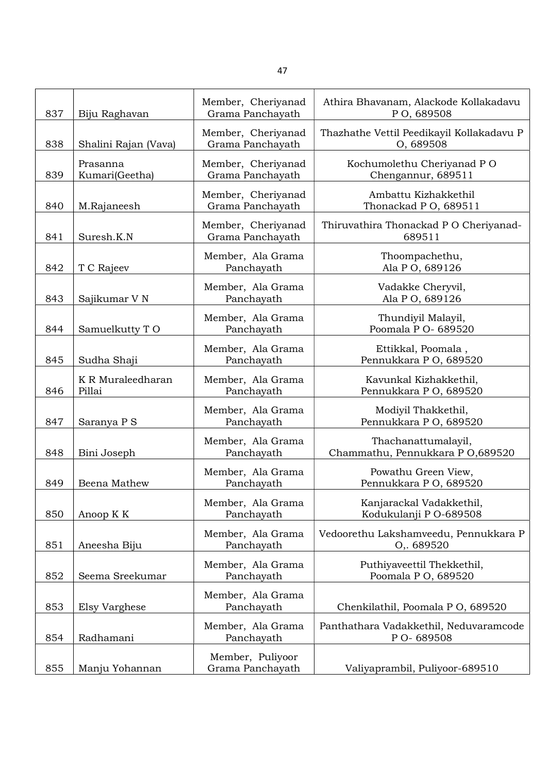| 837 |                             | Member, Cheriyanad                     | Athira Bhavanam, Alackode Kollakadavu                            |
|-----|-----------------------------|----------------------------------------|------------------------------------------------------------------|
|     | Biju Raghavan               | Grama Panchayath<br>Member, Cheriyanad | PO, 689508<br>Thazhathe Vettil Peedikayil Kollakadavu P          |
| 838 | Shalini Rajan (Vava)        | Grama Panchayath                       | O, 689508                                                        |
| 839 | Prasanna<br>Kumari(Geetha)  | Member, Cheriyanad<br>Grama Panchayath | Kochumolethu Cheriyanad PO<br>Chengannur, 689511                 |
| 840 | M.Rajaneesh                 | Member, Cheriyanad<br>Grama Panchayath | Ambattu Kizhakkethil<br>Thonackad PO, 689511                     |
| 841 | Suresh.K.N                  | Member, Cheriyanad<br>Grama Panchayath | Thiruvathira Thonackad P O Cheriyanad-<br>689511                 |
| 842 | T C Rajeev                  | Member, Ala Grama<br>Panchayath        | Thoompachethu,<br>Ala P O, 689126                                |
| 843 | Sajikumar V N               | Member, Ala Grama<br>Panchayath        | Vadakke Cheryvil,<br>Ala P O, 689126                             |
| 844 | Samuelkutty TO              | Member, Ala Grama<br>Panchayath        | Thundiyil Malayil,<br>Poomala P O- 689520                        |
| 845 | Sudha Shaji                 | Member, Ala Grama<br>Panchayath        | Ettikkal, Poomala,<br>Pennukkara P O, 689520                     |
| 846 | K R Muraleedharan<br>Pillai | Member, Ala Grama<br>Panchayath        | Kavunkal Kizhakkethil,<br>Pennukkara P O, 689520                 |
| 847 | Saranya P S                 | Member, Ala Grama<br>Panchayath        | Modiyil Thakkethil,<br>Pennukkara P O, 689520                    |
| 848 | Bini Joseph                 | Member, Ala Grama<br>Panchayath        | Thachanattumalayil,<br>Chammathu, Pennukkara P O,689520          |
| 849 | Beena Mathew                | Member, Ala Grama<br>Panchayath        | Powathu Green View,<br>Pennukkara P O, 689520                    |
| 850 | Anoop K K                   | Member, Ala Grama<br>Panchayath        | Kanjarackal Vadakkethil,<br>Kodukulanji P O-689508               |
| 851 | Aneesha Biju                | Member, Ala Grama<br>Panchayath        | Vedoorethu Lakshamveedu, Pennukkara P<br>O <sub>1</sub> . 689520 |
| 852 | Seema Sreekumar             | Member, Ala Grama<br>Panchayath        | Puthiyaveettil Thekkethil,<br>Poomala P O, 689520                |
| 853 | Elsy Varghese               | Member, Ala Grama<br>Panchayath        | Chenkilathil, Poomala P O, 689520                                |
| 854 | Radhamani                   | Member, Ala Grama<br>Panchayath        | Panthathara Vadakkethil, Neduvaramcode<br>P O-689508             |
| 855 | Manju Yohannan              | Member, Puliyoor<br>Grama Panchayath   | Valiyaprambil, Puliyoor-689510                                   |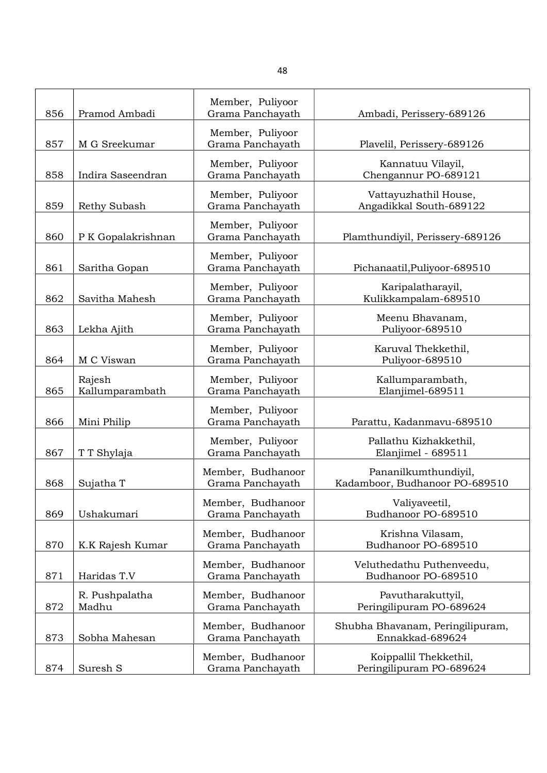| 856 | Pramod Ambadi             | Member, Puliyoor<br>Grama Panchayath  | Ambadi, Perissery-689126                               |
|-----|---------------------------|---------------------------------------|--------------------------------------------------------|
| 857 | M G Sreekumar             | Member, Puliyoor<br>Grama Panchayath  | Plavelil, Perissery-689126                             |
| 858 | Indira Saseendran         | Member, Puliyoor<br>Grama Panchayath  | Kannatuu Vilayil,<br>Chengannur PO-689121              |
| 859 | Rethy Subash              | Member, Puliyoor<br>Grama Panchayath  | Vattayuzhathil House,<br>Angadikkal South-689122       |
| 860 | P K Gopalakrishnan        | Member, Puliyoor<br>Grama Panchayath  | Plamthundiyil, Perissery-689126                        |
| 861 | Saritha Gopan             | Member, Puliyoor<br>Grama Panchayath  | Pichanaatil, Puliyoor-689510                           |
| 862 | Savitha Mahesh            | Member, Puliyoor<br>Grama Panchayath  | Karipalatharayil,<br>Kulikkampalam-689510              |
| 863 | Lekha Ajith               | Member, Puliyoor<br>Grama Panchayath  | Meenu Bhavanam,<br>Puliyoor-689510                     |
| 864 | M C Viswan                | Member, Puliyoor<br>Grama Panchayath  | Karuval Thekkethil,<br>Puliyoor-689510                 |
| 865 | Rajesh<br>Kallumparambath | Member, Puliyoor<br>Grama Panchayath  | Kallumparambath,<br>Elanjimel-689511                   |
| 866 | Mini Philip               | Member, Puliyoor<br>Grama Panchayath  | Parattu, Kadanmavu-689510                              |
| 867 | T T Shylaja               | Member, Puliyoor<br>Grama Panchayath  | Pallathu Kizhakkethil,<br>Elanjimel - 689511           |
| 868 | Sujatha T                 | Member, Budhanoor<br>Grama Panchayath | Pananilkumthundiyil,<br>Kadamboor, Budhanoor PO-689510 |
| 869 | Ushakumari                | Member, Budhanoor<br>Grama Panchayath | Valiyaveetil,<br>Budhanoor PO-689510                   |
| 870 | K.K Rajesh Kumar          | Member, Budhanoor<br>Grama Panchayath | Krishna Vilasam,<br>Budhanoor PO-689510                |
| 871 | Haridas T.V               | Member, Budhanoor<br>Grama Panchayath | Veluthedathu Puthenveedu,<br>Budhanoor PO-689510       |
| 872 | R. Pushpalatha<br>Madhu   | Member, Budhanoor<br>Grama Panchayath | Pavutharakuttyil,<br>Peringilipuram PO-689624          |
| 873 | Sobha Mahesan             | Member, Budhanoor<br>Grama Panchayath | Shubha Bhavanam, Peringilipuram,<br>Ennakkad-689624    |
| 874 | Suresh S                  | Member, Budhanoor<br>Grama Panchayath | Koippallil Thekkethil,<br>Peringilipuram PO-689624     |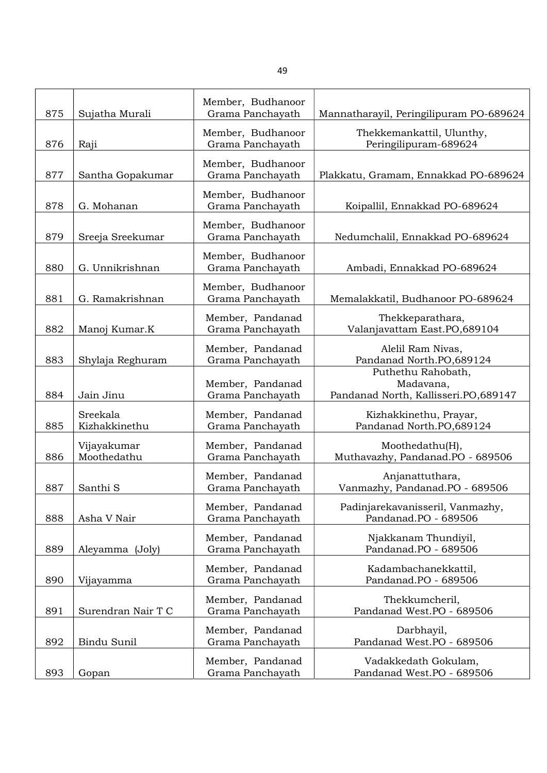| 875 | Sujatha Murali             | Member, Budhanoor<br>Grama Panchayath | Mannatharayil, Peringilipuram PO-689624                                 |
|-----|----------------------------|---------------------------------------|-------------------------------------------------------------------------|
| 876 | Raji                       | Member, Budhanoor<br>Grama Panchayath | Thekkemankattil, Ulunthy,<br>Peringilipuram-689624                      |
| 877 | Santha Gopakumar           | Member, Budhanoor<br>Grama Panchayath | Plakkatu, Gramam, Ennakkad PO-689624                                    |
| 878 | G. Mohanan                 | Member, Budhanoor<br>Grama Panchayath | Koipallil, Ennakkad PO-689624                                           |
| 879 | Sreeja Sreekumar           | Member, Budhanoor<br>Grama Panchayath | Nedumchalil, Ennakkad PO-689624                                         |
| 880 | G. Unnikrishnan            | Member, Budhanoor<br>Grama Panchayath | Ambadi, Ennakkad PO-689624                                              |
| 881 | G. Ramakrishnan            | Member, Budhanoor<br>Grama Panchayath | Memalakkatil, Budhanoor PO-689624                                       |
| 882 | Manoj Kumar.K              | Member, Pandanad<br>Grama Panchayath  | Thekkeparathara,<br>Valanjavattam East.PO,689104                        |
| 883 | Shylaja Reghuram           | Member, Pandanad<br>Grama Panchayath  | Alelil Ram Nivas,<br>Pandanad North.PO,689124                           |
| 884 | Jain Jinu                  | Member, Pandanad<br>Grama Panchayath  | Puthethu Rahobath,<br>Madavana,<br>Pandanad North, Kallisseri.PO,689147 |
| 885 | Sreekala<br>Kizhakkinethu  | Member, Pandanad<br>Grama Panchayath  | Kizhakkinethu, Prayar,<br>Pandanad North.PO,689124                      |
| 886 | Vijayakumar<br>Moothedathu | Member, Pandanad<br>Grama Panchayath  | Moothedathu(H),<br>Muthavazhy, Pandanad.PO - 689506                     |
| 887 | Santhi <sub>S</sub>        | Member, Pandanad<br>Grama Panchayath  | Anjanattuthara,<br>Vanmazhy, Pandanad.PO - 689506                       |
| 888 | Asha V Nair                | Member, Pandanad<br>Grama Panchayath  | Padinjarekavanisseril, Vanmazhy,<br>Pandanad.PO - 689506                |
| 889 | Aleyamma (Joly)            | Member, Pandanad<br>Grama Panchayath  | Njakkanam Thundiyil,<br>Pandanad.PO - 689506                            |
| 890 | Vijayamma                  | Member, Pandanad<br>Grama Panchayath  | Kadambachanekkattil,<br>Pandanad.PO - 689506                            |
| 891 | Surendran Nair T C         | Member, Pandanad<br>Grama Panchayath  | Thekkumcheril,<br>Pandanad West.PO - 689506                             |
| 892 | Bindu Sunil                | Member, Pandanad<br>Grama Panchayath  | Darbhayil,<br>Pandanad West.PO - 689506                                 |
| 893 | Gopan                      | Member, Pandanad<br>Grama Panchayath  | Vadakkedath Gokulam,<br>Pandanad West.PO - 689506                       |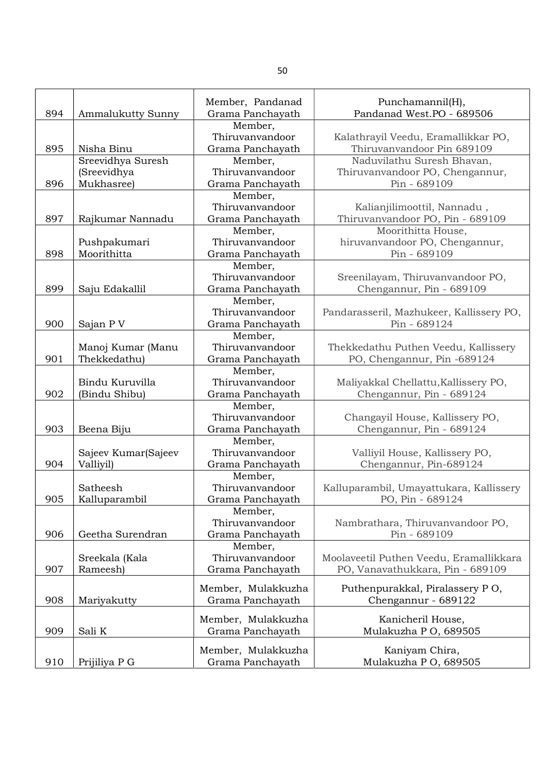| 894 | Ammalukutty Sunny   | Member, Pandanad<br>Grama Panchayath           | Punchamannil(H),<br>Pandanad West.PO - 689506                     |
|-----|---------------------|------------------------------------------------|-------------------------------------------------------------------|
| 895 | Nisha Binu          | Member,<br>Thiruvanvandoor<br>Grama Panchayath | Kalathrayil Veedu, Eramallikkar PO,<br>Thiruvanvandoor Pin 689109 |
|     | Sreevidhya Suresh   | Member,                                        | Naduvilathu Suresh Bhavan,                                        |
|     | (Sreevidhya         | Thiruvanvandoor                                | Thiruvanvandoor PO, Chengannur,                                   |
| 896 | Mukhasree)          | Grama Panchayath                               | Pin - 689109                                                      |
|     |                     | Member,                                        |                                                                   |
|     |                     | Thiruvanvandoor                                | Kalianjilimoottil, Nannadu,                                       |
| 897 | Rajkumar Nannadu    | Grama Panchayath                               | Thiruvanvandoor PO, Pin - 689109                                  |
|     |                     | Member,                                        | Moorithitta House,                                                |
|     | Pushpakumari        | Thiruvanvandoor                                | hiruvanvandoor PO, Chengannur,                                    |
| 898 | Moorithitta         | Grama Panchayath                               | Pin - 689109                                                      |
|     |                     | Member,                                        |                                                                   |
|     |                     | Thiruvanvandoor                                | Sreenilayam, Thiruvanvandoor PO,                                  |
| 899 | Saju Edakallil      | Grama Panchayath                               | Chengannur, Pin - 689109                                          |
|     |                     | Member,                                        |                                                                   |
|     |                     | Thiruvanvandoor                                | Pandarasseril, Mazhukeer, Kallissery PO,                          |
| 900 | Sajan P V           | Grama Panchayath                               | Pin - 689124                                                      |
|     |                     | Member,                                        |                                                                   |
|     | Manoj Kumar (Manu   | Thiruvanvandoor                                | Thekkedathu Puthen Veedu, Kallissery                              |
| 901 | Thekkedathu)        | Grama Panchayath                               | PO, Chengannur, Pin -689124                                       |
|     |                     | Member,                                        |                                                                   |
|     | Bindu Kuruvilla     | Thiruvanvandoor                                | Maliyakkal Chellattu, Kallissery PO,                              |
| 902 | (Bindu Shibu)       | Grama Panchayath                               | Chengannur, Pin - 689124                                          |
|     |                     | Member,                                        |                                                                   |
|     |                     | Thiruvanvandoor                                | Changayil House, Kallissery PO,                                   |
| 903 | Beena Biju          | Grama Panchayath                               | Chengannur, Pin - 689124                                          |
|     |                     | Member,                                        |                                                                   |
|     | Sajeev Kumar(Sajeev | Thiruvanvandoor                                | Valliyil House, Kallissery PO,                                    |
| 904 | Valliyil)           | Grama Panchayath                               | Chengannur, Pin-689124                                            |
|     |                     | Member,                                        |                                                                   |
|     | Satheesh            | Thiruvanvandoor                                | Kalluparambil, Umayattukara, Kallissery                           |
| 905 | Kalluparambil       | Grama Panchayath                               | PO, Pin - 689124                                                  |
|     |                     | Member,                                        |                                                                   |
|     |                     | Thiruvanvandoor                                | Nambrathara, Thiruvanvandoor PO,                                  |
| 906 | Geetha Surendran    | Grama Panchayath                               | Pin - 689109                                                      |
|     |                     | Member,                                        |                                                                   |
|     | Sreekala (Kala      | Thiruvanvandoor                                | Moolaveetil Puthen Veedu, Eramallikkara                           |
| 907 | Rameesh)            | Grama Panchayath                               | PO, Vanavathukkara, Pin - 689109                                  |
|     |                     | Member, Mulakkuzha                             | Puthenpurakkal, Piralassery PO,                                   |
| 908 | Mariyakutty         | Grama Panchayath                               | Chengannur - 689122                                               |
|     |                     |                                                |                                                                   |
|     |                     | Member, Mulakkuzha                             | Kanicheril House,                                                 |
| 909 | Sali K              | Grama Panchayath                               | Mulakuzha PO, 689505                                              |
|     |                     | Member, Mulakkuzha                             |                                                                   |
| 910 | Prijiliya P G       | Grama Panchayath                               | Kaniyam Chira,<br>Mulakuzha PO, 689505                            |
|     |                     |                                                |                                                                   |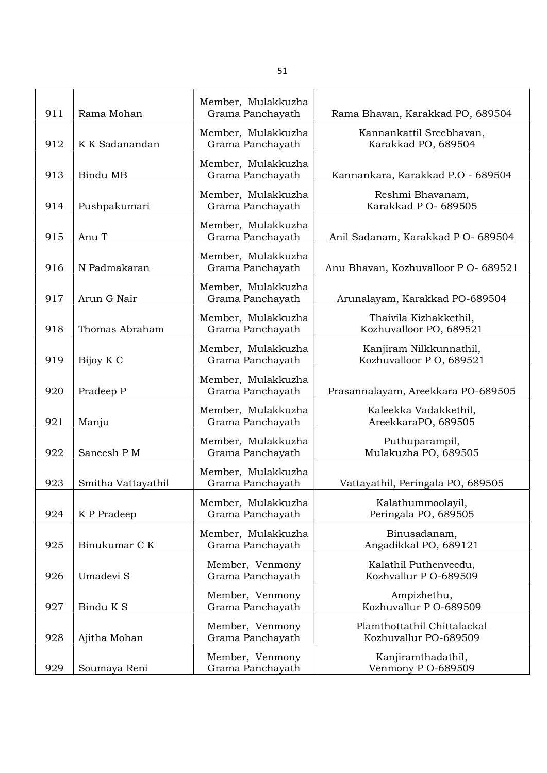| 911 | Rama Mohan         | Member, Mulakkuzha<br>Grama Panchayath | Rama Bhavan, Karakkad PO, 689504                     |
|-----|--------------------|----------------------------------------|------------------------------------------------------|
| 912 | K K Sadanandan     | Member, Mulakkuzha<br>Grama Panchayath | Kannankattil Sreebhavan,<br>Karakkad PO, 689504      |
| 913 | Bindu MB           | Member, Mulakkuzha<br>Grama Panchayath | Kannankara, Karakkad P.O - 689504                    |
| 914 | Pushpakumari       | Member, Mulakkuzha<br>Grama Panchayath | Reshmi Bhavanam,<br>Karakkad P O- 689505             |
| 915 | Anu T              | Member, Mulakkuzha<br>Grama Panchayath | Anil Sadanam, Karakkad P O- 689504                   |
| 916 | N Padmakaran       | Member, Mulakkuzha<br>Grama Panchayath | Anu Bhavan, Kozhuvalloor P O- 689521                 |
| 917 | Arun G Nair        | Member, Mulakkuzha<br>Grama Panchayath | Arunalayam, Karakkad PO-689504                       |
| 918 | Thomas Abraham     | Member, Mulakkuzha<br>Grama Panchayath | Thaivila Kizhakkethil,<br>Kozhuvalloor PO, 689521    |
| 919 | Bijoy K C          | Member, Mulakkuzha<br>Grama Panchayath | Kanjiram Nilkkunnathil,<br>Kozhuvalloor P O, 689521  |
| 920 | Pradeep P          | Member, Mulakkuzha<br>Grama Panchayath | Prasannalayam, Areekkara PO-689505                   |
| 921 | Manju              | Member, Mulakkuzha<br>Grama Panchayath | Kaleekka Vadakkethil,<br>AreekkaraPO, 689505         |
| 922 | Saneesh P M        | Member, Mulakkuzha<br>Grama Panchayath | Puthuparampil,<br>Mulakuzha PO, 689505               |
| 923 | Smitha Vattayathil | Member, Mulakkuzha<br>Grama Panchayath | Vattayathil, Peringala PO, 689505                    |
| 924 | K P Pradeep        | Member, Mulakkuzha<br>Grama Panchayath | Kalathummoolayil,<br>Peringala PO, 689505            |
| 925 | Binukumar C K      | Member, Mulakkuzha<br>Grama Panchayath | Binusadanam,<br>Angadikkal PO, 689121                |
| 926 | Umadevi S          | Member, Venmony<br>Grama Panchayath    | Kalathil Puthenveedu,<br>Kozhvallur P O-689509       |
| 927 | Bindu K S          | Member, Venmony<br>Grama Panchayath    | Ampizhethu,<br>Kozhuvallur P O-689509                |
| 928 | Ajitha Mohan       | Member, Venmony<br>Grama Panchayath    | Plamthottathil Chittalackal<br>Kozhuvallur PO-689509 |
| 929 | Soumaya Reni       | Member, Venmony<br>Grama Panchayath    | Kanjiramthadathil,<br>Venmony P O-689509             |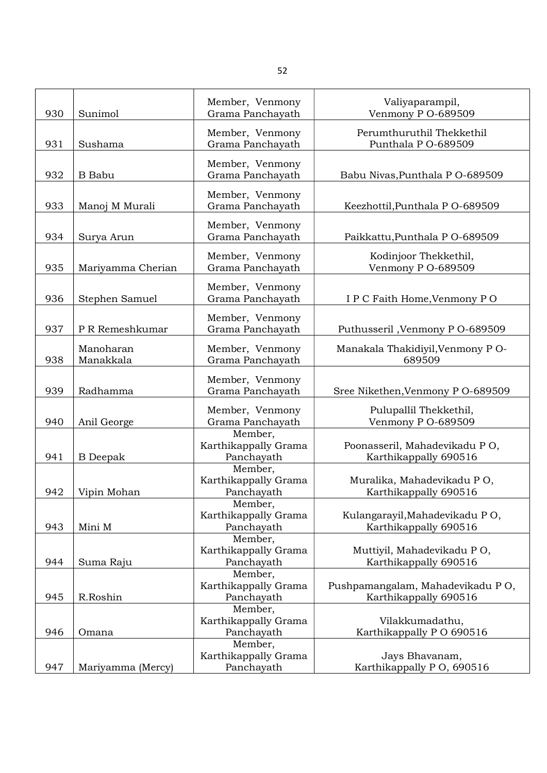| 930 | Sunimol                | Member, Venmony<br>Grama Panchayath           | Valiyaparampil,<br>Venmony P O-689509                     |
|-----|------------------------|-----------------------------------------------|-----------------------------------------------------------|
| 931 | Sushama                | Member, Venmony<br>Grama Panchayath           | Perumthuruthil Thekkethil<br>Punthala P O-689509          |
| 932 | <b>B</b> Babu          | Member, Venmony<br>Grama Panchayath           | Babu Nivas, Punthala P O-689509                           |
| 933 | Manoj M Murali         | Member, Venmony<br>Grama Panchayath           | Keezhottil, Punthala P O-689509                           |
| 934 | Surya Arun             | Member, Venmony<br>Grama Panchayath           | Paikkattu, Punthala P O-689509                            |
| 935 | Mariyamma Cherian      | Member, Venmony<br>Grama Panchayath           | Kodinjoor Thekkethil,<br>Venmony P O-689509               |
| 936 | Stephen Samuel         | Member, Venmony<br>Grama Panchayath           | I P C Faith Home, Venmony P O                             |
| 937 | P R Remeshkumar        | Member, Venmony<br>Grama Panchayath           | Puthusseril, Venmony P O-689509                           |
| 938 | Manoharan<br>Manakkala | Member, Venmony<br>Grama Panchayath           | Manakala Thakidiyil, Venmony P O-<br>689509               |
| 939 | Radhamma               | Member, Venmony<br>Grama Panchayath           | Sree Nikethen, Venmony P O-689509                         |
| 940 | Anil George            | Member, Venmony<br>Grama Panchayath           | Pulupallil Thekkethil,<br>Venmony P O-689509              |
| 941 | <b>B</b> Deepak        | Member,<br>Karthikappally Grama<br>Panchayath | Poonasseril, Mahadevikadu PO,<br>Karthikappally 690516    |
| 942 | Vipin Mohan            | Member,<br>Karthikappally Grama<br>Panchayath | Muralika, Mahadevikadu PO,<br>Karthikappally 690516       |
| 943 | Mini M                 | Member,<br>Karthikappally Grama<br>Panchayath | Kulangarayil, Mahadevikadu PO,<br>Karthikappally 690516   |
| 944 | Suma Raju              | Member,<br>Karthikappally Grama<br>Panchayath | Muttiyil, Mahadevikadu PO,<br>Karthikappally 690516       |
| 945 | R.Roshin               | Member,<br>Karthikappally Grama<br>Panchayath | Pushpamangalam, Mahadevikadu PO,<br>Karthikappally 690516 |
| 946 | Omana                  | Member,<br>Karthikappally Grama<br>Panchayath | Vilakkumadathu,<br>Karthikappally PO 690516               |
| 947 | Mariyamma (Mercy)      | Member,<br>Karthikappally Grama<br>Panchayath | Jays Bhavanam,<br>Karthikappally P O, 690516              |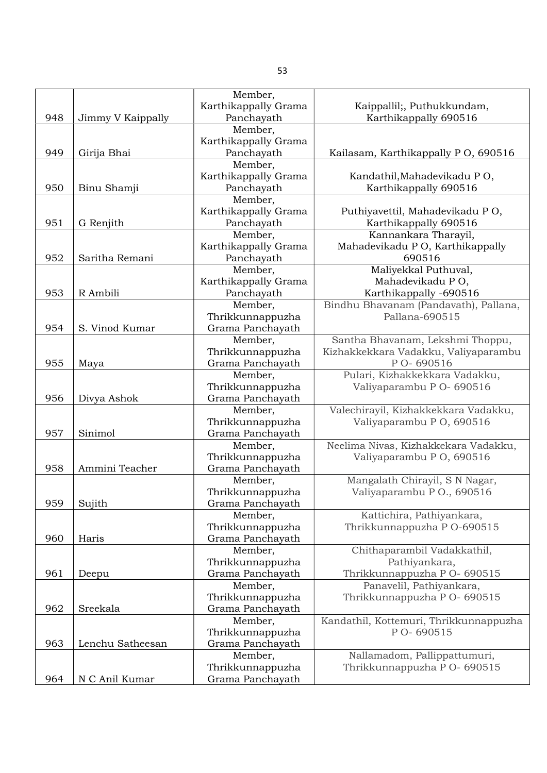|     |                   | Member,                     |                                                                   |
|-----|-------------------|-----------------------------|-------------------------------------------------------------------|
|     |                   | Karthikappally Grama        | Kaippallil;, Puthukkundam,                                        |
| 948 | Jimmy V Kaippally | Panchayath                  | Karthikappally 690516                                             |
|     |                   | Member,                     |                                                                   |
|     |                   | Karthikappally Grama        |                                                                   |
| 949 | Girija Bhai       | Panchayath                  | Kailasam, Karthikappally P O, 690516                              |
|     |                   | Member,                     |                                                                   |
|     |                   | Karthikappally Grama        | Kandathil, Mahadevikadu PO,                                       |
| 950 | Binu Shamji       | Panchayath                  | Karthikappally 690516                                             |
|     |                   | Member,                     |                                                                   |
|     |                   | Karthikappally Grama        | Puthiyavettil, Mahadevikadu PO,                                   |
| 951 | G Renjith         | Panchayath                  | Karthikappally 690516                                             |
|     |                   | Member,                     | Kannankara Tharayil,                                              |
|     |                   | Karthikappally Grama        | Mahadevikadu PO, Karthikappally                                   |
| 952 | Saritha Remani    | Panchayath                  | 690516                                                            |
|     |                   | Member,                     | Maliyekkal Puthuval,                                              |
|     |                   | Karthikappally Grama        | Mahadevikadu PO,                                                  |
| 953 | R Ambili          | Panchayath                  | Karthikappally -690516                                            |
|     |                   | Member,                     | Bindhu Bhavanam (Pandavath), Pallana,                             |
|     |                   | Thrikkunnappuzha            | Pallana-690515                                                    |
| 954 | S. Vinod Kumar    | Grama Panchayath            |                                                                   |
|     |                   | Member,                     | Santha Bhavanam, Lekshmi Thoppu,                                  |
|     |                   | Thrikkunnappuzha            | Kizhakkekkara Vadakku, Valiyaparambu                              |
| 955 | Maya              | Grama Panchayath            | P O-690516                                                        |
|     |                   | Member,                     | Pulari, Kizhakkekkara Vadakku,                                    |
|     |                   | Thrikkunnappuzha            | Valiyaparambu P O- 690516                                         |
| 956 | Divya Ashok       | Grama Panchayath            |                                                                   |
|     |                   | Member,                     | Valechirayil, Kizhakkekkara Vadakku,                              |
|     |                   | Thrikkunnappuzha            | Valiyaparambu P O, 690516                                         |
| 957 | Sinimol           | Grama Panchayath            |                                                                   |
|     |                   |                             |                                                                   |
|     |                   | Member,                     | Neelima Nivas, Kizhakkekara Vadakku,<br>Valiyaparambu P O, 690516 |
| 958 | Ammini Teacher    | Thrikkunnappuzha            |                                                                   |
|     |                   | Grama Panchayath            |                                                                   |
|     |                   | Member,                     | Mangalath Chirayil, S N Nagar,                                    |
|     |                   | Thrikkunnappuzha            | Valiyaparambu P O., 690516                                        |
| 959 | Sujith            | Grama Panchayath            |                                                                   |
|     |                   | Member,<br>Thrikkunnappuzha | Kattichira, Pathiyankara,                                         |
|     |                   |                             | Thrikkunnappuzha P O-690515                                       |
| 960 | Haris             | Grama Panchayath            |                                                                   |
|     |                   | Member,                     | Chithaparambil Vadakkathil,                                       |
|     |                   | Thrikkunnappuzha            | Pathiyankara,                                                     |
| 961 | Deepu             | Grama Panchayath            | Thrikkunnappuzha P O- 690515                                      |
|     |                   | Member,                     | Panavelil, Pathiyankara,                                          |
|     |                   | Thrikkunnappuzha            | Thrikkunnappuzha P O- 690515                                      |
| 962 | Sreekala          | Grama Panchayath            |                                                                   |
|     |                   | Member,                     | Kandathil, Kottemuri, Thrikkunnappuzha                            |
|     |                   | Thrikkunnappuzha            | P O-690515                                                        |
| 963 | Lenchu Satheesan  | Grama Panchayath            |                                                                   |
|     |                   | Member,                     | Nallamadom, Pallippattumuri,                                      |
|     |                   | Thrikkunnappuzha            | Thrikkunnappuzha P O- 690515                                      |
| 964 | N C Anil Kumar    | Grama Panchayath            |                                                                   |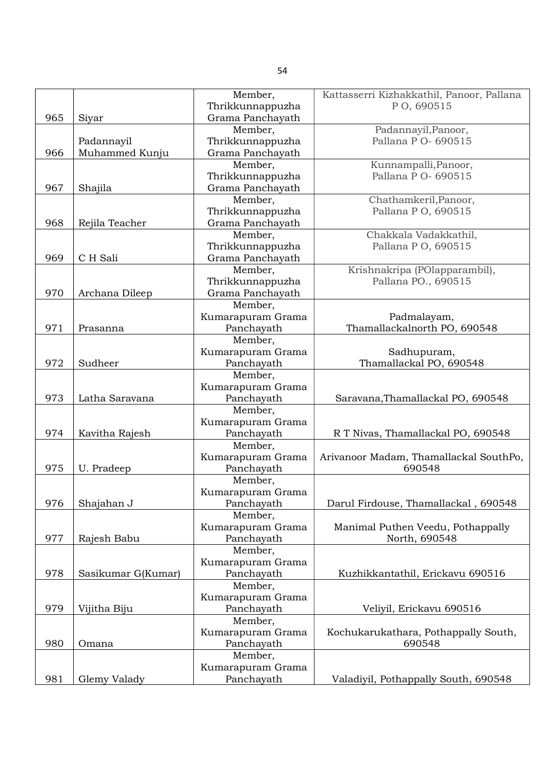|     |                    | Member,           | Kattasserri Kizhakkathil, Panoor, Pallana |
|-----|--------------------|-------------------|-------------------------------------------|
|     |                    | Thrikkunnappuzha  | PO, 690515                                |
| 965 | Siyar              | Grama Panchayath  |                                           |
|     |                    | Member,           | Padannayil, Panoor,                       |
|     | Padannayil         | Thrikkunnappuzha  | Pallana P O- 690515                       |
| 966 | Muhammed Kunju     | Grama Panchayath  |                                           |
|     |                    | Member,           | Kunnampalli, Panoor,                      |
|     |                    | Thrikkunnappuzha  | Pallana P O- 690515                       |
| 967 | Shajila            | Grama Panchayath  |                                           |
|     |                    | Member,           | Chathamkeril, Panoor,                     |
|     |                    | Thrikkunnappuzha  | Pallana P O, 690515                       |
| 968 | Rejila Teacher     | Grama Panchayath  |                                           |
|     |                    | Member,           | Chakkala Vadakkathil,                     |
|     |                    | Thrikkunnappuzha  | Pallana P O, 690515                       |
| 969 | C H Sali           |                   |                                           |
|     |                    | Grama Panchayath  |                                           |
|     |                    | Member,           | Krishnakripa (POlapparambil),             |
|     |                    | Thrikkunnappuzha  | Pallana PO., 690515                       |
| 970 | Archana Dileep     | Grama Panchayath  |                                           |
|     |                    | Member,           |                                           |
|     |                    | Kumarapuram Grama | Padmalayam,                               |
| 971 | Prasanna           | Panchayath        | Thamallackalnorth PO, 690548              |
|     |                    | Member,           |                                           |
|     |                    | Kumarapuram Grama | Sadhupuram,                               |
| 972 | Sudheer            | Panchayath        | Thamallackal PO, 690548                   |
|     |                    | Member,           |                                           |
|     |                    | Kumarapuram Grama |                                           |
| 973 | Latha Saravana     | Panchayath        | Saravana, Thamallackal PO, 690548         |
|     |                    | Member,           |                                           |
|     |                    | Kumarapuram Grama |                                           |
| 974 | Kavitha Rajesh     | Panchayath        | R T Nivas, Thamallackal PO, 690548        |
|     |                    | Member,           |                                           |
|     |                    | Kumarapuram Grama | Arivanoor Madam, Thamallackal SouthPo,    |
| 975 | U. Pradeep         | Panchayath        | 690548                                    |
|     |                    | Member,           |                                           |
|     |                    |                   |                                           |
|     |                    | Kumarapuram Grama |                                           |
| 976 | Shajahan J         | Panchayath        | Darul Firdouse, Thamallackal, 690548      |
|     |                    | Member,           |                                           |
|     |                    | Kumarapuram Grama | Manimal Puthen Veedu, Pothappally         |
| 977 | Rajesh Babu        | Panchayath        | North, 690548                             |
|     |                    | Member,           |                                           |
|     |                    | Kumarapuram Grama |                                           |
| 978 | Sasikumar G(Kumar) | Panchayath        | Kuzhikkantathil, Erickavu 690516          |
|     |                    | Member,           |                                           |
|     |                    | Kumarapuram Grama |                                           |
| 979 | Vijitha Biju       | Panchayath        | Veliyil, Erickavu 690516                  |
|     |                    | Member,           |                                           |
|     |                    | Kumarapuram Grama | Kochukarukathara, Pothappally South,      |
| 980 | Omana              | Panchayath        | 690548                                    |
|     |                    | Member,           |                                           |
|     |                    | Kumarapuram Grama |                                           |
| 981 | Glemy Valady       | Panchayath        | Valadiyil, Pothappally South, 690548      |
|     |                    |                   |                                           |

54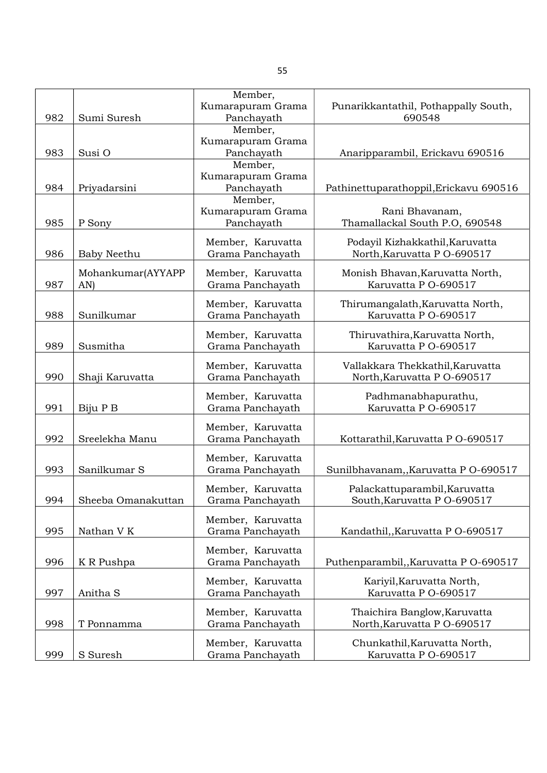|     |                    | Member,           |                                        |
|-----|--------------------|-------------------|----------------------------------------|
|     |                    | Kumarapuram Grama | Punarikkantathil, Pothappally South,   |
| 982 | Sumi Suresh        | Panchayath        | 690548                                 |
|     |                    | Member,           |                                        |
|     |                    | Kumarapuram Grama |                                        |
| 983 | Susi O             | Panchayath        | Anaripparambil, Erickavu 690516        |
|     |                    | Member,           |                                        |
|     |                    | Kumarapuram Grama |                                        |
| 984 | Priyadarsini       | Panchayath        | Pathinettuparathoppil, Erickavu 690516 |
|     |                    | Member,           |                                        |
|     |                    | Kumarapuram Grama | Rani Bhavanam,                         |
| 985 | P Sony             | Panchayath        | Thamallackal South P.O, 690548         |
|     |                    | Member, Karuvatta | Podayil Kizhakkathil, Karuvatta        |
| 986 | Baby Neethu        | Grama Panchayath  | North, Karuvatta P O-690517            |
|     |                    |                   |                                        |
|     | Mohankumar(AYYAPP  | Member, Karuvatta | Monish Bhavan, Karuvatta North,        |
| 987 | AN)                | Grama Panchayath  | Karuvatta P O-690517                   |
|     |                    |                   |                                        |
|     | Sunilkumar         | Member, Karuvatta | Thirumangalath, Karuvatta North,       |
| 988 |                    | Grama Panchayath  | Karuvatta P O-690517                   |
|     |                    | Member, Karuvatta | Thiruvathira, Karuvatta North,         |
| 989 | Susmitha           | Grama Panchayath  | Karuvatta P O-690517                   |
|     |                    |                   |                                        |
|     |                    | Member, Karuvatta | Vallakkara Thekkathil, Karuvatta       |
| 990 | Shaji Karuvatta    | Grama Panchayath  | North, Karuvatta P O-690517            |
|     |                    | Member, Karuvatta | Padhmanabhapurathu,                    |
| 991 | Biju P B           | Grama Panchayath  | Karuvatta P O-690517                   |
|     |                    |                   |                                        |
|     |                    | Member, Karuvatta |                                        |
| 992 | Sreelekha Manu     | Grama Panchayath  | Kottarathil, Karuvatta P O-690517      |
|     |                    | Member, Karuvatta |                                        |
| 993 | Sanilkumar S       | Grama Panchayath  | Sunilbhavanam,, Karuvatta P O-690517   |
|     |                    |                   |                                        |
|     |                    | Member, Karuvatta | Palackattuparambil, Karuvatta          |
| 994 | Sheeba Omanakuttan | Grama Panchayath  | South, Karuvatta P O-690517            |
|     |                    |                   |                                        |
|     |                    | Member, Karuvatta |                                        |
| 995 | Nathan V K         | Grama Panchayath  | Kandathil, Karuvatta P O-690517        |
|     |                    | Member, Karuvatta |                                        |
| 996 | K R Pushpa         | Grama Panchayath  | Puthenparambil,, Karuvatta P O-690517  |
|     |                    |                   |                                        |
|     |                    | Member, Karuvatta | Kariyil, Karuvatta North,              |
| 997 | Anitha S           | Grama Panchayath  | Karuvatta P O-690517                   |
|     |                    | Member, Karuvatta | Thaichira Banglow, Karuvatta           |
| 998 | T Ponnamma         | Grama Panchayath  | North, Karuvatta P O-690517            |
|     |                    |                   |                                        |
|     |                    | Member, Karuvatta | Chunkathil, Karuvatta North,           |
| 999 | S Suresh           | Grama Panchayath  | Karuvatta P O-690517                   |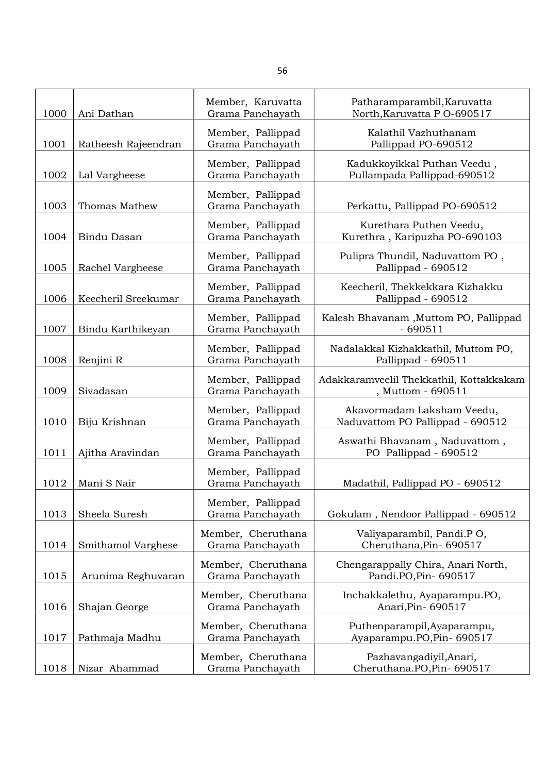| 1000 | Ani Dathan          | Member, Karuvatta<br>Grama Panchayath  | Patharamparambil, Karuvatta<br>North, Karuvatta P O-690517     |
|------|---------------------|----------------------------------------|----------------------------------------------------------------|
| 1001 | Ratheesh Rajeendran | Member, Pallippad<br>Grama Panchayath  | Kalathil Vazhuthanam<br>Pallippad PO-690512                    |
| 1002 | Lal Vargheese       | Member, Pallippad<br>Grama Panchayath  | Kadukkoyikkal Puthan Veedu,<br>Pullampada Pallippad-690512     |
| 1003 | Thomas Mathew       | Member, Pallippad<br>Grama Panchayath  | Perkattu, Pallippad PO-690512                                  |
| 1004 | <b>Bindu Dasan</b>  | Member, Pallippad<br>Grama Panchayath  | Kurethara Puthen Veedu,<br>Kurethra, Karipuzha PO-690103       |
| 1005 | Rachel Vargheese    | Member, Pallippad<br>Grama Panchayath  | Pulipra Thundil, Naduvattom PO,<br>Pallippad - 690512          |
| 1006 | Keecheril Sreekumar | Member, Pallippad<br>Grama Panchayath  | Keecheril, Thekkekkara Kizhakku<br>Pallippad - 690512          |
| 1007 | Bindu Karthikeyan   | Member, Pallippad<br>Grama Panchayath  | Kalesh Bhavanam , Muttom PO, Pallippad<br>$-690511$            |
| 1008 | Renjini R           | Member, Pallippad<br>Grama Panchayath  | Nadalakkal Kizhakkathil, Muttom PO,<br>Pallippad - 690511      |
| 1009 | Sivadasan           | Member, Pallippad<br>Grama Panchayath  | Adakkaramveelil Thekkathil, Kottakkakam<br>, Muttom - 690511   |
| 1010 | Biju Krishnan       | Member, Pallippad<br>Grama Panchayath  | Akavormadam Laksham Veedu,<br>Naduvattom PO Pallippad - 690512 |
| 1011 | Ajitha Aravindan    | Member, Pallippad<br>Grama Panchayath  | Aswathi Bhavanam, Naduvattom,<br>PO Pallippad - 690512         |
| 1012 | Mani S Nair         | Member, Pallippad<br>Grama Panchayath  | Madathil, Pallippad PO - 690512                                |
| 1013 | Sheela Suresh       | Member, Pallippad<br>Grama Panchayath  | Gokulam, Nendoor Pallippad - 690512                            |
| 1014 | Smithamol Varghese  | Member, Cheruthana<br>Grama Panchayath | Valiyaparambil, Pandi.P O,<br>Cheruthana, Pin-690517           |
| 1015 | Arunima Reghuvaran  | Member, Cheruthana<br>Grama Panchayath | Chengarappally Chira, Anari North,<br>Pandi.PO, Pin- 690517    |
| 1016 | Shajan George       | Member, Cheruthana<br>Grama Panchayath | Inchakkalethu, Ayaparampu.PO,<br>Anari, Pin-690517             |
| 1017 | Pathmaja Madhu      | Member, Cheruthana<br>Grama Panchayath | Puthenparampil, Ayaparampu,<br>Ayaparampu.PO,Pin- 690517       |
| 1018 | Nizar Ahammad       | Member, Cheruthana<br>Grama Panchayath | Pazhavangadiyil, Anari,<br>Cheruthana.PO,Pin-690517            |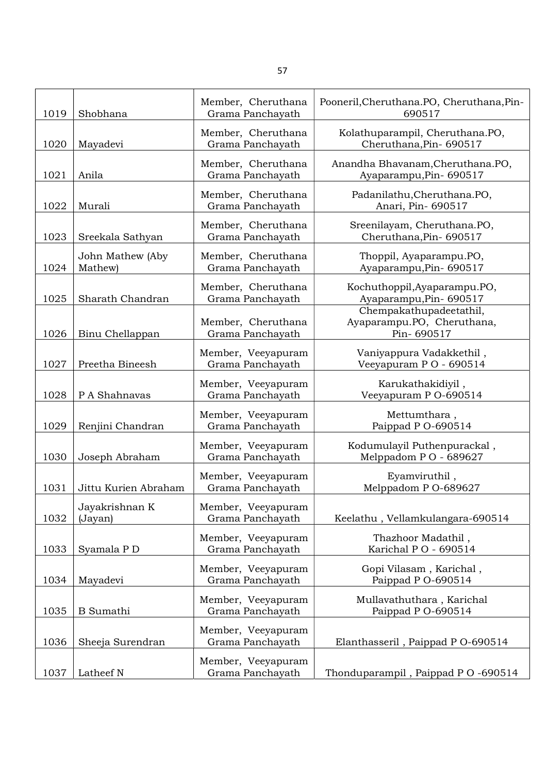| 1019 | Shobhana                    | Member, Cheruthana<br>Grama Panchayath | Pooneril, Cheruthana. PO, Cheruthana, Pin-<br>690517                |
|------|-----------------------------|----------------------------------------|---------------------------------------------------------------------|
| 1020 | Mayadevi                    | Member, Cheruthana<br>Grama Panchayath | Kolathuparampil, Cheruthana.PO,<br>Cheruthana, Pin-690517           |
| 1021 | Anila                       | Member, Cheruthana<br>Grama Panchayath | Anandha Bhavanam, Cheruthana. PO,<br>Ayaparampu, Pin-690517         |
| 1022 | Murali                      | Member, Cheruthana<br>Grama Panchayath | Padanilathu, Cheruthana. PO,<br>Anari, Pin-690517                   |
| 1023 | Sreekala Sathyan            | Member, Cheruthana<br>Grama Panchayath | Sreenilayam, Cheruthana.PO,<br>Cheruthana, Pin- 690517              |
| 1024 | John Mathew (Aby<br>Mathew) | Member, Cheruthana<br>Grama Panchayath | Thoppil, Ayaparampu.PO,<br>Ayaparampu, Pin-690517                   |
| 1025 | Sharath Chandran            | Member, Cheruthana<br>Grama Panchayath | Kochuthoppil, Ayaparampu.PO,<br>Ayaparampu, Pin- 690517             |
| 1026 | Binu Chellappan             | Member, Cheruthana<br>Grama Panchayath | Chempakathupadeetathil,<br>Ayaparampu.PO, Cheruthana,<br>Pin-690517 |
| 1027 | Preetha Bineesh             | Member, Veeyapuram<br>Grama Panchayath | Vaniyappura Vadakkethil,<br>Veeyapuram PO - 690514                  |
| 1028 | P A Shahnavas               | Member, Veeyapuram<br>Grama Panchayath | Karukathakidiyil,<br>Veeyapuram P O-690514                          |
| 1029 | Renjini Chandran            | Member, Veeyapuram<br>Grama Panchayath | Mettumthara,<br>Paippad P O-690514                                  |
| 1030 | Joseph Abraham              | Member, Veeyapuram<br>Grama Panchayath | Kodumulayil Puthenpurackal,<br>Melppadom PO - 689627                |
| 1031 | Jittu Kurien Abraham        | Member, Veeyapuram<br>Grama Panchayath | Eyamviruthil,<br>Melppadom P O-689627                               |
| 1032 | Jayakrishnan K<br>(Jayan)   | Member, Veeyapuram<br>Grama Panchayath | Keelathu, Vellamkulangara-690514                                    |
| 1033 | Syamala P D                 | Member, Veeyapuram<br>Grama Panchayath | Thazhoor Madathil,<br>Karichal PO - 690514                          |
| 1034 | Mayadevi                    | Member, Veeyapuram<br>Grama Panchayath | Gopi Vilasam, Karichal,<br>Paippad P O-690514                       |
| 1035 | <b>B</b> Sumathi            | Member, Veeyapuram<br>Grama Panchayath | Mullavathuthara, Karichal<br>Paippad P O-690514                     |
| 1036 | Sheeja Surendran            | Member, Veeyapuram<br>Grama Panchayath | Elanthasseril, Paippad P O-690514                                   |
| 1037 | Latheef N                   | Member, Veeyapuram<br>Grama Panchayath | Thonduparampil, Paippad PO-690514                                   |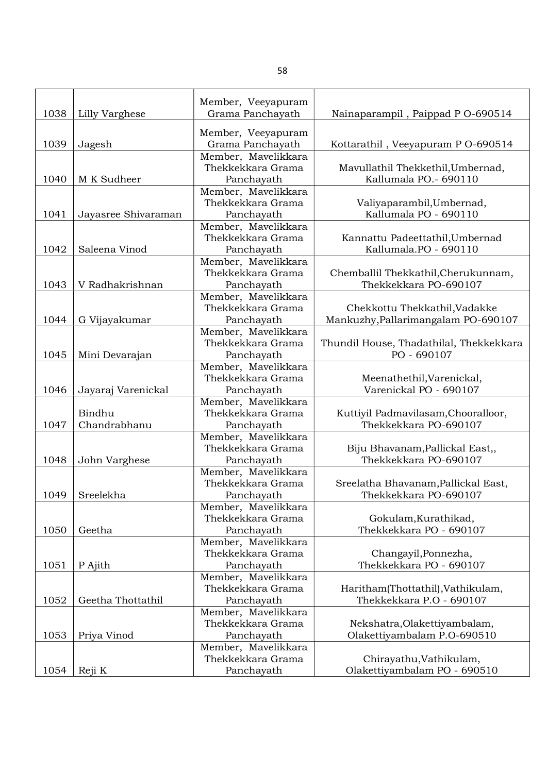|      |                     | Member, Veeyapuram                       |                                                 |
|------|---------------------|------------------------------------------|-------------------------------------------------|
| 1038 | Lilly Varghese      | Grama Panchayath                         | Nainaparampil, Paippad P O-690514               |
|      |                     | Member, Veeyapuram                       |                                                 |
| 1039 | Jagesh              | Grama Panchayath                         | Kottarathil, Veeyapuram P O-690514              |
|      |                     | Member, Mavelikkara                      |                                                 |
|      |                     | Thekkekkara Grama                        | Mavullathil Thekkethil, Umbernad,               |
| 1040 | M K Sudheer         | Panchayath                               | Kallumala PO.- 690110                           |
|      |                     | Member, Mavelikkara                      |                                                 |
|      |                     | Thekkekkara Grama                        | Valiyaparambil, Umbernad,                       |
| 1041 | Jayasree Shivaraman | Panchayath                               | Kallumala PO - 690110                           |
|      |                     | Member, Mavelikkara                      |                                                 |
|      |                     | Thekkekkara Grama                        | Kannattu Padeettathil, Umbernad                 |
| 1042 | Saleena Vinod       | Panchayath                               | Kallumala.PO - 690110                           |
|      |                     | Member, Mavelikkara                      |                                                 |
|      |                     | Thekkekkara Grama                        | Chemballil Thekkathil, Cherukunnam,             |
| 1043 | V Radhakrishnan     | Panchayath                               | Thekkekkara PO-690107                           |
|      |                     | Member, Mavelikkara                      |                                                 |
|      |                     | Thekkekkara Grama                        | Chekkottu Thekkathil, Vadakke                   |
| 1044 | G Vijayakumar       | Panchayath                               | Mankuzhy, Pallarimangalam PO-690107             |
|      |                     | Member, Mavelikkara                      |                                                 |
|      |                     | Thekkekkara Grama                        | Thundil House, Thadathilal, Thekkekkara         |
| 1045 | Mini Devarajan      | Panchayath                               | PO - 690107                                     |
|      |                     | Member, Mavelikkara                      |                                                 |
|      |                     | Thekkekkara Grama                        | Meenathethil, Varenickal,                       |
| 1046 | Jayaraj Varenickal  | Panchayath                               | Varenickal PO - 690107                          |
|      |                     | Member, Mavelikkara                      |                                                 |
|      | Bindhu              | Thekkekkara Grama                        | Kuttiyil Padmavilasam, Chooralloor,             |
| 1047 | Chandrabhanu        | Panchayath                               | Thekkekkara PO-690107                           |
|      |                     | Member, Mavelikkara                      |                                                 |
|      |                     | Thekkekkara Grama                        | Biju Bhavanam, Pallickal East,,                 |
| 1048 | John Varghese       | Panchayath                               | Thekkekkara PO-690107                           |
|      |                     | Member, Mavelikkara                      |                                                 |
|      |                     | Thekkekkara Grama                        | Sreelatha Bhavanam, Pallickal East,             |
| 1049 | Sreelekha           | Panchayath                               | Thekkekkara PO-690107                           |
|      |                     | Member, Mavelikkara                      |                                                 |
|      |                     | Thekkekkara Grama                        | Gokulam, Kurathikad,<br>Thekkekkara PO - 690107 |
| 1050 | Geetha              | Panchayath                               |                                                 |
|      |                     | Member, Mavelikkara                      |                                                 |
|      |                     | Thekkekkara Grama<br>Panchayath          | Changayil, Ponnezha,<br>Thekkekkara PO - 690107 |
| 1051 | P Ajith             |                                          |                                                 |
|      |                     | Member, Mavelikkara<br>Thekkekkara Grama | Haritham(Thottathil), Vathikulam,               |
| 1052 | Geetha Thottathil   | Panchayath                               | Thekkekkara P.O - 690107                        |
|      |                     | Member, Mavelikkara                      |                                                 |
|      |                     | Thekkekkara Grama                        | Nekshatra, Olakettiyambalam,                    |
| 1053 | Priya Vinod         | Panchayath                               | Olakettiyambalam P.O-690510                     |
|      |                     | Member, Mavelikkara                      |                                                 |
|      |                     | Thekkekkara Grama                        | Chirayathu, Vathikulam,                         |
| 1054 | Reji K              | Panchayath                               | Olakettiyambalam PO - 690510                    |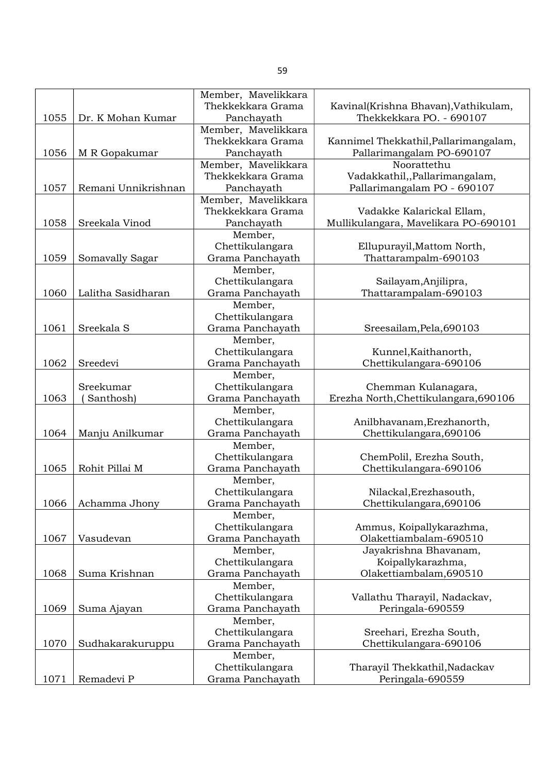|      |                     | Member, Mavelikkara |                                       |
|------|---------------------|---------------------|---------------------------------------|
|      |                     | Thekkekkara Grama   | Kavinal(Krishna Bhavan), Vathikulam,  |
| 1055 | Dr. K Mohan Kumar   | Panchayath          | Thekkekkara PO. - 690107              |
|      |                     | Member, Mavelikkara |                                       |
|      |                     | Thekkekkara Grama   | Kannimel Thekkathil, Pallarimangalam, |
| 1056 | M R Gopakumar       | Panchayath          | Pallarimangalam PO-690107             |
|      |                     | Member, Mavelikkara | Noorattethu                           |
|      |                     | Thekkekkara Grama   | Vadakkathil,,Pallarimangalam,         |
| 1057 | Remani Unnikrishnan | Panchayath          | Pallarimangalam PO - 690107           |
|      |                     | Member, Mavelikkara |                                       |
|      |                     | Thekkekkara Grama   | Vadakke Kalarickal Ellam,             |
| 1058 | Sreekala Vinod      | Panchayath          | Mullikulangara, Mavelikara PO-690101  |
|      |                     | Member,             |                                       |
|      |                     | Chettikulangara     | Ellupurayil, Mattom North,            |
| 1059 | Somavally Sagar     | Grama Panchayath    | Thattarampalm-690103                  |
|      |                     | Member,             |                                       |
|      |                     | Chettikulangara     | Sailayam, Anjilipra,                  |
| 1060 | Lalitha Sasidharan  | Grama Panchayath    | Thattarampalam-690103                 |
|      |                     | Member,             |                                       |
|      |                     | Chettikulangara     |                                       |
| 1061 | Sreekala S          | Grama Panchayath    | Sreesailam, Pela, 690103              |
|      |                     | Member,             |                                       |
|      |                     | Chettikulangara     | Kunnel, Kaithanorth,                  |
| 1062 | Sreedevi            | Grama Panchayath    | Chettikulangara-690106                |
|      |                     | Member,             |                                       |
|      | Sreekumar           | Chettikulangara     | Chemman Kulanagara,                   |
| 1063 | Santhosh)           | Grama Panchayath    | Erezha North, Chettikulangara, 690106 |
|      |                     | Member,             |                                       |
|      |                     | Chettikulangara     | Anilbhavanam, Erezhanorth,            |
| 1064 | Manju Anilkumar     | Grama Panchayath    | Chettikulangara, 690106               |
|      |                     | Member,             |                                       |
|      |                     | Chettikulangara     | ChemPolil, Erezha South,              |
| 1065 | Rohit Pillai M      | Grama Panchayath    | Chettikulangara-690106                |
|      |                     | Member,             |                                       |
|      |                     | Chettikulangara     | Nilackal, Erezhasouth,                |
| 1066 | Achamma Jhony       | Grama Panchayath    | Chettikulangara, 690106               |
|      |                     | Member,             |                                       |
|      |                     | Chettikulangara     | Ammus, Koipallykarazhma,              |
| 1067 | Vasudevan           | Grama Panchayath    | Olakettiambalam-690510                |
|      |                     | Member,             | Jayakrishna Bhavanam,                 |
|      |                     | Chettikulangara     | Koipallykarazhma,                     |
| 1068 | Suma Krishnan       | Grama Panchayath    | Olakettiambalam, 690510               |
|      |                     | Member,             |                                       |
|      |                     | Chettikulangara     | Vallathu Tharayil, Nadackav,          |
| 1069 | Suma Ajayan         | Grama Panchayath    | Peringala-690559                      |
|      |                     | Member,             |                                       |
|      |                     | Chettikulangara     | Sreehari, Erezha South,               |
| 1070 | Sudhakarakuruppu    | Grama Panchayath    | Chettikulangara-690106                |
|      |                     | Member,             |                                       |
|      |                     | Chettikulangara     | Tharayil Thekkathil, Nadackav         |
| 1071 | Remadevi P          | Grama Panchayath    | Peringala-690559                      |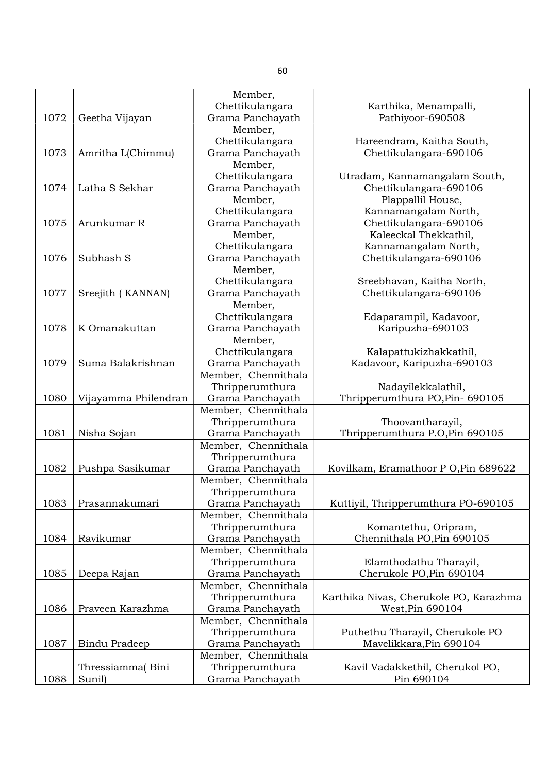|      |                      | Member,             |                                        |
|------|----------------------|---------------------|----------------------------------------|
|      |                      | Chettikulangara     | Karthika, Menampalli,                  |
| 1072 | Geetha Vijayan       | Grama Panchayath    | Pathiyoor-690508                       |
|      |                      | Member,             |                                        |
|      |                      | Chettikulangara     | Hareendram, Kaitha South,              |
| 1073 | Amritha L(Chimmu)    | Grama Panchayath    | Chettikulangara-690106                 |
|      |                      | Member,             |                                        |
|      |                      | Chettikulangara     | Utradam, Kannamangalam South,          |
| 1074 | Latha S Sekhar       | Grama Panchayath    | Chettikulangara-690106                 |
|      |                      | Member,             | Plappallil House,                      |
|      |                      | Chettikulangara     | Kannamangalam North,                   |
| 1075 | Arunkumar R          | Grama Panchayath    | Chettikulangara-690106                 |
|      |                      | Member,             | Kaleeckal Thekkathil,                  |
|      |                      | Chettikulangara     | Kannamangalam North,                   |
| 1076 | Subhash S            | Grama Panchayath    | Chettikulangara-690106                 |
|      |                      | Member,             |                                        |
|      |                      | Chettikulangara     | Sreebhavan, Kaitha North,              |
| 1077 | Sreejith (KANNAN)    | Grama Panchayath    | Chettikulangara-690106                 |
|      |                      | Member,             |                                        |
|      |                      |                     | Edaparampil, Kadavoor,                 |
| 1078 |                      | Chettikulangara     |                                        |
|      | K Omanakuttan        | Grama Panchayath    | Karipuzha-690103                       |
|      |                      | Member,             |                                        |
|      |                      | Chettikulangara     | Kalapattukizhakkathil,                 |
| 1079 | Suma Balakrishnan    | Grama Panchayath    | Kadavoor, Karipuzha-690103             |
|      |                      | Member, Chennithala |                                        |
|      |                      | Thripperumthura     | Nadayilekkalathil,                     |
| 1080 | Vijayamma Philendran | Grama Panchayath    | Thripperumthura PO, Pin- 690105        |
|      |                      | Member, Chennithala |                                        |
|      |                      | Thripperumthura     | Thoovantharayil,                       |
| 1081 | Nisha Sojan          | Grama Panchayath    | Thripperumthura P.O, Pin 690105        |
|      |                      | Member, Chennithala |                                        |
|      |                      | Thripperumthura     |                                        |
| 1082 | Pushpa Sasikumar     | Grama Panchayath    | Kovilkam, Eramathoor P O, Pin 689622   |
|      |                      | Member, Chennithala |                                        |
|      |                      | Thripperumthura     |                                        |
| 1083 | Prasannakumari       | Grama Panchayath    | Kuttiyil, Thripperumthura PO-690105    |
|      |                      | Member, Chennithala |                                        |
|      |                      | Thripperumthura     | Komantethu, Oripram,                   |
| 1084 | Ravikumar            | Grama Panchayath    | Chennithala PO, Pin 690105             |
|      |                      | Member, Chennithala |                                        |
|      |                      | Thripperumthura     | Elamthodathu Tharayil,                 |
| 1085 | Deepa Rajan          | Grama Panchayath    | Cherukole PO, Pin 690104               |
|      |                      | Member, Chennithala |                                        |
|      |                      | Thripperumthura     | Karthika Nivas, Cherukole PO, Karazhma |
| 1086 | Praveen Karazhma     | Grama Panchayath    | West, Pin 690104                       |
|      |                      | Member, Chennithala |                                        |
|      |                      | Thripperumthura     | Puthethu Tharayil, Cherukole PO        |
| 1087 | Bindu Pradeep        | Grama Panchayath    | Mavelikkara, Pin 690104                |
|      |                      | Member, Chennithala |                                        |
|      | Thressiamma(Bini     | Thripperumthura     | Kavil Vadakkethil, Cherukol PO,        |
| 1088 | Sunil)               | Grama Panchayath    | Pin 690104                             |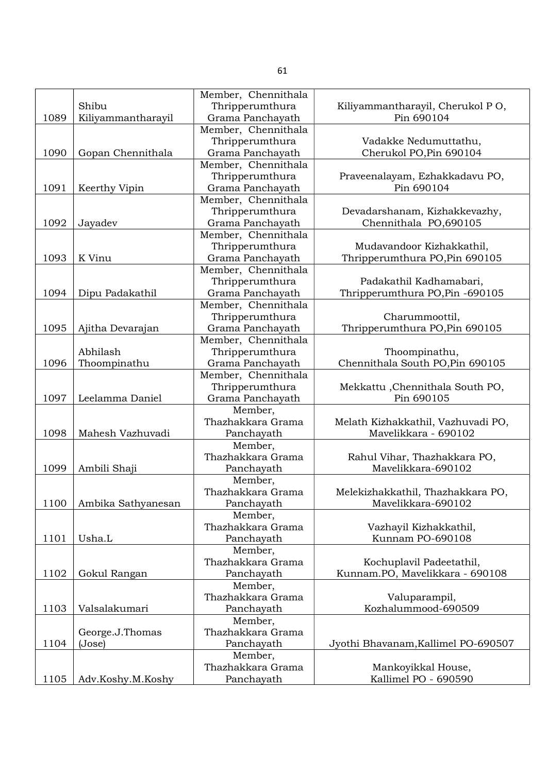|      |                    | Member, Chennithala |                                     |
|------|--------------------|---------------------|-------------------------------------|
|      | Shibu              | Thripperumthura     | Kiliyammantharayil, Cherukol PO,    |
| 1089 | Kiliyammantharayil | Grama Panchayath    | Pin 690104                          |
|      |                    | Member, Chennithala |                                     |
|      |                    | Thripperumthura     | Vadakke Nedumuttathu,               |
| 1090 | Gopan Chennithala  | Grama Panchayath    | Cherukol PO, Pin 690104             |
|      |                    | Member, Chennithala |                                     |
|      |                    | Thripperumthura     | Praveenalayam, Ezhakkadavu PO,      |
| 1091 | Keerthy Vipin      | Grama Panchayath    | Pin 690104                          |
|      |                    | Member, Chennithala |                                     |
|      |                    | Thripperumthura     | Devadarshanam, Kizhakkevazhy,       |
| 1092 | Jayadev            | Grama Panchayath    | Chennithala PO,690105               |
|      |                    | Member, Chennithala |                                     |
|      |                    | Thripperumthura     | Mudavandoor Kizhakkathil,           |
| 1093 | K Vinu             | Grama Panchayath    | Thripperumthura PO, Pin 690105      |
|      |                    | Member, Chennithala |                                     |
|      |                    | Thripperumthura     | Padakathil Kadhamabari,             |
| 1094 | Dipu Padakathil    | Grama Panchayath    | Thripperumthura PO, Pin -690105     |
|      |                    | Member, Chennithala |                                     |
|      |                    | Thripperumthura     | Charummoottil,                      |
| 1095 | Ajitha Devarajan   | Grama Panchayath    | Thripperumthura PO, Pin 690105      |
|      |                    | Member, Chennithala |                                     |
|      | Abhilash           | Thripperumthura     | Thoompinathu,                       |
| 1096 | Thoompinathu       | Grama Panchayath    | Chennithala South PO, Pin 690105    |
|      |                    | Member, Chennithala |                                     |
|      |                    | Thripperumthura     | Mekkattu, Chennithala South PO,     |
| 1097 | Leelamma Daniel    | Grama Panchayath    | Pin 690105                          |
|      |                    | Member,             |                                     |
|      |                    | Thazhakkara Grama   | Melath Kizhakkathil, Vazhuvadi PO,  |
| 1098 | Mahesh Vazhuvadi   | Panchayath          | Mavelikkara - 690102                |
|      |                    | Member,             |                                     |
|      |                    | Thazhakkara Grama   | Rahul Vihar, Thazhakkara PO,        |
| 1099 | Ambili Shaji       | Panchayath          | Mavelikkara-690102                  |
|      |                    | Member,             |                                     |
|      |                    | Thazhakkara Grama   | Melekizhakkathil, Thazhakkara PO,   |
| 1100 | Ambika Sathyanesan | Panchayath          | Mavelikkara-690102                  |
|      |                    | Member,             |                                     |
|      |                    | Thazhakkara Grama   | Vazhayil Kizhakkathil,              |
| 1101 | Usha.L             | Panchayath          | Kunnam PO-690108                    |
|      |                    | Member,             |                                     |
|      |                    | Thazhakkara Grama   | Kochuplavil Padeetathil,            |
| 1102 | Gokul Rangan       | Panchayath          | Kunnam.PO, Mavelikkara - 690108     |
|      |                    | Member,             |                                     |
|      |                    | Thazhakkara Grama   | Valuparampil,                       |
| 1103 | Valsalakumari      | Panchayath          | Kozhalummood-690509                 |
|      |                    | Member,             |                                     |
|      | George.J.Thomas    | Thazhakkara Grama   |                                     |
| 1104 | (Jose)             | Panchayath          | Jyothi Bhavanam, Kallimel PO-690507 |
|      |                    | Member,             |                                     |
|      |                    | Thazhakkara Grama   | Mankoyikkal House,                  |
| 1105 | Adv.Koshy.M.Koshy  | Panchayath          | Kallimel PO - 690590                |
|      |                    |                     |                                     |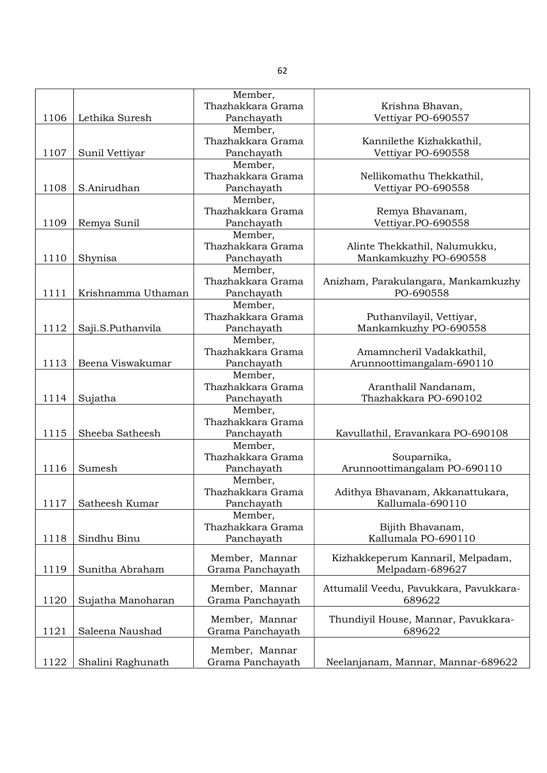|      |                    | Member,           |                                        |
|------|--------------------|-------------------|----------------------------------------|
|      |                    | Thazhakkara Grama | Krishna Bhavan,                        |
| 1106 | Lethika Suresh     | Panchayath        | Vettiyar PO-690557                     |
|      |                    | Member,           |                                        |
|      |                    | Thazhakkara Grama | Kannilethe Kizhakkathil,               |
| 1107 | Sunil Vettiyar     | Panchayath        | Vettiyar PO-690558                     |
|      |                    | Member,           |                                        |
|      |                    | Thazhakkara Grama | Nellikomathu Thekkathil,               |
| 1108 | S.Anirudhan        | Panchayath        | Vettiyar PO-690558                     |
|      |                    | Member,           |                                        |
|      |                    | Thazhakkara Grama | Remya Bhavanam,                        |
| 1109 |                    | Panchayath        | Vettiyar.PO-690558                     |
|      | Remya Sunil        |                   |                                        |
|      |                    | Member,           |                                        |
|      |                    | Thazhakkara Grama | Alinte Thekkathil, Nalumukku,          |
| 1110 | Shynisa            | Panchayath        | Mankamkuzhy PO-690558                  |
|      |                    | Member,           |                                        |
|      |                    | Thazhakkara Grama | Anizham, Parakulangara, Mankamkuzhy    |
| 1111 | Krishnamma Uthaman | Panchayath        | PO-690558                              |
|      |                    | Member,           |                                        |
|      |                    | Thazhakkara Grama | Puthanvilayil, Vettiyar,               |
| 1112 | Saji.S.Puthanvila  | Panchayath        | Mankamkuzhy PO-690558                  |
|      |                    | Member,           |                                        |
|      |                    | Thazhakkara Grama | Amamncheril Vadakkathil,               |
| 1113 | Beena Viswakumar   | Panchayath        | Arunnoottimangalam-690110              |
|      |                    | Member,           |                                        |
|      |                    | Thazhakkara Grama | Aranthalil Nandanam,                   |
| 1114 | Sujatha            | Panchayath        | Thazhakkara PO-690102                  |
|      |                    | Member,           |                                        |
|      |                    | Thazhakkara Grama |                                        |
| 1115 | Sheeba Satheesh    | Panchayath        | Kavullathil, Eravankara PO-690108      |
|      |                    | Member,           |                                        |
|      |                    | Thazhakkara Grama | Souparnika,                            |
| 1116 | Sumesh             | Panchayath        | Arunnoottimangalam PO-690110           |
|      |                    | Member,           |                                        |
|      |                    | Thazhakkara Grama | Adithya Bhavanam, Akkanattukara,       |
|      |                    |                   |                                        |
| 1117 | Satheesh Kumar     | Panchayath        | Kallumala-690110                       |
|      |                    | Member,           |                                        |
|      |                    | Thazhakkara Grama | Bijith Bhavanam,                       |
| 1118 | Sindhu Binu        | Panchayath        | Kallumala PO-690110                    |
|      |                    | Member, Mannar    | Kizhakkeperum Kannaril, Melpadam,      |
| 1119 | Sunitha Abraham    | Grama Panchayath  | Melpadam-689627                        |
|      |                    |                   |                                        |
|      |                    | Member, Mannar    | Attumalil Veedu, Pavukkara, Pavukkara- |
| 1120 | Sujatha Manoharan  | Grama Panchayath  | 689622                                 |
|      |                    |                   |                                        |
|      |                    | Member, Mannar    | Thundiyil House, Mannar, Pavukkara-    |
| 1121 | Saleena Naushad    | Grama Panchayath  | 689622                                 |
|      |                    |                   |                                        |
|      |                    | Member, Mannar    |                                        |
| 1122 | Shalini Raghunath  | Grama Panchayath  | Neelanjanam, Mannar, Mannar-689622     |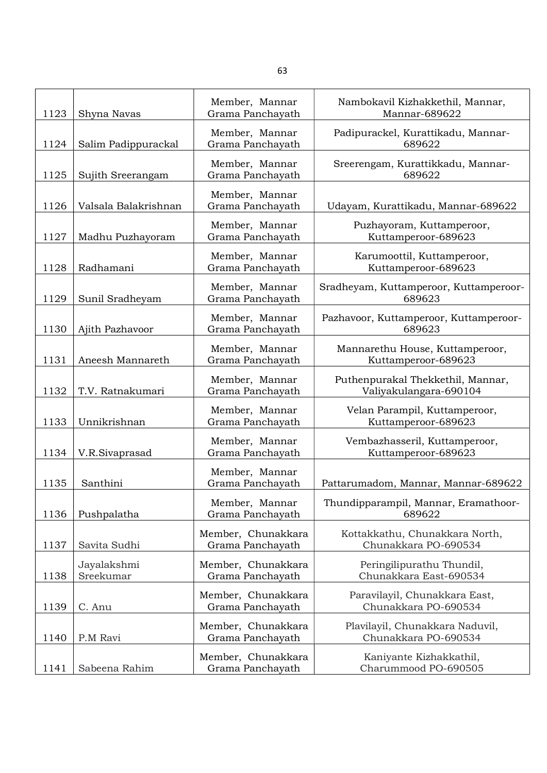| 1123 | Shyna Navas              | Member, Mannar<br>Grama Panchayath     | Nambokavil Kizhakkethil, Mannar,<br>Mannar-689622           |
|------|--------------------------|----------------------------------------|-------------------------------------------------------------|
|      |                          | Member, Mannar                         | Padipurackel, Kurattikadu, Mannar-                          |
| 1124 | Salim Padippurackal      | Grama Panchayath                       | 689622                                                      |
| 1125 | Sujith Sreerangam        | Member, Mannar<br>Grama Panchayath     | Sreerengam, Kurattikkadu, Mannar-<br>689622                 |
| 1126 | Valsala Balakrishnan     | Member, Mannar<br>Grama Panchayath     | Udayam, Kurattikadu, Mannar-689622                          |
| 1127 | Madhu Puzhayoram         | Member, Mannar<br>Grama Panchayath     | Puzhayoram, Kuttamperoor,<br>Kuttamperoor-689623            |
| 1128 | Radhamani                | Member, Mannar<br>Grama Panchayath     | Karumoottil, Kuttamperoor,<br>Kuttamperoor-689623           |
| 1129 | Sunil Sradheyam          | Member, Mannar<br>Grama Panchayath     | Sradheyam, Kuttamperoor, Kuttamperoor-<br>689623            |
| 1130 | Ajith Pazhavoor          | Member, Mannar<br>Grama Panchayath     | Pazhavoor, Kuttamperoor, Kuttamperoor-<br>689623            |
| 1131 | Aneesh Mannareth         | Member, Mannar<br>Grama Panchayath     | Mannarethu House, Kuttamperoor,<br>Kuttamperoor-689623      |
| 1132 | T.V. Ratnakumari         | Member, Mannar<br>Grama Panchayath     | Puthenpurakal Thekkethil, Mannar,<br>Valiyakulangara-690104 |
| 1133 | Unnikrishnan             | Member, Mannar<br>Grama Panchayath     | Velan Parampil, Kuttamperoor,<br>Kuttamperoor-689623        |
| 1134 | V.R.Sivaprasad           | Member, Mannar<br>Grama Panchayath     | Vembazhasseril, Kuttamperoor,<br>Kuttamperoor-689623        |
| 1135 | Santhini                 | Member, Mannar<br>Grama Panchayath     | Pattarumadom, Mannar, Mannar-689622                         |
| 1136 | Pushpalatha              | Member, Mannar<br>Grama Panchayath     | Thundipparampil, Mannar, Eramathoor-<br>689622              |
| 1137 | Savita Sudhi             | Member, Chunakkara<br>Grama Panchayath | Kottakkathu, Chunakkara North,<br>Chunakkara PO-690534      |
| 1138 | Jayalakshmi<br>Sreekumar | Member, Chunakkara<br>Grama Panchayath | Peringilipurathu Thundil,<br>Chunakkara East-690534         |
| 1139 | C. Anu                   | Member, Chunakkara<br>Grama Panchayath | Paravilayil, Chunakkara East,<br>Chunakkara PO-690534       |
| 1140 | P.M Ravi                 | Member, Chunakkara<br>Grama Panchayath | Plavilayil, Chunakkara Naduvil,<br>Chunakkara PO-690534     |
| 1141 | Sabeena Rahim            | Member, Chunakkara<br>Grama Panchayath | Kaniyante Kizhakkathil,<br>Charummood PO-690505             |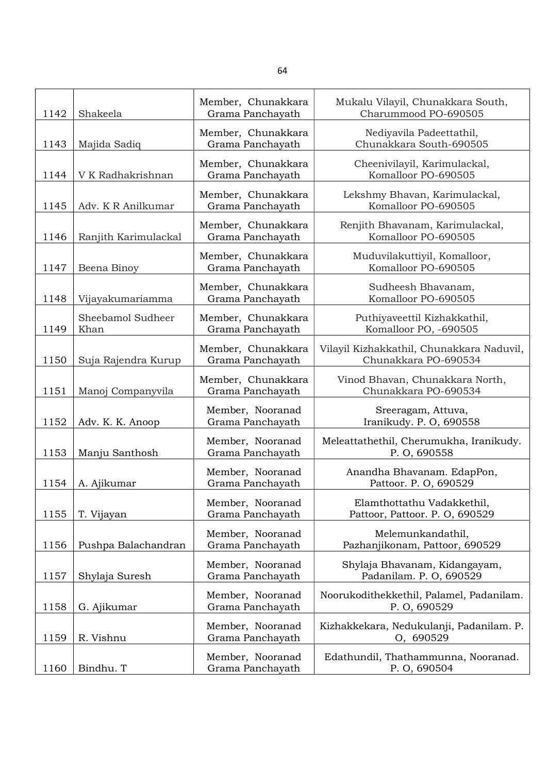| 1142 | Shakeela                  | Member, Chunakkara<br>Grama Panchayath | Mukalu Vilayil, Chunakkara South,<br>Charummood PO-690505         |
|------|---------------------------|----------------------------------------|-------------------------------------------------------------------|
| 1143 | Majida Sadiq              | Member, Chunakkara<br>Grama Panchayath | Nediyavila Padeettathil,<br>Chunakkara South-690505               |
| 1144 | V K Radhakrishnan         | Member, Chunakkara<br>Grama Panchayath | Cheenivilayil, Karimulackal,<br>Komalloor PO-690505               |
| 1145 | Adv. K R Anilkumar        | Member, Chunakkara<br>Grama Panchayath | Lekshmy Bhavan, Karimulackal,<br>Komalloor PO-690505              |
| 1146 | Ranjith Karimulackal      | Member, Chunakkara<br>Grama Panchayath | Renjith Bhavanam, Karimulackal,<br>Komalloor PO-690505            |
| 1147 | Beena Binoy               | Member, Chunakkara<br>Grama Panchayath | Muduvilakuttiyil, Komalloor,<br>Komalloor PO-690505               |
| 1148 | Vijayakumariamma          | Member, Chunakkara<br>Grama Panchayath | Sudheesh Bhavanam,<br>Komalloor PO-690505                         |
| 1149 | Sheebamol Sudheer<br>Khan | Member, Chunakkara<br>Grama Panchayath | Puthiyaveettil Kizhakkathil,<br>Komalloor PO, -690505             |
| 1150 | Suja Rajendra Kurup       | Member, Chunakkara<br>Grama Panchayath | Vilayil Kizhakkathil, Chunakkara Naduvil,<br>Chunakkara PO-690534 |
| 1151 | Manoj Companyvila         | Member, Chunakkara<br>Grama Panchayath | Vinod Bhavan, Chunakkara North,<br>Chunakkara PO-690534           |
| 1152 | Adv. K. K. Anoop          | Member, Nooranad<br>Grama Panchayath   | Sreeragam, Attuva,<br>Iranikudy. P. O, 690558                     |
| 1153 | Manju Santhosh            | Member, Nooranad<br>Grama Panchayath   | Meleattathethil, Cherumukha, Iranikudy.<br>P. O, 690558           |
| 1154 | A. Ajikumar               | Member, Nooranad<br>Grama Panchayath   | Anandha Bhavanam. EdapPon,<br>Pattoor. P. O, 690529               |
| 1155 | T. Vijayan                | Member, Nooranad<br>Grama Panchayath   | Elamthottathu Vadakkethil,<br>Pattoor, Pattoor. P. O, 690529      |
| 1156 | Pushpa Balachandran       | Member, Nooranad<br>Grama Panchayath   | Melemunkandathil,<br>Pazhanjikonam, Pattoor, 690529               |
| 1157 | Shylaja Suresh            | Member, Nooranad<br>Grama Panchayath   | Shylaja Bhavanam, Kidangayam,<br>Padanilam. P. O, 690529          |
| 1158 | G. Ajikumar               | Member, Nooranad<br>Grama Panchayath   | Noorukodithekkethil, Palamel, Padanilam.<br>P. O, 690529          |
| 1159 | R. Vishnu                 | Member, Nooranad<br>Grama Panchayath   | Kizhakkekara, Nedukulanji, Padanilam. P.<br>0, 690529             |
| 1160 | Bindhu. T                 | Member, Nooranad<br>Grama Panchayath   | Edathundil, Thathammunna, Nooranad.<br>P. O, 690504               |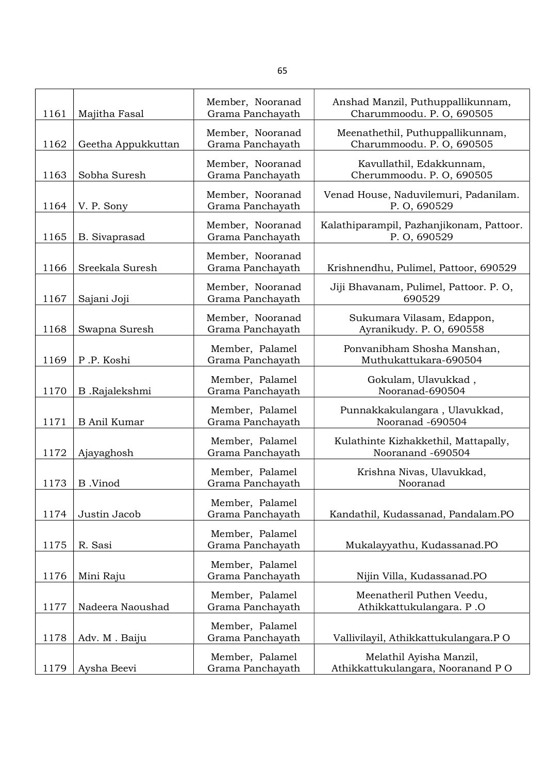| 1161 | Majitha Fasal       | Member, Nooranad<br>Grama Panchayath | Anshad Manzil, Puthuppallikunnam,<br>Charummoodu. P. O, 690505 |
|------|---------------------|--------------------------------------|----------------------------------------------------------------|
| 1162 | Geetha Appukkuttan  | Member, Nooranad<br>Grama Panchayath | Meenathethil, Puthuppallikunnam,<br>Charummoodu. P. O, 690505  |
| 1163 | Sobha Suresh        | Member, Nooranad<br>Grama Panchayath | Kavullathil, Edakkunnam,<br>Cherummoodu. P. O, 690505          |
| 1164 | V. P. Sony          | Member, Nooranad<br>Grama Panchayath | Venad House, Naduvilemuri, Padanilam.<br>P. O, 690529          |
| 1165 | B. Sivaprasad       | Member, Nooranad<br>Grama Panchayath | Kalathiparampil, Pazhanjikonam, Pattoor.<br>P. O, 690529       |
| 1166 | Sreekala Suresh     | Member, Nooranad<br>Grama Panchayath | Krishnendhu, Pulimel, Pattoor, 690529                          |
| 1167 | Sajani Joji         | Member, Nooranad<br>Grama Panchayath | Jiji Bhavanam, Pulimel, Pattoor. P. O,<br>690529               |
| 1168 | Swapna Suresh       | Member, Nooranad<br>Grama Panchayath | Sukumara Vilasam, Edappon,<br>Ayranikudy. P. O, 690558         |
| 1169 | P.P. Koshi          | Member, Palamel<br>Grama Panchayath  | Ponvanibham Shosha Manshan,<br>Muthukattukara-690504           |
| 1170 | B.Rajalekshmi       | Member, Palamel<br>Grama Panchayath  | Gokulam, Ulavukkad,<br>Nooranad-690504                         |
| 1171 | <b>B</b> Anil Kumar | Member, Palamel<br>Grama Panchayath  | Punnakkakulangara, Ulavukkad,<br>Nooranad -690504              |
| 1172 | Ajayaghosh          | Member, Palamel<br>Grama Panchayath  | Kulathinte Kizhakkethil, Mattapally,<br>Nooranand -690504      |
| 1173 | B.Vinod             | Member, Palamel<br>Grama Panchayath  | Krishna Nivas, Ulavukkad,<br>Nooranad                          |
| 1174 | Justin Jacob        | Member, Palamel<br>Grama Panchayath  | Kandathil, Kudassanad, Pandalam.PO                             |
| 1175 | R. Sasi             | Member, Palamel<br>Grama Panchayath  | Mukalayyathu, Kudassanad.PO                                    |
| 1176 | Mini Raju           | Member, Palamel<br>Grama Panchayath  | Nijin Villa, Kudassanad.PO                                     |
| 1177 | Nadeera Naoushad    | Member, Palamel<br>Grama Panchayath  | Meenatheril Puthen Veedu,<br>Athikkattukulangara. P.O          |
| 1178 | Adv. M. Baiju       | Member, Palamel<br>Grama Panchayath  | Vallivilayil, Athikkattukulangara.P O                          |
| 1179 | Aysha Beevi         | Member, Palamel<br>Grama Panchayath  | Melathil Ayisha Manzil,<br>Athikkattukulangara, Nooranand PO   |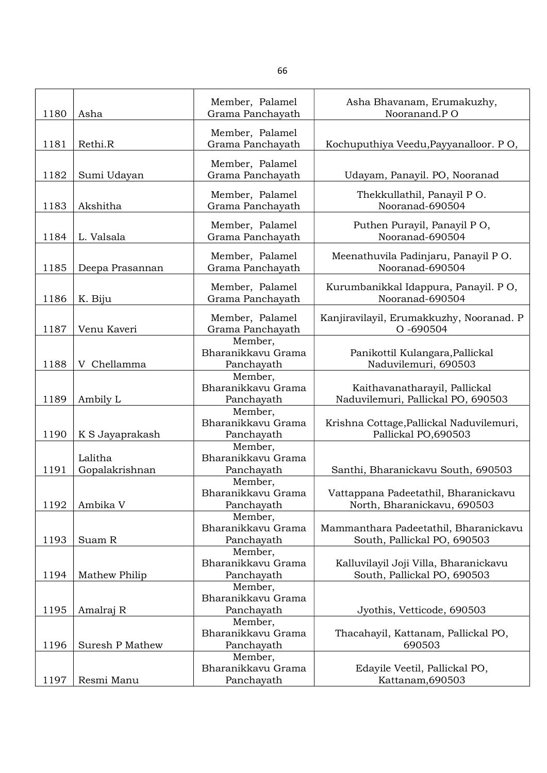| 1180 | Asha                      | Member, Palamel<br>Grama Panchayath         | Asha Bhavanam, Erumakuzhy,<br>Nooranand.PO                           |
|------|---------------------------|---------------------------------------------|----------------------------------------------------------------------|
| 1181 | Rethi.R                   | Member, Palamel<br>Grama Panchayath         | Kochuputhiya Veedu, Payyanalloor. PO,                                |
| 1182 | Sumi Udayan               | Member, Palamel<br>Grama Panchayath         | Udayam, Panayil. PO, Nooranad                                        |
| 1183 | Akshitha                  | Member, Palamel<br>Grama Panchayath         | Thekkullathil, Panayil PO.<br>Nooranad-690504                        |
| 1184 | L. Valsala                | Member, Palamel<br>Grama Panchayath         | Puthen Purayil, Panayil PO,<br>Nooranad-690504                       |
| 1185 | Deepa Prasannan           | Member, Palamel<br>Grama Panchayath         | Meenathuvila Padinjaru, Panayil PO.<br>Nooranad-690504               |
| 1186 | K. Biju                   | Member, Palamel<br>Grama Panchayath         | Kurumbanikkal Idappura, Panayil. PO,<br>Nooranad-690504              |
| 1187 | Venu Kaveri               | Member, Palamel<br>Grama Panchayath         | Kanjiravilayil, Erumakkuzhy, Nooranad. P<br>O-690504                 |
| 1188 | Chellamma<br>V            | Member,<br>Bharanikkavu Grama<br>Panchayath | Panikottil Kulangara, Pallickal<br>Naduvilemuri, 690503              |
| 1189 | Ambily L                  | Member,<br>Bharanikkavu Grama<br>Panchayath | Kaithavanatharayil, Pallickal<br>Naduvilemuri, Pallickal PO, 690503  |
| 1190 | K S Jayaprakash           | Member,<br>Bharanikkavu Grama<br>Panchayath | Krishna Cottage, Pallickal Naduvilemuri,<br>Pallickal PO,690503      |
| 1191 | Lalitha<br>Gopalakrishnan | Member,<br>Bharanikkavu Grama<br>Panchayath | Santhi, Bharanickavu South, 690503                                   |
| 1192 | Ambika V                  | Member,<br>Bharanikkavu Grama<br>Panchayath | Vattappana Padeetathil, Bharanickavu<br>North, Bharanickavu, 690503  |
| 1193 | Suam R                    | Member,<br>Bharanikkavu Grama<br>Panchayath | Mammanthara Padeetathil, Bharanickavu<br>South, Pallickal PO, 690503 |
| 1194 | Mathew Philip             | Member,<br>Bharanikkavu Grama<br>Panchayath | Kalluvilayil Joji Villa, Bharanickavu<br>South, Pallickal PO, 690503 |
| 1195 | Amalraj R                 | Member,<br>Bharanikkavu Grama<br>Panchayath | Jyothis, Vetticode, 690503                                           |
| 1196 | Suresh P Mathew           | Member,<br>Bharanikkavu Grama<br>Panchayath | Thacahayil, Kattanam, Pallickal PO,<br>690503                        |
| 1197 | Resmi Manu                | Member,<br>Bharanikkavu Grama<br>Panchayath | Edayile Veetil, Pallickal PO,<br>Kattanam, 690503                    |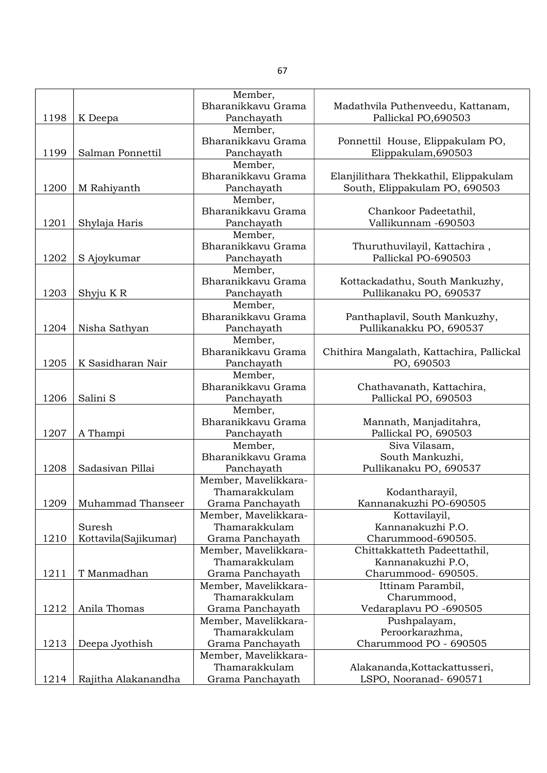|      |                      | Member,              |                                           |
|------|----------------------|----------------------|-------------------------------------------|
|      |                      | Bharanikkavu Grama   | Madathvila Puthenveedu, Kattanam,         |
| 1198 | K Deepa              | Panchayath           | Pallickal PO,690503                       |
|      |                      | Member,              |                                           |
|      |                      | Bharanikkavu Grama   | Ponnettil House, Elippakulam PO,          |
| 1199 | Salman Ponnettil     | Panchayath           | Elippakulam, 690503                       |
|      |                      | Member,              |                                           |
|      |                      | Bharanikkavu Grama   | Elanjilithara Thekkathil, Elippakulam     |
| 1200 | M Rahiyanth          | Panchayath           | South, Elippakulam PO, 690503             |
|      |                      | Member,              |                                           |
|      |                      | Bharanikkavu Grama   | Chankoor Padeetathil,                     |
| 1201 | Shylaja Haris        | Panchayath           | Vallikunnam -690503                       |
|      |                      | Member,              |                                           |
|      |                      | Bharanikkavu Grama   | Thuruthuvilayil, Kattachira,              |
| 1202 | S Ajoykumar          | Panchayath           | Pallickal PO-690503                       |
|      |                      | Member,              |                                           |
|      |                      | Bharanikkavu Grama   | Kottackadathu, South Mankuzhy,            |
| 1203 | Shyju KR             | Panchayath           | Pullikanaku PO, 690537                    |
|      |                      | Member,              |                                           |
|      |                      | Bharanikkavu Grama   |                                           |
|      |                      |                      | Panthaplavil, South Mankuzhy,             |
| 1204 | Nisha Sathyan        | Panchayath           | Pullikanakku PO, 690537                   |
|      |                      | Member,              |                                           |
|      |                      | Bharanikkavu Grama   | Chithira Mangalath, Kattachira, Pallickal |
| 1205 | K Sasidharan Nair    | Panchayath           | PO, 690503                                |
|      |                      | Member,              |                                           |
|      |                      | Bharanikkavu Grama   | Chathavanath, Kattachira,                 |
| 1206 | Salini S             | Panchayath           | Pallickal PO, 690503                      |
|      |                      | Member,              |                                           |
|      |                      | Bharanikkavu Grama   | Mannath, Manjaditahra,                    |
| 1207 | A Thampi             | Panchayath           | Pallickal PO, 690503                      |
|      |                      | Member,              | Siva Vilasam,                             |
|      |                      | Bharanikkavu Grama   | South Mankuzhi,                           |
| 1208 | Sadasivan Pillai     | Panchayath           | Pullikanaku PO, 690537                    |
|      |                      | Member, Mavelikkara- |                                           |
|      |                      | Thamarakkulam        | Kodantharayil,                            |
| 1209 | Muhammad Thanseer    | Grama Panchayath     | Kannanakuzhi PO-690505                    |
|      |                      | Member, Mavelikkara- | Kottavilayil,                             |
|      | Suresh               | Thamarakkulam        | Kannanakuzhi P.O.                         |
| 1210 | Kottavila(Sajikumar) | Grama Panchayath     | Charummood-690505.                        |
|      |                      | Member, Mavelikkara- | Chittakkatteth Padeettathil,              |
|      |                      | Thamarakkulam        | Kannanakuzhi P.O,                         |
| 1211 | T Manmadhan          | Grama Panchayath     | Charummood- 690505.                       |
|      |                      | Member, Mavelikkara- | Ittinam Parambil,                         |
|      |                      | Thamarakkulam        | Charummood,                               |
| 1212 | Anila Thomas         | Grama Panchayath     | Vedaraplavu PO -690505                    |
|      |                      | Member, Mavelikkara- | Pushpalayam,                              |
|      |                      | Thamarakkulam        | Peroorkarazhma,                           |
| 1213 | Deepa Jyothish       | Grama Panchayath     | Charummood PO - 690505                    |
|      |                      | Member, Mavelikkara- |                                           |
|      |                      | Thamarakkulam        | Alakananda, Kottackattusseri,             |
| 1214 | Rajitha Alakanandha  | Grama Panchayath     | LSPO, Nooranad- 690571                    |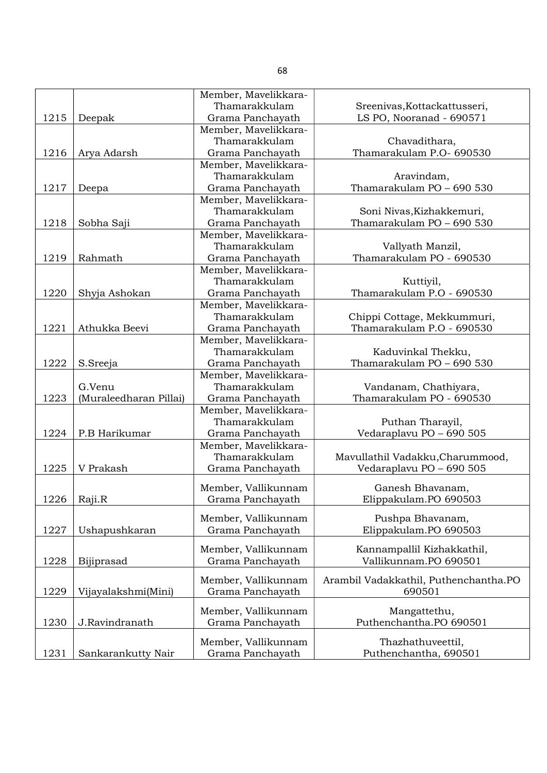|      |                        | Member, Mavelikkara- |                                                 |
|------|------------------------|----------------------|-------------------------------------------------|
|      |                        | Thamarakkulam        | Sreenivas, Kottackattusseri,                    |
| 1215 | Deepak                 | Grama Panchayath     | LS PO, Nooranad - 690571                        |
|      |                        | Member, Mavelikkara- |                                                 |
|      |                        | Thamarakkulam        | Chavadithara,                                   |
| 1216 | Arya Adarsh            | Grama Panchayath     | Thamarakulam P.O- 690530                        |
|      |                        | Member, Mavelikkara- |                                                 |
|      |                        | Thamarakkulam        | Aravindam,                                      |
| 1217 | Deepa                  | Grama Panchayath     | Thamarakulam PO - 690 530                       |
|      |                        | Member, Mavelikkara- |                                                 |
|      |                        | Thamarakkulam        | Soni Nivas, Kizhakkemuri,                       |
| 1218 | Sobha Saji             | Grama Panchayath     | Thamarakulam PO - 690 530                       |
|      |                        | Member, Mavelikkara- |                                                 |
|      |                        | Thamarakkulam        | Vallyath Manzil,                                |
| 1219 | Rahmath                | Grama Panchayath     | Thamarakulam PO - 690530                        |
|      |                        | Member, Mavelikkara- |                                                 |
|      |                        | Thamarakkulam        | Kuttiyil,                                       |
| 1220 | Shyja Ashokan          | Grama Panchayath     | Thamarakulam P.O - 690530                       |
|      |                        | Member, Mavelikkara- |                                                 |
|      |                        | Thamarakkulam        | Chippi Cottage, Mekkummuri,                     |
| 1221 | Athukka Beevi          | Grama Panchayath     | Thamarakulam P.O - 690530                       |
|      |                        | Member, Mavelikkara- |                                                 |
|      |                        | Thamarakkulam        | Kaduvinkal Thekku,                              |
| 1222 | S.Sreeja               | Grama Panchayath     | Thamarakulam PO - 690 530                       |
|      |                        | Member, Mavelikkara- |                                                 |
|      | G.Venu                 | Thamarakkulam        | Vandanam, Chathiyara,                           |
| 1223 | (Muraleedharan Pillai) | Grama Panchayath     | Thamarakulam PO - 690530                        |
|      |                        | Member, Mavelikkara- |                                                 |
|      |                        | Thamarakkulam        | Puthan Tharayil,                                |
| 1224 | P.B Harikumar          | Grama Panchayath     | Vedaraplavu PO - 690 505                        |
|      |                        | Member, Mavelikkara- |                                                 |
|      |                        | Thamarakkulam        | Mavullathil Vadakku, Charummood,                |
| 1225 | V Prakash              | Grama Panchayath     | Vedaraplavu PO - 690 505                        |
|      |                        |                      |                                                 |
|      |                        | Member, Vallikunnam  | Ganesh Bhavanam,                                |
| 1226 | Raji.R                 | Grama Panchayath     | Elippakulam.PO 690503                           |
|      |                        | Member, Vallikunnam  | Pushpa Bhavanam,                                |
| 1227 | Ushapushkaran          | Grama Panchayath     | Elippakulam.PO 690503                           |
|      |                        |                      |                                                 |
|      |                        | Member, Vallikunnam  | Kannampallil Kizhakkathil,                      |
| 1228 | Bijiprasad             | Grama Panchayath     | Vallikunnam.PO 690501                           |
|      |                        |                      |                                                 |
| 1229 |                        | Member, Vallikunnam  | Arambil Vadakkathil, Puthenchantha.PO<br>690501 |
|      | Vijayalakshmi(Mini)    | Grama Panchayath     |                                                 |
|      |                        | Member, Vallikunnam  | Mangattethu,                                    |
| 1230 | J.Ravindranath         | Grama Panchayath     | Puthenchantha.PO 690501                         |
|      |                        |                      |                                                 |
|      |                        | Member, Vallikunnam  | Thazhathuveettil,                               |
| 1231 | Sankarankutty Nair     | Grama Panchayath     | Puthenchantha, 690501                           |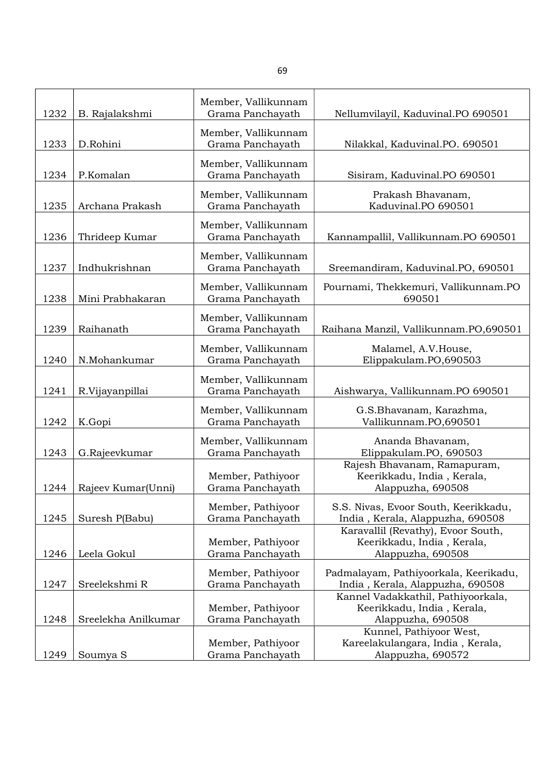| 1232 | B. Rajalakshmi      | Member, Vallikunnam<br>Grama Panchayath | Nellumvilayil, Kaduvinal.PO 690501                                                    |
|------|---------------------|-----------------------------------------|---------------------------------------------------------------------------------------|
|      |                     |                                         |                                                                                       |
| 1233 | D.Rohini            | Member, Vallikunnam<br>Grama Panchayath | Nilakkal, Kaduvinal.PO. 690501                                                        |
|      |                     | Member, Vallikunnam                     |                                                                                       |
| 1234 | P.Komalan           | Grama Panchayath                        | Sisiram, Kaduvinal.PO 690501                                                          |
| 1235 | Archana Prakash     | Member, Vallikunnam<br>Grama Panchayath | Prakash Bhavanam,<br>Kaduvinal.PO 690501                                              |
| 1236 | Thrideep Kumar      | Member, Vallikunnam<br>Grama Panchayath | Kannampallil, Vallikunnam.PO 690501                                                   |
| 1237 | Indhukrishnan       | Member, Vallikunnam<br>Grama Panchayath | Sreemandiram, Kaduvinal.PO, 690501                                                    |
| 1238 | Mini Prabhakaran    | Member, Vallikunnam<br>Grama Panchayath | Pournami, Thekkemuri, Vallikunnam.PO<br>690501                                        |
| 1239 | Raihanath           | Member, Vallikunnam<br>Grama Panchayath | Raihana Manzil, Vallikunnam.PO,690501                                                 |
| 1240 | N.Mohankumar        | Member, Vallikunnam<br>Grama Panchayath | Malamel, A.V.House,<br>Elippakulam.PO,690503                                          |
| 1241 | R.Vijayanpillai     | Member, Vallikunnam<br>Grama Panchayath | Aishwarya, Vallikunnam.PO 690501                                                      |
| 1242 | K.Gopi              | Member, Vallikunnam<br>Grama Panchayath | G.S.Bhavanam, Karazhma,<br>Vallikunnam.PO,690501                                      |
| 1243 | G.Rajeevkumar       | Member, Vallikunnam<br>Grama Panchayath | Ananda Bhavanam,<br>Elippakulam.PO, 690503                                            |
| 1244 | Rajeev Kumar(Unni)  | Member, Pathiyoor<br>Grama Panchayath   | Rajesh Bhavanam, Ramapuram,<br>Keerikkadu, India, Kerala,<br>Alappuzha, 690508        |
| 1245 | Suresh P(Babu)      | Member, Pathiyoor<br>Grama Panchayath   | S.S. Nivas, Evoor South, Keerikkadu,<br>India, Kerala, Alappuzha, 690508              |
| 1246 | Leela Gokul         | Member, Pathiyoor<br>Grama Panchayath   | Karavallil (Revathy), Evoor South,<br>Keerikkadu, India, Kerala,<br>Alappuzha, 690508 |
| 1247 | Sreelekshmi R       | Member, Pathiyoor<br>Grama Panchayath   | Padmalayam, Pathiyoorkala, Keerikadu,<br>India, Kerala, Alappuzha, 690508             |
| 1248 | Sreelekha Anilkumar | Member, Pathiyoor<br>Grama Panchayath   | Kannel Vadakkathil, Pathiyoorkala,<br>Keerikkadu, India, Kerala,<br>Alappuzha, 690508 |
| 1249 | Soumya <sub>S</sub> | Member, Pathiyoor<br>Grama Panchayath   | Kunnel, Pathiyoor West,<br>Kareelakulangara, India, Kerala,<br>Alappuzha, 690572      |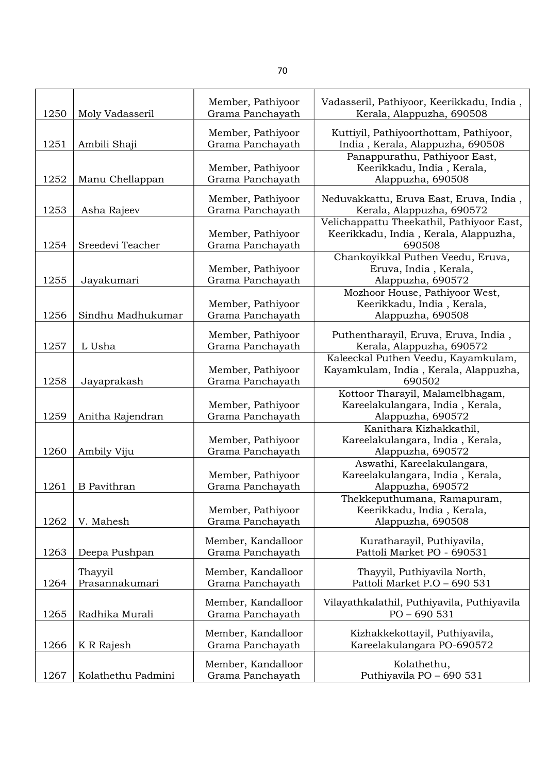| 1250 | Moly Vadasseril    | Member, Pathiyoor<br>Grama Panchayath  | Vadasseril, Pathiyoor, Keerikkadu, India,<br>Kerala, Alappuzha, 690508             |
|------|--------------------|----------------------------------------|------------------------------------------------------------------------------------|
| 1251 | Ambili Shaji       | Member, Pathiyoor<br>Grama Panchayath  | Kuttiyil, Pathiyoorthottam, Pathiyoor,<br>India, Kerala, Alappuzha, 690508         |
| 1252 | Manu Chellappan    | Member, Pathiyoor<br>Grama Panchayath  | Panappurathu, Pathiyoor East,<br>Keerikkadu, India, Kerala,<br>Alappuzha, 690508   |
|      |                    |                                        |                                                                                    |
| 1253 | Asha Rajeev        | Member, Pathiyoor<br>Grama Panchayath  | Neduvakkattu, Eruva East, Eruva, India,<br>Kerala, Alappuzha, 690572               |
|      |                    | Member, Pathiyoor                      | Velichappattu Theekathil, Pathiyoor East,<br>Keerikkadu, India, Kerala, Alappuzha, |
| 1254 | Sreedevi Teacher   | Grama Panchayath                       | 690508                                                                             |
| 1255 | Jayakumari         | Member, Pathiyoor<br>Grama Panchayath  | Chankoyikkal Puthen Veedu, Eruva,<br>Eruva, India, Kerala,<br>Alappuzha, 690572    |
|      |                    |                                        | Mozhoor House, Pathiyoor West,                                                     |
|      |                    | Member, Pathiyoor                      | Keerikkadu, India, Kerala,                                                         |
| 1256 | Sindhu Madhukumar  | Grama Panchayath                       | Alappuzha, 690508                                                                  |
|      |                    |                                        |                                                                                    |
|      |                    | Member, Pathiyoor                      | Puthentharayil, Eruva, Eruva, India,                                               |
| 1257 | L Usha             | Grama Panchayath                       | Kerala, Alappuzha, 690572                                                          |
|      |                    |                                        | Kaleeckal Puthen Veedu, Kayamkulam,                                                |
| 1258 | Jayaprakash        | Member, Pathiyoor<br>Grama Panchayath  | Kayamkulam, India, Kerala, Alappuzha,<br>690502                                    |
|      |                    |                                        | Kottoor Tharayil, Malamelbhagam,                                                   |
|      |                    | Member, Pathiyoor                      | Kareelakulangara, India, Kerala,                                                   |
| 1259 | Anitha Rajendran   | Grama Panchayath                       | Alappuzha, 690572                                                                  |
|      |                    |                                        | Kanithara Kizhakkathil,                                                            |
|      |                    | Member, Pathiyoor                      | Kareelakulangara, India, Kerala,                                                   |
| 1260 | Ambily Viju        | Grama Panchayath                       | Alappuzha, 690572                                                                  |
|      |                    |                                        | Aswathi, Kareelakulangara,                                                         |
|      |                    | Member, Pathiyoor                      | Kareelakulangara, India, Kerala,                                                   |
| 1261 | <b>B</b> Pavithran | Grama Panchayath                       | Alappuzha, 690572                                                                  |
|      |                    |                                        | Thekkeputhumana, Ramapuram,                                                        |
|      |                    | Member, Pathiyoor                      | Keerikkadu, India, Kerala,                                                         |
| 1262 | V. Mahesh          | Grama Panchayath                       | Alappuzha, 690508                                                                  |
| 1263 | Deepa Pushpan      | Member, Kandalloor<br>Grama Panchayath | Kuratharayil, Puthiyavila,<br>Pattoli Market PO - 690531                           |
|      |                    |                                        |                                                                                    |
|      | Thayyil            | Member, Kandalloor                     | Thayyil, Puthiyavila North,                                                        |
| 1264 | Prasannakumari     | Grama Panchayath                       | Pattoli Market P.O - 690 531                                                       |
| 1265 | Radhika Murali     | Member, Kandalloor<br>Grama Panchayath | Vilayathkalathil, Puthiyavila, Puthiyavila<br>$PO - 690531$                        |
| 1266 | K R Rajesh         | Member, Kandalloor<br>Grama Panchayath | Kizhakkekottayil, Puthiyavila,<br>Kareelakulangara PO-690572                       |
|      |                    |                                        |                                                                                    |
| 1267 | Kolathethu Padmini | Member, Kandalloor<br>Grama Panchayath | Kolathethu,<br>Puthiyavila PO - 690 531                                            |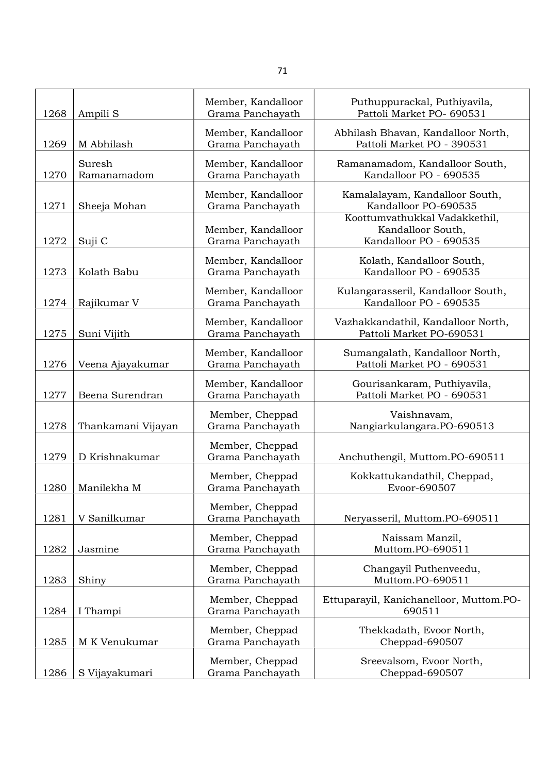| 1268 | Ampili <sub>S</sub>   | Member, Kandalloor<br>Grama Panchayath | Puthuppurackal, Puthiyavila,<br>Pattoli Market PO- 690531                    |
|------|-----------------------|----------------------------------------|------------------------------------------------------------------------------|
| 1269 | M Abhilash            | Member, Kandalloor<br>Grama Panchayath | Abhilash Bhavan, Kandalloor North,<br>Pattoli Market PO - 390531             |
| 1270 | Suresh<br>Ramanamadom | Member, Kandalloor<br>Grama Panchayath | Ramanamadom, Kandalloor South,<br>Kandalloor PO - 690535                     |
| 1271 | Sheeja Mohan          | Member, Kandalloor<br>Grama Panchayath | Kamalalayam, Kandalloor South,<br>Kandalloor PO-690535                       |
| 1272 | Suji C                | Member, Kandalloor<br>Grama Panchayath | Koottumvathukkal Vadakkethil,<br>Kandalloor South,<br>Kandalloor PO - 690535 |
| 1273 | Kolath Babu           | Member, Kandalloor<br>Grama Panchayath | Kolath, Kandalloor South,<br>Kandalloor PO - 690535                          |
| 1274 | Rajikumar V           | Member, Kandalloor<br>Grama Panchayath | Kulangarasseril, Kandalloor South,<br>Kandalloor PO - 690535                 |
| 1275 | Suni Vijith           | Member, Kandalloor<br>Grama Panchayath | Vazhakkandathil, Kandalloor North,<br>Pattoli Market PO-690531               |
| 1276 | Veena Ajayakumar      | Member, Kandalloor<br>Grama Panchayath | Sumangalath, Kandalloor North,<br>Pattoli Market PO - 690531                 |
| 1277 | Beena Surendran       | Member, Kandalloor<br>Grama Panchayath | Gourisankaram, Puthiyavila,<br>Pattoli Market PO - 690531                    |
| 1278 | Thankamani Vijayan    | Member, Cheppad<br>Grama Panchayath    | Vaishnavam,<br>Nangiarkulangara.PO-690513                                    |
| 1279 | D Krishnakumar        | Member, Cheppad<br>Grama Panchayath    | Anchuthengil, Muttom.PO-690511                                               |
| 1280 | Manilekha M           | Member, Cheppad<br>Grama Panchayath    | Kokkattukandathil, Cheppad,<br>Evoor-690507                                  |
| 1281 | V Sanilkumar          | Member, Cheppad<br>Grama Panchayath    | Neryasseril, Muttom.PO-690511                                                |
| 1282 | Jasmine               | Member, Cheppad<br>Grama Panchayath    | Naissam Manzil,<br>Muttom.PO-690511                                          |
| 1283 | Shiny                 | Member, Cheppad<br>Grama Panchayath    | Changayil Puthenveedu,<br>Muttom.PO-690511                                   |
| 1284 | I Thampi              | Member, Cheppad<br>Grama Panchayath    | Ettuparayil, Kanichanelloor, Muttom.PO-<br>690511                            |
| 1285 | M K Venukumar         | Member, Cheppad<br>Grama Panchayath    | Thekkadath, Evoor North,<br>Cheppad-690507                                   |
| 1286 | S Vijayakumari        | Member, Cheppad<br>Grama Panchayath    | Sreevalsom, Evoor North,<br>Cheppad-690507                                   |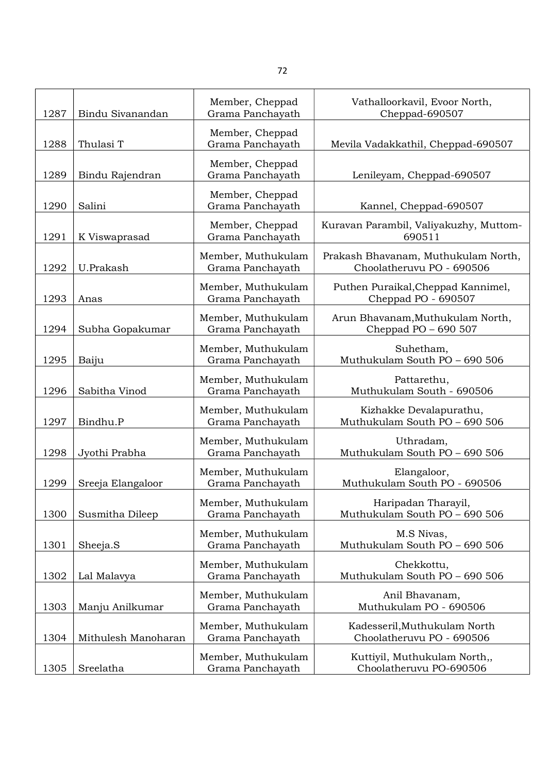| 1287 | Bindu Sivanandan    | Member, Cheppad<br>Grama Panchayath    | Vathalloorkavil, Evoor North,<br>Cheppad-690507                  |
|------|---------------------|----------------------------------------|------------------------------------------------------------------|
| 1288 | Thulasi T           | Member, Cheppad<br>Grama Panchayath    | Mevila Vadakkathil, Cheppad-690507                               |
| 1289 | Bindu Rajendran     | Member, Cheppad<br>Grama Panchayath    | Lenileyam, Cheppad-690507                                        |
| 1290 | Salini              | Member, Cheppad<br>Grama Panchayath    | Kannel, Cheppad-690507                                           |
| 1291 | K Viswaprasad       | Member, Cheppad<br>Grama Panchayath    | Kuravan Parambil, Valiyakuzhy, Muttom-<br>690511                 |
| 1292 | U.Prakash           | Member, Muthukulam<br>Grama Panchayath | Prakash Bhavanam, Muthukulam North,<br>Choolatheruvu PO - 690506 |
| 1293 | Anas                | Member, Muthukulam<br>Grama Panchayath | Puthen Puraikal, Cheppad Kannimel,<br>Cheppad PO - 690507        |
| 1294 | Subha Gopakumar     | Member, Muthukulam<br>Grama Panchayath | Arun Bhavanam, Muthukulam North,<br>Cheppad PO - 690 507         |
| 1295 | Baiju               | Member, Muthukulam<br>Grama Panchayath | Suhetham,<br>Muthukulam South PO - 690 506                       |
| 1296 | Sabitha Vinod       | Member, Muthukulam<br>Grama Panchayath | Pattarethu,<br>Muthukulam South - 690506                         |
| 1297 | Bindhu.P            | Member, Muthukulam<br>Grama Panchayath | Kizhakke Devalapurathu,<br>Muthukulam South PO - 690 506         |
| 1298 | Jyothi Prabha       | Member, Muthukulam<br>Grama Panchayath | Uthradam,<br>Muthukulam South PO - 690 506                       |
| 1299 | Sreeja Elangaloor   | Member, Muthukulam<br>Grama Panchayath | Elangaloor,<br>Muthukulam South PO - 690506                      |
| 1300 | Susmitha Dileep     | Member, Muthukulam<br>Grama Panchayath | Haripadan Tharayil,<br>Muthukulam South PO - 690 506             |
| 1301 | Sheeja.S            | Member, Muthukulam<br>Grama Panchayath | M.S Nivas,<br>Muthukulam South PO - 690 506                      |
| 1302 | Lal Malavya         | Member, Muthukulam<br>Grama Panchayath | Chekkottu,<br>Muthukulam South PO - 690 506                      |
| 1303 | Manju Anilkumar     | Member, Muthukulam<br>Grama Panchayath | Anil Bhavanam,<br>Muthukulam PO - 690506                         |
| 1304 | Mithulesh Manoharan | Member, Muthukulam<br>Grama Panchayath | Kadesseril, Muthukulam North<br>Choolatheruvu PO - 690506        |
| 1305 | Sreelatha           | Member, Muthukulam<br>Grama Panchayath | Kuttiyil, Muthukulam North,,<br>Choolatheruvu PO-690506          |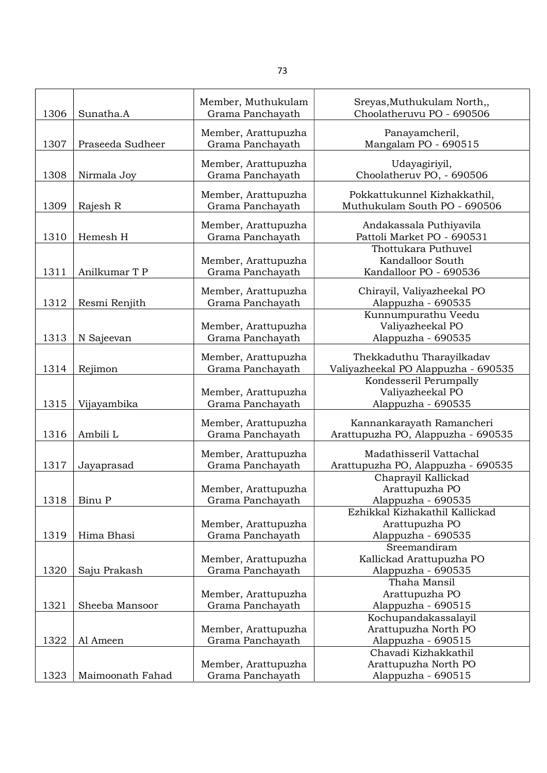|      |                  | Member, Muthukulam  | Sreyas, Muthukulam North,,                   |
|------|------------------|---------------------|----------------------------------------------|
| 1306 | Sunatha.A        | Grama Panchayath    | Choolatheruvu PO - 690506                    |
|      |                  | Member, Arattupuzha | Panayamcheril,                               |
| 1307 | Praseeda Sudheer | Grama Panchayath    | Mangalam PO - 690515                         |
|      |                  |                     |                                              |
|      |                  | Member, Arattupuzha | Udayagiriyil,                                |
| 1308 | Nirmala Joy      | Grama Panchayath    | Choolatheruv PO, - 690506                    |
|      |                  | Member, Arattupuzha | Pokkattukunnel Kizhakkathil,                 |
| 1309 | Rajesh R         | Grama Panchayath    | Muthukulam South PO - 690506                 |
|      |                  |                     |                                              |
|      |                  | Member, Arattupuzha | Andakassala Puthiyavila                      |
| 1310 | Hemesh H         | Grama Panchayath    | Pattoli Market PO - 690531                   |
|      |                  |                     | Thottukara Puthuvel                          |
|      |                  | Member, Arattupuzha | Kandalloor South                             |
| 1311 | Anilkumar T P    | Grama Panchayath    | Kandalloor PO - 690536                       |
|      |                  | Member, Arattupuzha | Chirayil, Valiyazheekal PO                   |
| 1312 | Resmi Renjith    | Grama Panchayath    | Alappuzha - 690535                           |
|      |                  |                     | Kunnumpurathu Veedu                          |
|      |                  | Member, Arattupuzha | Valiyazheekal PO                             |
| 1313 | N Sajeevan       | Grama Panchayath    | Alappuzha - 690535                           |
|      |                  |                     |                                              |
|      |                  | Member, Arattupuzha | Thekkaduthu Tharayilkadav                    |
| 1314 | Rejimon          | Grama Panchayath    | Valiyazheekal PO Alappuzha - 690535          |
|      |                  |                     | Kondesseril Perumpally                       |
|      |                  | Member, Arattupuzha | Valiyazheekal PO                             |
| 1315 | Vijayambika      | Grama Panchayath    | Alappuzha - 690535                           |
|      |                  | Member, Arattupuzha | Kannankarayath Ramancheri                    |
| 1316 | Ambili L         | Grama Panchayath    | Arattupuzha PO, Alappuzha - 690535           |
|      |                  |                     |                                              |
|      |                  | Member, Arattupuzha | Madathisseril Vattachal                      |
| 1317 | Jayaprasad       | Grama Panchayath    | Arattupuzha PO, Alappuzha - 690535           |
|      |                  |                     | Chaprayil Kallickad                          |
|      |                  | Member, Arattupuzha | Arattupuzha PO                               |
| 1318 | Binu P           | Grama Panchayath    | Alappuzha - 690535                           |
|      |                  |                     | Ezhikkal Kizhakathil Kallickad               |
|      |                  | Member, Arattupuzha | Arattupuzha PO                               |
| 1319 | Hima Bhasi       | Grama Panchayath    | Alappuzha - 690535                           |
|      |                  |                     | Sreemandiram                                 |
|      |                  | Member, Arattupuzha | Kallickad Arattupuzha PO                     |
| 1320 | Saju Prakash     | Grama Panchayath    | Alappuzha - 690535<br>Thaha Mansil           |
|      |                  |                     |                                              |
| 1321 |                  | Member, Arattupuzha | Arattupuzha PO                               |
|      | Sheeba Mansoor   | Grama Panchayath    | Alappuzha - 690515                           |
|      |                  | Member, Arattupuzha | Kochupandakassalayil<br>Arattupuzha North PO |
| 1322 | Al Ameen         | Grama Panchayath    | Alappuzha - 690515                           |
|      |                  |                     | Chavadi Kizhakkathil                         |
|      |                  | Member, Arattupuzha | Arattupuzha North PO                         |
| 1323 | Maimoonath Fahad | Grama Panchayath    | Alappuzha - 690515                           |
|      |                  |                     |                                              |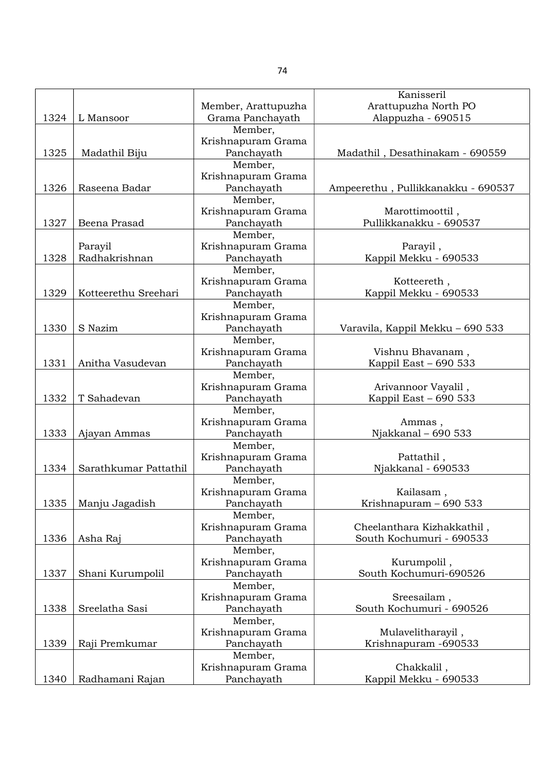|      |                       |                               | Kanisseril                         |
|------|-----------------------|-------------------------------|------------------------------------|
|      |                       | Member, Arattupuzha           | Arattupuzha North PO               |
| 1324 | L Mansoor             | Grama Panchayath              | Alappuzha - 690515                 |
|      |                       | Member,                       |                                    |
|      |                       | Krishnapuram Grama            |                                    |
| 1325 | Madathil Biju         | Panchayath                    | Madathil, Desathinakam - 690559    |
|      |                       | Member,                       |                                    |
|      |                       | Krishnapuram Grama            |                                    |
| 1326 | Raseena Badar         | Panchayath                    | Ampeerethu, Pullikkanakku - 690537 |
|      |                       | Member,                       |                                    |
|      |                       | Krishnapuram Grama            | Marottimoottil,                    |
| 1327 | Beena Prasad          | Panchayath                    | Pullikkanakku - 690537             |
|      |                       | Member,                       |                                    |
|      | Parayil               | Krishnapuram Grama            | Parayil,                           |
| 1328 | Radhakrishnan         | Panchayath                    | Kappil Mekku - 690533              |
|      |                       | Member,                       |                                    |
|      |                       | Krishnapuram Grama            | Kotteereth,                        |
| 1329 | Kotteerethu Sreehari  | Panchayath                    | Kappil Mekku - 690533              |
|      |                       | Member,                       |                                    |
|      |                       | Krishnapuram Grama            |                                    |
| 1330 | S Nazim               | Panchayath                    | Varavila, Kappil Mekku - 690 533   |
|      |                       | Member,                       |                                    |
|      |                       | Krishnapuram Grama            | Vishnu Bhavanam,                   |
| 1331 | Anitha Vasudevan      | Panchayath                    | Kappil East - 690 533              |
|      |                       | Member,                       |                                    |
|      |                       | Krishnapuram Grama            | Arivannoor Vayalil,                |
| 1332 | T Sahadevan           | Panchayath                    | Kappil East - 690 533              |
|      |                       | Member,                       |                                    |
|      |                       | Krishnapuram Grama            | Ammas,                             |
| 1333 | Ajayan Ammas          | Panchayath                    | Njakkanal - 690 533                |
|      |                       | Member,                       |                                    |
|      |                       | Krishnapuram Grama            | Pattathil,                         |
| 1334 | Sarathkumar Pattathil | Panchayath                    | Njakkanal - 690533                 |
|      |                       | Member,                       |                                    |
|      |                       | Krishnapuram Grama            | Kailasam,                          |
| 1335 | Manju Jagadish        | Panchayath                    | Krishnapuram - 690 533             |
|      |                       | Member,                       |                                    |
|      |                       | Krishnapuram Grama            | Cheelanthara Kizhakkathil,         |
| 1336 | Asha Raj              | Panchayath                    | South Kochumuri - 690533           |
|      |                       | Member,                       |                                    |
|      |                       | Krishnapuram Grama            | Kurumpolil,                        |
| 1337 | Shani Kurumpolil      | Panchayath                    | South Kochumuri-690526             |
|      |                       | Member,                       |                                    |
|      |                       | Krishnapuram Grama            | Sreesailam,                        |
| 1338 | Sreelatha Sasi        | Panchayath                    | South Kochumuri - 690526           |
|      |                       |                               |                                    |
|      |                       | Member,<br>Krishnapuram Grama | Mulavelitharayil,                  |
| 1339 | Raji Premkumar        | Panchayath                    | Krishnapuram -690533               |
|      |                       |                               |                                    |
|      |                       | Member,                       |                                    |
|      |                       | Krishnapuram Grama            | Chakkalil,                         |
| 1340 | Radhamani Rajan       | Panchayath                    | Kappil Mekku - 690533              |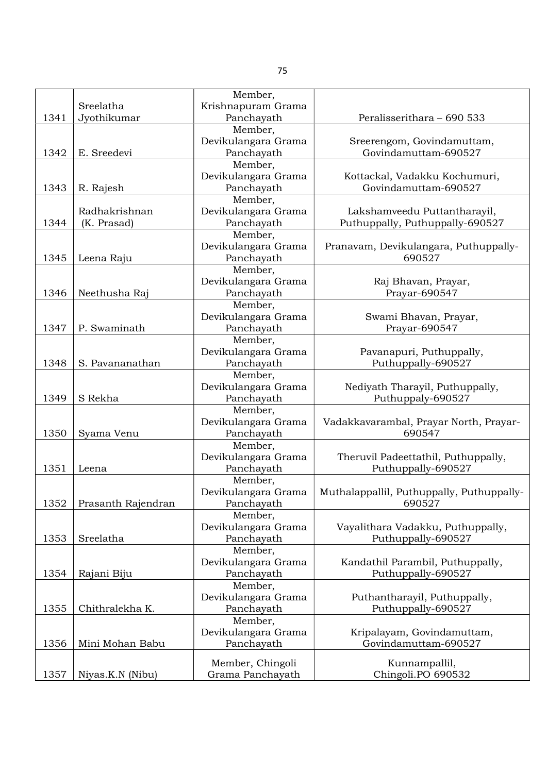|      |                    | Member,             |                                           |
|------|--------------------|---------------------|-------------------------------------------|
|      | Sreelatha          | Krishnapuram Grama  |                                           |
| 1341 | Jyothikumar        | Panchayath          | Peralisserithara - 690 533                |
|      |                    | Member,             |                                           |
|      |                    | Devikulangara Grama | Sreerengom, Govindamuttam,                |
| 1342 | E. Sreedevi        | Panchayath          | Govindamuttam-690527                      |
|      |                    | Member,             |                                           |
|      |                    | Devikulangara Grama | Kottackal, Vadakku Kochumuri,             |
| 1343 | R. Rajesh          | Panchayath          | Govindamuttam-690527                      |
|      |                    | Member,             |                                           |
|      | Radhakrishnan      | Devikulangara Grama | Lakshamveedu Puttantharayil,              |
| 1344 | (K. Prasad)        | Panchayath          | Puthuppally, Puthuppally-690527           |
|      |                    | Member,             |                                           |
|      |                    | Devikulangara Grama | Pranavam, Devikulangara, Puthuppally-     |
| 1345 | Leena Raju         | Panchayath          | 690527                                    |
|      |                    | Member,             |                                           |
|      |                    | Devikulangara Grama | Raj Bhavan, Prayar,                       |
| 1346 | Neethusha Raj      | Panchayath          | Prayar-690547                             |
|      |                    | Member,             |                                           |
|      |                    | Devikulangara Grama | Swami Bhavan, Prayar,                     |
| 1347 | P. Swaminath       | Panchayath          | Prayar-690547                             |
|      |                    | Member,             |                                           |
|      |                    | Devikulangara Grama | Pavanapuri, Puthuppally,                  |
| 1348 | S. Pavananathan    | Panchayath          | Puthuppally-690527                        |
|      |                    | Member,             |                                           |
|      |                    | Devikulangara Grama | Nediyath Tharayil, Puthuppally,           |
| 1349 | S Rekha            | Panchayath          | Puthuppaly-690527                         |
|      |                    | Member,             |                                           |
|      |                    | Devikulangara Grama | Vadakkavarambal, Prayar North, Prayar-    |
| 1350 | Syama Venu         | Panchayath          | 690547                                    |
|      |                    | Member,             |                                           |
|      |                    | Devikulangara Grama | Theruvil Padeettathil, Puthuppally,       |
| 1351 | Leena              | Panchayath          | Puthuppally-690527                        |
|      |                    | Member,             |                                           |
|      |                    | Devikulangara Grama | Muthalappallil, Puthuppally, Puthuppally- |
| 1352 | Prasanth Rajendran | Panchayath          | 690527                                    |
|      |                    | Member,             |                                           |
|      |                    | Devikulangara Grama | Vayalithara Vadakku, Puthuppally,         |
| 1353 | Sreelatha          | Panchayath          | Puthuppally-690527                        |
|      |                    | Member,             |                                           |
|      |                    | Devikulangara Grama | Kandathil Parambil, Puthuppally,          |
| 1354 | Rajani Biju        | Panchayath          | Puthuppally-690527                        |
|      |                    | Member,             |                                           |
|      |                    | Devikulangara Grama | Puthantharayil, Puthuppally,              |
| 1355 | Chithralekha K.    | Panchayath          | Puthuppally-690527                        |
|      |                    | Member,             |                                           |
|      |                    | Devikulangara Grama | Kripalayam, Govindamuttam,                |
| 1356 | Mini Mohan Babu    | Panchayath          | Govindamuttam-690527                      |
|      |                    | Member, Chingoli    | Kunnampallil,                             |
| 1357 | Niyas.K.N (Nibu)   | Grama Panchayath    | Chingoli.PO 690532                        |
|      |                    |                     |                                           |